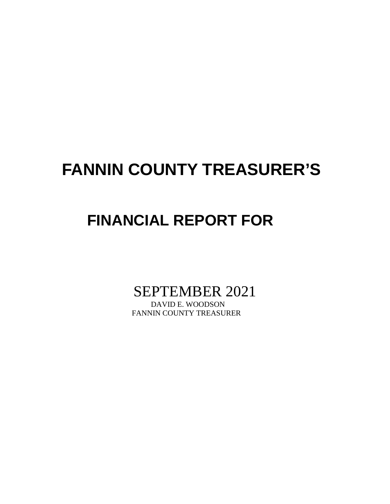# **FANNIN COUNTY TREASURER'S**

# **FINANCIAL REPORT FOR**

SEPTEMBER 2021

FANNIN COUNTY TREASURER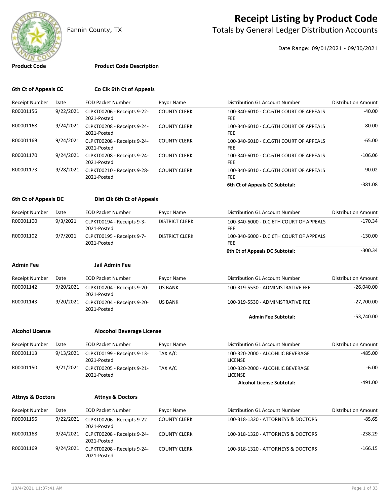

## **Receipt Listing by Product Code**

Fannin County, TX **The County of Totals by General Ledger Distribution Accounts** 

Date Range: 09/01/2021 - 09/30/2021

### **Product Code Product Code Description**

| 6th Ct of Appeals CC   |           | Co Clk 6th Ct of Appeals                   |                       |                                                                 |                            |
|------------------------|-----------|--------------------------------------------|-----------------------|-----------------------------------------------------------------|----------------------------|
| <b>Receipt Number</b>  | Date      | <b>EOD Packet Number</b>                   | Payor Name            | Distribution GL Account Number                                  | <b>Distribution Amount</b> |
| R00001156              | 9/22/2021 | CLPKT00206 - Receipts 9-22-<br>2021-Posted | <b>COUNTY CLERK</b>   | 100-340-6010 - C.C.6TH COURT OF APPEALS<br>FEE                  | $-40.00$                   |
| R00001168              | 9/24/2021 | CLPKT00208 - Receipts 9-24-<br>2021-Posted | <b>COUNTY CLERK</b>   | 100-340-6010 - C.C.6TH COURT OF APPEALS<br>FEE                  | $-80.00$                   |
| R00001169              | 9/24/2021 | CLPKT00208 - Receipts 9-24-<br>2021-Posted | <b>COUNTY CLERK</b>   | 100-340-6010 - C.C.6TH COURT OF APPEALS<br><b>FEE</b>           | $-65.00$                   |
| R00001170              | 9/24/2021 | CLPKT00208 - Receipts 9-24-<br>2021-Posted | <b>COUNTY CLERK</b>   | 100-340-6010 - C.C.6TH COURT OF APPEALS<br>FEE                  | $-106.06$                  |
| R00001173              | 9/28/2021 | CLPKT00210 - Receipts 9-28-<br>2021-Posted | <b>COUNTY CLERK</b>   | 100-340-6010 - C.C.6TH COURT OF APPEALS<br><b>FEE</b>           | $-90.02$                   |
|                        |           |                                            |                       | 6th Ct of Appeals CC Subtotal:                                  | $-381.08$                  |
| 6th Ct of Appeals DC   |           | Dist Clk 6th Ct of Appeals                 |                       |                                                                 |                            |
| <b>Receipt Number</b>  | Date      | <b>EOD Packet Number</b>                   | Payor Name            | Distribution GL Account Number                                  | <b>Distribution Amount</b> |
| R00001100              | 9/3/2021  | CLPKT00194 - Receipts 9-3-<br>2021-Posted  | <b>DISTRICT CLERK</b> | 100-340-6000 - D.C.6TH COURT OF APPEALS<br>FEE                  | $-170.34$                  |
| R00001102              | 9/7/2021  | CLPKT00195 - Receipts 9-7-<br>2021-Posted  | <b>DISTRICT CLERK</b> | 100-340-6000 - D.C.6TH COURT OF APPEALS<br><b>FEE</b>           | $-130.00$                  |
|                        |           |                                            |                       | 6th Ct of Appeals DC Subtotal:                                  | $-300.34$                  |
| Admin Fee              |           | Jail Admin Fee                             |                       |                                                                 |                            |
| <b>Receipt Number</b>  | Date      | <b>EOD Packet Number</b>                   | Payor Name            | Distribution GL Account Number                                  | <b>Distribution Amount</b> |
| R00001142              | 9/20/2021 | CLPKT00204 - Receipts 9-20-<br>2021-Posted | <b>US BANK</b>        | 100-319-5530 - ADMINISTRATIVE FEE                               | $-26,040.00$               |
| R00001143              | 9/20/2021 | CLPKT00204 - Receipts 9-20-<br>2021-Posted | <b>US BANK</b>        | 100-319-5530 - ADMINISTRATIVE FEE                               | $-27,700.00$               |
|                        |           |                                            |                       | <b>Admin Fee Subtotal:</b>                                      | $-53,740.00$               |
| <b>Alcohol License</b> |           | <b>Alocohol Beverage License</b>           |                       |                                                                 |                            |
| Receipt Number         | Date      | <b>EOD Packet Number</b>                   | Payor Name            | Distribution GL Account Number                                  | <b>Distribution Amount</b> |
| R00001113              | 9/13/2021 | CLPKT00199 - Receipts 9-13-<br>2021-Posted | TAX A/C               | $-485.00$<br>100-320-2000 - ALCOHLIC BEVERAGE<br><b>LICENSE</b> |                            |
| R00001150              | 9/21/2021 | CLPKT00205 - Receipts 9-21-<br>2021-Posted | TAX A/C               | 100-320-2000 - ALCOHLIC BEVERAGE<br><b>LICENSE</b>              | $-6.00$                    |

Alcohol License Subtotal: **Alcohol License Subtotal:** 491.00

### **Attnys & Doctors Attnys & Doctors**

| Receipt Number | Date      | <b>EOD Packet Number</b>                   | Pavor Name          | Distribution GL Account Number     | Distribution Amount |
|----------------|-----------|--------------------------------------------|---------------------|------------------------------------|---------------------|
| R00001156      | 9/22/2021 | CLPKT00206 - Receipts 9-22-<br>2021-Posted | <b>COUNTY CLERK</b> | 100-318-1320 - ATTORNEYS & DOCTORS | -85.65              |
| R00001168      | 9/24/2021 | CLPKT00208 - Receipts 9-24-<br>2021-Posted | <b>COUNTY CLERK</b> | 100-318-1320 - ATTORNEYS & DOCTORS | $-238.29$           |
| R00001169      | 9/24/2021 | CLPKT00208 - Receipts 9-24-<br>2021-Posted | <b>COUNTY CLERK</b> | 100-318-1320 - ATTORNEYS & DOCTORS | $-166.15$           |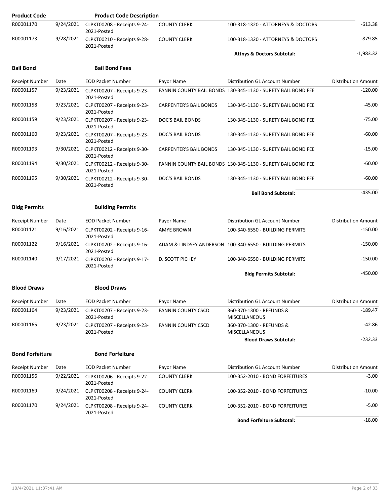| <b>Product Code</b>    |           | <b>Product Code Description</b>            |                               |                                                              |                            |
|------------------------|-----------|--------------------------------------------|-------------------------------|--------------------------------------------------------------|----------------------------|
| R00001170              | 9/24/2021 | CLPKT00208 - Receipts 9-24-<br>2021-Posted | <b>COUNTY CLERK</b>           | 100-318-1320 - ATTORNEYS & DOCTORS                           | $-613.38$                  |
| R00001173              | 9/28/2021 | CLPKT00210 - Receipts 9-28-<br>2021-Posted | <b>COUNTY CLERK</b>           | 100-318-1320 - ATTORNEYS & DOCTORS                           | $-879.85$                  |
|                        |           |                                            |                               | <b>Attnys &amp; Doctors Subtotal:</b>                        | $-1,983.32$                |
| <b>Bail Bond</b>       |           | <b>Bail Bond Fees</b>                      |                               |                                                              |                            |
| <b>Receipt Number</b>  | Date      | <b>EOD Packet Number</b>                   | Payor Name                    | Distribution GL Account Number                               | Distribution Amount        |
| R00001157              | 9/23/2021 | CLPKT00207 - Receipts 9-23-<br>2021-Posted |                               | FANNIN COUNTY BAIL BONDS 130-345-1130 - SURETY BAIL BOND FEE | $-120.00$                  |
| R00001158              | 9/23/2021 | CLPKT00207 - Receipts 9-23-<br>2021-Posted | <b>CARPENTER'S BAIL BONDS</b> | 130-345-1130 - SURETY BAIL BOND FEE                          | $-45.00$                   |
| R00001159              | 9/23/2021 | CLPKT00207 - Receipts 9-23-<br>2021-Posted | DOC'S BAIL BONDS              | 130-345-1130 - SURETY BAIL BOND FEE                          | $-75.00$                   |
| R00001160              | 9/23/2021 | CLPKT00207 - Receipts 9-23-<br>2021-Posted | DOC'S BAIL BONDS              | 130-345-1130 - SURETY BAIL BOND FEE                          | $-60.00$                   |
| R00001193              | 9/30/2021 | CLPKT00212 - Receipts 9-30-<br>2021-Posted | <b>CARPENTER'S BAIL BONDS</b> | 130-345-1130 - SURETY BAIL BOND FEE                          | $-15.00$                   |
| R00001194              | 9/30/2021 | CLPKT00212 - Receipts 9-30-<br>2021-Posted |                               | FANNIN COUNTY BAIL BONDS 130-345-1130 - SURETY BAIL BOND FEE | $-60.00$                   |
| R00001195              | 9/30/2021 | CLPKT00212 - Receipts 9-30-<br>2021-Posted | <b>DOC'S BAIL BONDS</b>       | 130-345-1130 - SURETY BAIL BOND FEE                          | $-60.00$                   |
|                        |           |                                            |                               | <b>Bail Bond Subtotal:</b>                                   | $-435.00$                  |
| <b>Bldg Permits</b>    |           | <b>Building Permits</b>                    |                               |                                                              |                            |
| Receipt Number         | Date      | <b>EOD Packet Number</b>                   | Payor Name                    | Distribution GL Account Number                               | <b>Distribution Amount</b> |
| R00001121              | 9/16/2021 | CLPKT00202 - Receipts 9-16-<br>2021-Posted | AMYE BROWN                    | 100-340-6550 - BUILDING PERMITS                              | $-150.00$                  |
| R00001122              | 9/16/2021 | CLPKT00202 - Receipts 9-16-<br>2021-Posted |                               | ADAM & LINDSEY ANDERSON 100-340-6550 - BUILDING PERMITS      | $-150.00$                  |
| R00001140              | 9/17/2021 | CLPKT00203 - Receipts 9-17-<br>2021-Posted | D. SCOTT PICHEY               | 100-340-6550 - BUILDING PERMITS                              | $-150.00$                  |
|                        |           |                                            |                               | <b>Bldg Permits Subtotal:</b>                                | $-450.00$                  |
| <b>Blood Draws</b>     |           | <b>Blood Draws</b>                         |                               |                                                              |                            |
| Receipt Number         | Date      | <b>EOD Packet Number</b>                   | Payor Name                    | Distribution GL Account Number                               | Distribution Amount        |
| R00001164              | 9/23/2021 | CLPKT00207 - Receipts 9-23-<br>2021-Posted | <b>FANNIN COUNTY CSCD</b>     | 360-370-1300 - REFUNDS &<br><b>MISCELLANEOUS</b>             | -189.47                    |
| R00001165              | 9/23/2021 | CLPKT00207 - Receipts 9-23-<br>2021-Posted | <b>FANNIN COUNTY CSCD</b>     | 360-370-1300 - REFUNDS &<br><b>MISCELLANEOUS</b>             | $-42.86$                   |
|                        |           |                                            |                               | <b>Blood Draws Subtotal:</b>                                 | $-232.33$                  |
| <b>Bond Forfeiture</b> |           | <b>Bond Forfeiture</b>                     |                               |                                                              |                            |
| Receipt Number         | Date      | <b>EOD Packet Number</b>                   | Payor Name                    | Distribution GL Account Number                               | <b>Distribution Amount</b> |
| R00001156              | 9/22/2021 | CLPKT00206 - Receipts 9-22-<br>2021-Posted | COUNTY CLERK                  | 100-352-2010 - BOND FORFEITURES                              | $-3.00$                    |
| R00001169              | 9/24/2021 | CLPKT00208 - Receipts 9-24-<br>2021-Posted | <b>COUNTY CLERK</b>           | 100-352-2010 - BOND FORFEITURES                              | $-10.00$                   |
| R00001170              | 9/24/2021 | CLPKT00208 - Receipts 9-24-<br>2021-Posted | <b>COUNTY CLERK</b>           | 100-352-2010 - BOND FORFEITURES                              | $-5.00$                    |
|                        |           |                                            |                               | <b>Bond Forfeiture Subtotal:</b>                             | $-18.00$                   |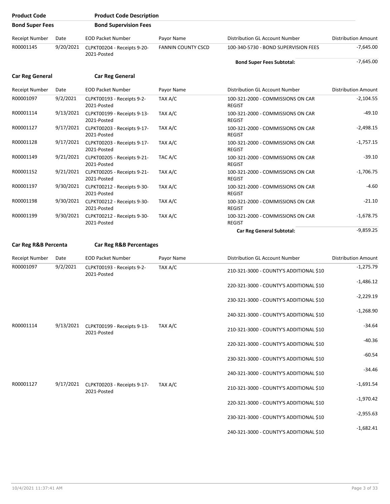| <b>Product Code</b>    |           | <b>Product Code Description</b>                      |                           |                                                    |                            |
|------------------------|-----------|------------------------------------------------------|---------------------------|----------------------------------------------------|----------------------------|
| <b>Bond Super Fees</b> |           | <b>Bond Supervision Fees</b>                         |                           |                                                    |                            |
| <b>Receipt Number</b>  | Date      | <b>EOD Packet Number</b>                             | Payor Name                | Distribution GL Account Number                     | <b>Distribution Amount</b> |
| R00001145              | 9/20/2021 | CLPKT00204 - Receipts 9-20-<br>2021-Posted           | <b>FANNIN COUNTY CSCD</b> | 100-340-5730 - BOND SUPERVISION FEES               | -7,645.00                  |
|                        |           |                                                      |                           | <b>Bond Super Fees Subtotal:</b>                   | $-7,645.00$                |
| <b>Car Reg General</b> |           | <b>Car Reg General</b>                               |                           |                                                    |                            |
| <b>Receipt Number</b>  | Date      | <b>EOD Packet Number</b>                             | Payor Name                | Distribution GL Account Number                     | <b>Distribution Amount</b> |
| R00001097              | 9/2/2021  | CLPKT00193 - Receipts 9-2-<br>2021-Posted            | TAX A/C                   | 100-321-2000 - COMMISSIONS ON CAR<br><b>REGIST</b> | $-2,104.55$                |
| R00001114              | 9/13/2021 | CLPKT00199 - Receipts 9-13-<br>2021-Posted           | TAX A/C                   | 100-321-2000 - COMMISSIONS ON CAR<br><b>REGIST</b> | -49.10                     |
| R00001127              | 9/17/2021 | CLPKT00203 - Receipts 9-17-<br>2021-Posted           | TAX A/C                   | 100-321-2000 - COMMISSIONS ON CAR<br><b>REGIST</b> | $-2,498.15$                |
| R00001128              |           | 9/17/2021 CLPKT00203 - Receipts 9-17-<br>2021-Posted | TAX A/C                   | 100-321-2000 - COMMISSIONS ON CAR<br><b>REGIST</b> | $-1,757.15$                |
| R00001149              |           | 9/21/2021 CLPKT00205 - Receipts 9-21-<br>2021-Posted | TAC A/C                   | 100-321-2000 - COMMISSIONS ON CAR<br><b>REGIST</b> | $-39.10$                   |
| R00001152              | 9/21/2021 | CLPKT00205 - Receipts 9-21-<br>2021-Posted           | TAX A/C                   | 100-321-2000 - COMMISSIONS ON CAR<br><b>REGIST</b> | $-1,706.75$                |
| R00001197              | 9/30/2021 | CLPKT00212 - Receipts 9-30-<br>2021-Posted           | TAX A/C                   | 100-321-2000 - COMMISSIONS ON CAR<br><b>REGIST</b> | $-4.60$                    |
| R00001198              |           | 9/30/2021 CLPKT00212 - Receipts 9-30-<br>2021-Posted | TAX A/C                   | 100-321-2000 - COMMISSIONS ON CAR<br><b>REGIST</b> | $-21.10$                   |
| R00001199              | 9/30/2021 | CLPKT00212 - Receipts 9-30-<br>2021-Posted           | TAX A/C                   | 100-321-2000 - COMMISSIONS ON CAR<br><b>REGIST</b> | $-1,678.75$                |
|                        |           |                                                      |                           | <b>Car Reg General Subtotal:</b>                   | $-9,859.25$                |
| Car Reg R&B Percenta   |           | <b>Car Reg R&amp;B Percentages</b>                   |                           |                                                    |                            |
| <b>Receipt Number</b>  | Date      | <b>EOD Packet Number</b>                             | Payor Name                | Distribution GL Account Number                     | <b>Distribution Amount</b> |
| R00001097              | 9/2/2021  | CLPKT00193 - Receipts 9-2-<br>2021-Posted            | TAX A/C                   | 210-321-3000 - COUNTY'S ADDITIONAL \$10            | $-1,275.79$                |
|                        |           |                                                      |                           | 220-321-3000 - COUNTY'S ADDITIONAL \$10            | $-1,486.12$                |
|                        |           |                                                      |                           | 230-321-3000 - COUNTY'S ADDITIONAL \$10            | $-2,229.19$                |
|                        |           |                                                      |                           | 240-321-3000 - COUNTY'S ADDITIONAL \$10            | $-1,268.90$                |
| R00001114              |           | 9/13/2021 CLPKT00199 - Receipts 9-13-<br>2021-Posted | TAX A/C                   | 210-321-3000 - COUNTY'S ADDITIONAL \$10            | $-34.64$                   |
|                        |           |                                                      |                           | 220-321-3000 - COUNTY'S ADDITIONAL \$10            | $-40.36$                   |
|                        |           |                                                      |                           | 230-321-3000 - COUNTY'S ADDITIONAL \$10            | $-60.54$                   |
|                        |           |                                                      |                           | 240-321-3000 - COUNTY'S ADDITIONAL \$10            | $-34.46$                   |
| R00001127              |           | 9/17/2021 CLPKT00203 - Receipts 9-17-<br>2021-Posted | TAX A/C                   | 210-321-3000 - COUNTY'S ADDITIONAL \$10            | -1,691.54                  |
|                        |           |                                                      |                           | 220-321-3000 - COUNTY'S ADDITIONAL \$10            | $-1,970.42$                |
|                        |           |                                                      |                           | 230-321-3000 - COUNTY'S ADDITIONAL \$10            | $-2,955.63$                |
|                        |           |                                                      |                           | 240-321-3000 - COUNTY'S ADDITIONAL \$10            | $-1,682.41$                |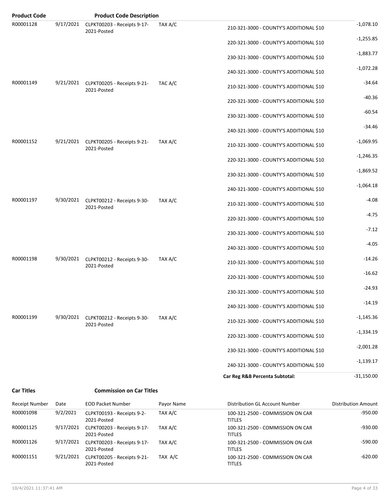| <b>Product Code</b> |           | <b>Product Code Description</b>                      |         |                                         |              |
|---------------------|-----------|------------------------------------------------------|---------|-----------------------------------------|--------------|
| R00001128           | 9/17/2021 | CLPKT00203 - Receipts 9-17-<br>2021-Posted           | TAX A/C | 210-321-3000 - COUNTY'S ADDITIONAL \$10 | $-1,078.10$  |
|                     |           |                                                      |         | 220-321-3000 - COUNTY'S ADDITIONAL \$10 | $-1,255.85$  |
|                     |           |                                                      |         | 230-321-3000 - COUNTY'S ADDITIONAL \$10 | $-1,883.77$  |
|                     |           |                                                      |         | 240-321-3000 - COUNTY'S ADDITIONAL \$10 | $-1,072.28$  |
| R00001149           |           | 9/21/2021 CLPKT00205 - Receipts 9-21-<br>2021-Posted | TAC A/C | 210-321-3000 - COUNTY'S ADDITIONAL \$10 | $-34.64$     |
|                     |           |                                                      |         | 220-321-3000 - COUNTY'S ADDITIONAL \$10 | $-40.36$     |
|                     |           |                                                      |         | 230-321-3000 - COUNTY'S ADDITIONAL \$10 | $-60.54$     |
|                     |           |                                                      |         | 240-321-3000 - COUNTY'S ADDITIONAL \$10 | $-34.46$     |
| R00001152           |           | 9/21/2021 CLPKT00205 - Receipts 9-21-<br>2021-Posted | TAX A/C | 210-321-3000 - COUNTY'S ADDITIONAL \$10 | $-1,069.95$  |
|                     |           |                                                      |         | 220-321-3000 - COUNTY'S ADDITIONAL \$10 | $-1,246.35$  |
|                     |           |                                                      |         | 230-321-3000 - COUNTY'S ADDITIONAL \$10 | $-1,869.52$  |
|                     |           |                                                      |         | 240-321-3000 - COUNTY'S ADDITIONAL \$10 | $-1,064.18$  |
| R00001197           |           | 9/30/2021 CLPKT00212 - Receipts 9-30-<br>2021-Posted | TAX A/C | 210-321-3000 - COUNTY'S ADDITIONAL \$10 | $-4.08$      |
|                     |           |                                                      |         | 220-321-3000 - COUNTY'S ADDITIONAL \$10 | $-4.75$      |
|                     |           |                                                      |         | 230-321-3000 - COUNTY'S ADDITIONAL \$10 | $-7.12$      |
|                     |           |                                                      |         | 240-321-3000 - COUNTY'S ADDITIONAL \$10 | $-4.05$      |
| R00001198           |           | 9/30/2021 CLPKT00212 - Receipts 9-30-<br>2021-Posted | TAX A/C | 210-321-3000 - COUNTY'S ADDITIONAL \$10 | $-14.26$     |
|                     |           |                                                      |         | 220-321-3000 - COUNTY'S ADDITIONAL \$10 | $-16.62$     |
|                     |           |                                                      |         | 230-321-3000 - COUNTY'S ADDITIONAL \$10 | $-24.93$     |
|                     |           |                                                      |         | 240-321-3000 - COUNTY'S ADDITIONAL \$10 | $-14.19$     |
| R00001199           | 9/30/2021 | CLPKT00212 - Receipts 9-30-<br>2021-Posted           | TAX A/C | 210-321-3000 - COUNTY'S ADDITIONAL \$10 | $-1,145.36$  |
|                     |           |                                                      |         | 220-321-3000 - COUNTY'S ADDITIONAL \$10 | $-1,334.19$  |
|                     |           |                                                      |         | 230-321-3000 - COUNTY'S ADDITIONAL \$10 | $-2,001.28$  |
|                     |           |                                                      |         | 240-321-3000 - COUNTY'S ADDITIONAL \$10 | $-1,139.17$  |
|                     |           |                                                      |         | Car Reg R&B Percenta Subtotal:          | $-31,150.00$ |
| <b>Car Titles</b>   |           | <b>Commission on Car Titles</b>                      |         |                                         |              |

| Receipt Number | Date      | <b>EOD Packet Number</b>                   | Payor Name | Distribution GL Account Number                    | <b>Distribution Amount</b> |
|----------------|-----------|--------------------------------------------|------------|---------------------------------------------------|----------------------------|
| R00001098      | 9/2/2021  | CLPKT00193 - Receipts 9-2-<br>2021-Posted  | TAX A/C    | 100-321-2500 - COMMISSION ON CAR<br><b>TITLES</b> | $-950.00$                  |
| R00001125      | 9/17/2021 | CLPKT00203 - Receipts 9-17-<br>2021-Posted | TAX A/C    | 100-321-2500 - COMMISSION ON CAR<br><b>TITLES</b> | $-930.00$                  |
| R00001126      | 9/17/2021 | CLPKT00203 - Receipts 9-17-<br>2021-Posted | TAX A/C    | 100-321-2500 - COMMISSION ON CAR<br><b>TITLES</b> | $-590.00$                  |
| R00001151      | 9/21/2021 | CLPKT00205 - Receipts 9-21-<br>2021-Posted | TAX A/C    | 100-321-2500 - COMMISSION ON CAR<br><b>TITLES</b> | $-620.00$                  |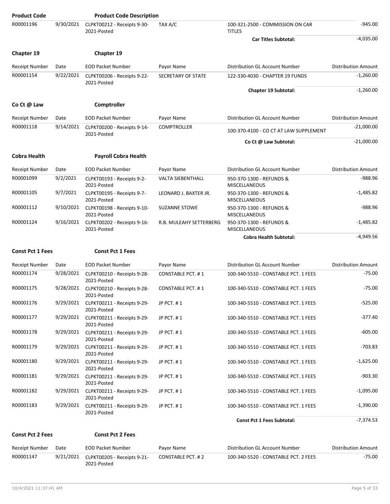| <b>Product Code</b>     |           | <b>Product Code Description</b>                      |                          |                                                   |                            |
|-------------------------|-----------|------------------------------------------------------|--------------------------|---------------------------------------------------|----------------------------|
| R00001196               | 9/30/2021 | CLPKT00212 - Receipts 9-30-<br>2021-Posted           | TAX A/C                  | 100-321-2500 - COMMISSION ON CAR<br><b>TITLES</b> | $-945.00$                  |
|                         |           |                                                      |                          | <b>Car Titles Subtotal:</b>                       | $-4,035.00$                |
| Chapter 19              |           | Chapter 19                                           |                          |                                                   |                            |
| <b>Receipt Number</b>   | Date      | <b>EOD Packet Number</b>                             | Payor Name               | Distribution GL Account Number                    | <b>Distribution Amount</b> |
| R00001154               | 9/22/2021 | CLPKT00206 - Receipts 9-22-<br>2021-Posted           | SECRETARY OF STATE       | 122-330-4030 - CHAPTER 19 FUNDS                   | $-1,260.00$                |
|                         |           |                                                      |                          | <b>Chapter 19 Subtotal:</b>                       | $-1,260.00$                |
| Co Ct @ Law             |           | Comptroller                                          |                          |                                                   |                            |
| <b>Receipt Number</b>   | Date      | <b>EOD Packet Number</b>                             | Payor Name               | Distribution GL Account Number                    | <b>Distribution Amount</b> |
| R00001118               | 9/14/2021 | CLPKT00200 - Receipts 9-14-<br>2021-Posted           | <b>COMPTROLLER</b>       | 100-370-4100 - CO CT AT LAW SUPPLEMENT            | $-21,000.00$               |
|                         |           |                                                      |                          | Co Ct @ Law Subtotal:                             | $-21,000.00$               |
| <b>Cobra Health</b>     |           | <b>Payroll Cobra Health</b>                          |                          |                                                   |                            |
| Receipt Number          | Date      | <b>EOD Packet Number</b>                             | Payor Name               | Distribution GL Account Number                    | <b>Distribution Amount</b> |
| R00001099               | 9/2/2021  | CLPKT00193 - Receipts 9-2-<br>2021-Posted            | <b>VALTA SIEBENTHALL</b> | 950-370-1300 - REFUNDS &<br><b>MISCELLANEOUS</b>  | $-988.96$                  |
| R00001105               | 9/7/2021  | CLPKT00195 - Receipts 9-7-<br>2021-Posted            | LEONARD J. BAXTER JR.    | 950-370-1300 - REFUNDS &<br>MISCELLANEOUS         | $-1,485.82$                |
| R00001112               | 9/10/2021 | CLPKT00198 - Receipts 9-10-<br>2021-Posted           | <b>SUZANNE STOWE</b>     | 950-370-1300 - REFUNDS &<br><b>MISCELLANEOUS</b>  | $-988.96$                  |
| R00001124               | 9/16/2021 | CLPKT00202 - Receipts 9-16-<br>2021-Posted           | R.B. MULEAHY SETTERBERG  | 950-370-1300 - REFUNDS &<br><b>MISCELLANEOUS</b>  | $-1,485.82$                |
|                         |           |                                                      |                          | <b>Cobra Health Subtotal:</b>                     | $-4,949.56$                |
| <b>Const Pct 1 Fees</b> |           | <b>Const Pct 1 Fees</b>                              |                          |                                                   |                            |
| Receipt Number          | Date      | <b>EOD Packet Number</b>                             | Payor Name               | Distribution GL Account Number                    | <b>Distribution Amount</b> |
| R00001174               | 9/28/2021 | CLPKT00210 - Receipts 9-28-<br>2021-Posted           | CONSTABLE PCT. #1        | 100-340-5510 - CONSTABLE PCT. 1 FEES              | $-75.00$                   |
| R00001175               | 9/28/2021 | CLPKT00210 - Receipts 9-28-<br>2021-Posted           | <b>CONSTABLE PCT. #1</b> | 100-340-5510 - CONSTABLE PCT. 1 FEES              | -75.00                     |
| R00001176               |           | 9/29/2021 CLPKT00211 - Receipts 9-29-<br>2021-Posted | JP PCT. #1               | 100-340-5510 - CONSTABLE PCT. 1 FEES              | $-525.00$                  |
| R00001177               |           | 9/29/2021 CLPKT00211 - Receipts 9-29-<br>2021-Posted | JP PCT. #1               | 100-340-5510 - CONSTABLE PCT. 1 FEES              | $-377.40$                  |
| R00001178               | 9/29/2021 | CLPKT00211 - Receipts 9-29-<br>2021-Posted           | JP PCT. #1               | 100-340-5510 - CONSTABLE PCT. 1 FEES              | $-605.00$                  |
| R00001179               | 9/29/2021 | CLPKT00211 - Receipts 9-29-<br>2021-Posted           | JP PCT. #1               | 100-340-5510 - CONSTABLE PCT. 1 FEES              | $-703.83$                  |
| R00001180               | 9/29/2021 | CLPKT00211 - Receipts 9-29-<br>2021-Posted           | JP PCT. #1               | 100-340-5510 - CONSTABLE PCT. 1 FEES              | $-1,625.00$                |
| R00001181               | 9/29/2021 | CLPKT00211 - Receipts 9-29-<br>2021-Posted           | JP PCT. #1               | 100-340-5510 - CONSTABLE PCT. 1 FEES              | $-903.30$                  |
| R00001182               | 9/29/2021 | CLPKT00211 - Receipts 9-29-<br>2021-Posted           | JP PCT. #1               | 100-340-5510 - CONSTABLE PCT. 1 FEES              | $-1,095.00$                |
| R00001183               |           | 9/29/2021 CLPKT00211 - Receipts 9-29-<br>2021-Posted | JP PCT. #1               | 100-340-5510 - CONSTABLE PCT. 1 FEES              | $-1,390.00$                |
|                         |           |                                                      |                          | <b>Const Pct 1 Fees Subtotal:</b>                 | $-7,374.53$                |
|                         |           |                                                      |                          |                                                   |                            |
| <b>Const Pct 2 Fees</b> |           | <b>Const Pct 2 Fees</b>                              |                          |                                                   |                            |

R00001147 9/21/2021 CLPKT00205 - Receipts 9-21- CONSTABLE PCT. # 2 100-340-5520 - CONSTABLE PCT. 2 FEES 475.00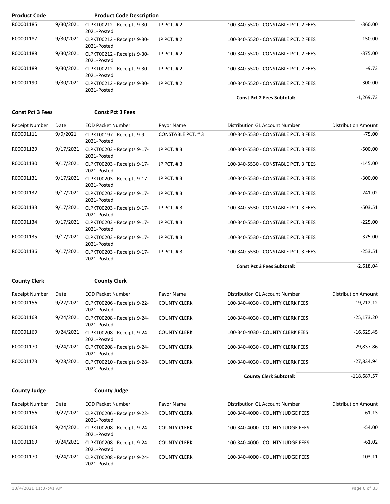| <b>Product Code</b> |           | <b>Product Code Description</b>            |              |                                      |             |
|---------------------|-----------|--------------------------------------------|--------------|--------------------------------------|-------------|
| R00001185           | 9/30/2021 | CLPKT00212 - Receipts 9-30-<br>2021-Posted | JP PCT, $#2$ | 100-340-5520 - CONSTABLE PCT, 2 FEES | $-360.00$   |
| R00001187           | 9/30/2021 | CLPKT00212 - Receipts 9-30-<br>2021-Posted | JP PCT, $#2$ | 100-340-5520 - CONSTABLE PCT. 2 FEES | $-150.00$   |
| R00001188           | 9/30/2021 | CLPKT00212 - Receipts 9-30-<br>2021-Posted | JP $PCT.$ #2 | 100-340-5520 - CONSTABLE PCT. 2 FEES | $-375.00$   |
| R00001189           | 9/30/2021 | CLPKT00212 - Receipts 9-30-<br>2021-Posted | JP $PCT.$ #2 | 100-340-5520 - CONSTABLE PCT. 2 FEES | $-9.73$     |
| R00001190           | 9/30/2021 | CLPKT00212 - Receipts 9-30-<br>2021-Posted | JP $PCT.$ #2 | 100-340-5520 - CONSTABLE PCT. 2 FEES | $-300.00$   |
|                     |           |                                            |              | <b>Const Pct 2 Fees Subtotal:</b>    | $-1,269.73$ |

#### **Const Pct 3 Fees Const Pct 3 Fees**

| <b>Distribution Amount</b> | Distribution GL Account Number       | Payor Name        | <b>EOD Packet Number</b>                   | Date      | Receipt Number |
|----------------------------|--------------------------------------|-------------------|--------------------------------------------|-----------|----------------|
| $-75.00$                   | 100-340-5530 - CONSTABLE PCT. 3 FEES | CONSTABLE PCT. #3 | CLPKT00197 - Receipts 9-9-<br>2021-Posted  | 9/9/2021  | R00001111      |
| $-500.00$                  | 100-340-5530 - CONSTABLE PCT. 3 FEES | JP PCT, #3        | CLPKT00203 - Receipts 9-17-<br>2021-Posted | 9/17/2021 | R00001129      |
| $-145.00$                  | 100-340-5530 - CONSTABLE PCT. 3 FEES | JP PCT, #3        | CLPKT00203 - Receipts 9-17-<br>2021-Posted | 9/17/2021 | R00001130      |
| $-300.00$                  | 100-340-5530 - CONSTABLE PCT. 3 FEES | JP PCT, #3        | CLPKT00203 - Receipts 9-17-<br>2021-Posted | 9/17/2021 | R00001131      |
| $-241.02$                  | 100-340-5530 - CONSTABLE PCT. 3 FEES | JP PCT, #3        | CLPKT00203 - Receipts 9-17-<br>2021-Posted | 9/17/2021 | R00001132      |
| $-503.51$                  | 100-340-5530 - CONSTABLE PCT. 3 FEES | JP PCT, #3        | CLPKT00203 - Receipts 9-17-<br>2021-Posted | 9/17/2021 | R00001133      |
| $-225.00$                  | 100-340-5530 - CONSTABLE PCT. 3 FEES | JP PCT, #3        | CLPKT00203 - Receipts 9-17-<br>2021-Posted | 9/17/2021 | R00001134      |
| $-375.00$                  | 100-340-5530 - CONSTABLE PCT. 3 FEES | JP PCT, #3        | CLPKT00203 - Receipts 9-17-<br>2021-Posted | 9/17/2021 | R00001135      |
| $-253.51$                  | 100-340-5530 - CONSTABLE PCT. 3 FEES | JP PCT, #3        | CLPKT00203 - Receipts 9-17-<br>2021-Posted | 9/17/2021 | R00001136      |
| $-2,618.04$                | <b>Const Pct 3 Fees Subtotal:</b>    |                   |                                            |           |                |

**County Clerk County Clerk**

| Receipt Number | Date      | <b>EOD Packet Number</b>                   | Payor Name          | Distribution GL Account Number   | <b>Distribution Amount</b> |
|----------------|-----------|--------------------------------------------|---------------------|----------------------------------|----------------------------|
| R00001156      | 9/22/2021 | CLPKT00206 - Receipts 9-22-<br>2021-Posted | <b>COUNTY CLERK</b> | 100-340-4030 - COUNTY CLERK FEES | $-19.212.12$               |
| R00001168      | 9/24/2021 | CLPKT00208 - Receipts 9-24-<br>2021-Posted | <b>COUNTY CLERK</b> | 100-340-4030 - COUNTY CLERK FEES | $-25,173.20$               |
| R00001169      | 9/24/2021 | CLPKT00208 - Receipts 9-24-<br>2021-Posted | <b>COUNTY CLERK</b> | 100-340-4030 - COUNTY CLERK FEES | $-16,629.45$               |
| R00001170      | 9/24/2021 | CLPKT00208 - Receipts 9-24-<br>2021-Posted | <b>COUNTY CLERK</b> | 100-340-4030 - COUNTY CLERK FEES | $-29.837.86$               |
| R00001173      | 9/28/2021 | CLPKT00210 - Receipts 9-28-<br>2021-Posted | <b>COUNTY CLERK</b> | 100-340-4030 - COUNTY CLERK FEES | $-27,834.94$               |
|                |           |                                            |                     | <b>County Clerk Subtotal:</b>    | $-118.687.57$              |

#### **County Judge County Judge**

2021-Posted

Receipt Number Date **EOD Packet Number** 

| y Judge |  |
|---------|--|

| avor Namo |  |
|-----------|--|

| Receipt Number | Date      | <b>EOD Packet Number</b>                     | Payor Name          | Distribution GL Account Number   | <b>Distribution Amount</b> |
|----------------|-----------|----------------------------------------------|---------------------|----------------------------------|----------------------------|
| R00001156      | 9/22/2021 | CLPKT00206 - Receipts 9-22-<br>2021-Posted   | <b>COUNTY CLERK</b> | 100-340-4000 - COUNTY JUDGE FEES | $-61.13$                   |
| R00001168      | 9/24/2021 | CLPKT00208 - Receipts 9-24-<br>2021-Posted   | <b>COUNTY CLERK</b> | 100-340-4000 - COUNTY JUDGE FEES | $-54.00$                   |
| R00001169      | 9/24/2021 | CLPKT00208 - Receipts 9-24-<br>2021-Posted   | <b>COUNTY CLERK</b> | 100-340-4000 - COUNTY JUDGE FEES | $-61.02$                   |
| R00001170      | 9/24/2021 | CLPKT00208 - Receipts 9-24-<br>$2021$ Doctod | <b>COUNTY CLERK</b> | 100-340-4000 - COUNTY JUDGE FEES | $-103.11$                  |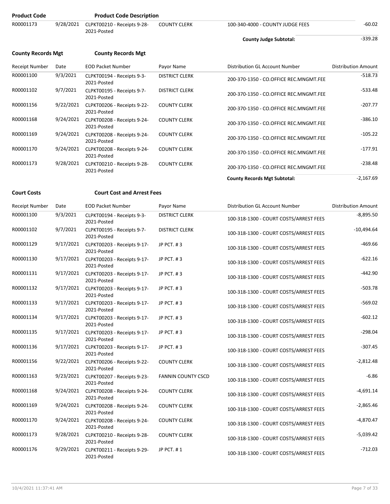| <b>Product Code</b>       |           | <b>Product Code Description</b>            |                       |                                        |                            |
|---------------------------|-----------|--------------------------------------------|-----------------------|----------------------------------------|----------------------------|
| R00001173                 | 9/28/2021 | CLPKT00210 - Receipts 9-28-<br>2021-Posted | <b>COUNTY CLERK</b>   | 100-340-4000 - COUNTY JUDGE FEES       | $-60.02$                   |
|                           |           |                                            |                       | <b>County Judge Subtotal:</b>          | $-339.28$                  |
| <b>County Records Mgt</b> |           | <b>County Records Mgt</b>                  |                       |                                        |                            |
| Receipt Number            | Date      | <b>EOD Packet Number</b>                   | Payor Name            | Distribution GL Account Number         | <b>Distribution Amount</b> |
| R00001100                 | 9/3/2021  | CLPKT00194 - Receipts 9-3-<br>2021-Posted  | <b>DISTRICT CLERK</b> | 200-370-1350 - CO.OFFICE REC.MNGMT.FEE | $-518.73$                  |
| R00001102                 | 9/7/2021  | CLPKT00195 - Receipts 9-7-<br>2021-Posted  | <b>DISTRICT CLERK</b> | 200-370-1350 - CO.OFFICE REC.MNGMT.FEE | $-533.48$                  |
| R00001156                 | 9/22/2021 | CLPKT00206 - Receipts 9-22-<br>2021-Posted | <b>COUNTY CLERK</b>   | 200-370-1350 - CO.OFFICE REC.MNGMT.FEE | $-207.77$                  |
| R00001168                 | 9/24/2021 | CLPKT00208 - Receipts 9-24-<br>2021-Posted | <b>COUNTY CLERK</b>   | 200-370-1350 - CO.OFFICE REC.MNGMT.FEE | $-386.10$                  |
| R00001169                 | 9/24/2021 | CLPKT00208 - Receipts 9-24-<br>2021-Posted | <b>COUNTY CLERK</b>   | 200-370-1350 - CO.OFFICE REC.MNGMT.FEE | $-105.22$                  |
| R00001170                 | 9/24/2021 | CLPKT00208 - Receipts 9-24-<br>2021-Posted | <b>COUNTY CLERK</b>   | 200-370-1350 - CO.OFFICE REC.MNGMT.FEE | $-177.91$                  |
| R00001173                 | 9/28/2021 | CLPKT00210 - Receipts 9-28-<br>2021-Posted | <b>COUNTY CLERK</b>   | 200-370-1350 - CO.OFFICE REC.MNGMT.FEE | $-238.48$                  |
|                           |           |                                            |                       | <b>County Records Mgt Subtotal:</b>    | $-2,167.69$                |

### **Court Costs Court Cost and Arrest Fees**

| Receipt Number | Date      | <b>EOD Packet Number</b>                             | Payor Name                | Distribution GL Account Number         | <b>Distribution Amount</b> |
|----------------|-----------|------------------------------------------------------|---------------------------|----------------------------------------|----------------------------|
| R00001100      | 9/3/2021  | CLPKT00194 - Receipts 9-3-<br>2021-Posted            | <b>DISTRICT CLERK</b>     | 100-318-1300 - COURT COSTS/ARREST FEES | $-8,895.50$                |
| R00001102      | 9/7/2021  | CLPKT00195 - Receipts 9-7-<br>2021-Posted            | <b>DISTRICT CLERK</b>     | 100-318-1300 - COURT COSTS/ARREST FEES | $-10,494.64$               |
| R00001129      | 9/17/2021 | CLPKT00203 - Receipts 9-17-<br>2021-Posted           | JP PCT. #3                | 100-318-1300 - COURT COSTS/ARREST FEES | $-469.66$                  |
| R00001130      | 9/17/2021 | CLPKT00203 - Receipts 9-17-<br>2021-Posted           | JP PCT. #3                | 100-318-1300 - COURT COSTS/ARREST FEES | $-622.16$                  |
| R00001131      |           | 9/17/2021 CLPKT00203 - Receipts 9-17-<br>2021-Posted | JP PCT. #3                | 100-318-1300 - COURT COSTS/ARREST FEES | $-442.90$                  |
| R00001132      |           | 9/17/2021 CLPKT00203 - Receipts 9-17-<br>2021-Posted | JP PCT. #3                | 100-318-1300 - COURT COSTS/ARREST FEES | $-503.78$                  |
| R00001133      |           | 9/17/2021 CLPKT00203 - Receipts 9-17-<br>2021-Posted | JP PCT. #3                | 100-318-1300 - COURT COSTS/ARREST FEES | $-569.02$                  |
| R00001134      | 9/17/2021 | CLPKT00203 - Receipts 9-17-<br>2021-Posted           | JP PCT. #3                | 100-318-1300 - COURT COSTS/ARREST FEES | $-602.12$                  |
| R00001135      |           | 9/17/2021 CLPKT00203 - Receipts 9-17-<br>2021-Posted | JP PCT. #3                | 100-318-1300 - COURT COSTS/ARREST FEES | $-298.04$                  |
| R00001136      | 9/17/2021 | CLPKT00203 - Receipts 9-17-<br>2021-Posted           | JP PCT, #3                | 100-318-1300 - COURT COSTS/ARREST FEES | $-307.45$                  |
| R00001156      | 9/22/2021 | CLPKT00206 - Receipts 9-22-<br>2021-Posted           | <b>COUNTY CLERK</b>       | 100-318-1300 - COURT COSTS/ARREST FEES | $-2,812.48$                |
| R00001163      | 9/23/2021 | CLPKT00207 - Receipts 9-23-<br>2021-Posted           | <b>FANNIN COUNTY CSCD</b> | 100-318-1300 - COURT COSTS/ARREST FEES | $-6.86$                    |
| R00001168      | 9/24/2021 | CLPKT00208 - Receipts 9-24-<br>2021-Posted           | <b>COUNTY CLERK</b>       | 100-318-1300 - COURT COSTS/ARREST FEES | $-4,691.14$                |
| R00001169      | 9/24/2021 | CLPKT00208 - Receipts 9-24-<br>2021-Posted           | <b>COUNTY CLERK</b>       | 100-318-1300 - COURT COSTS/ARREST FEES | $-2,865.46$                |
| R00001170      | 9/24/2021 | CLPKT00208 - Receipts 9-24-<br>2021-Posted           | <b>COUNTY CLERK</b>       | 100-318-1300 - COURT COSTS/ARREST FEES | $-4,870.47$                |
| R00001173      | 9/28/2021 | CLPKT00210 - Receipts 9-28-<br>2021-Posted           | <b>COUNTY CLERK</b>       | 100-318-1300 - COURT COSTS/ARREST FEES | $-5,039.42$                |
| R00001176      | 9/29/2021 | CLPKT00211 - Receipts 9-29-<br>2021-Posted           | JP PCT. #1                | 100-318-1300 - COURT COSTS/ARREST FEES | $-712.03$                  |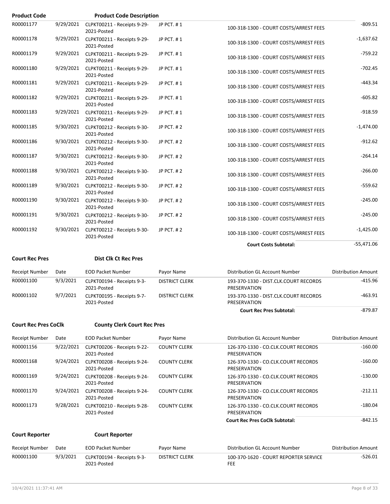| <b>Product Code</b>         |           |                                                      |                       |                                                       |                            |
|-----------------------------|-----------|------------------------------------------------------|-----------------------|-------------------------------------------------------|----------------------------|
| R00001177                   | 9/29/2021 | <b>Product Code Description</b>                      |                       |                                                       | $-809.51$                  |
|                             |           | CLPKT00211 - Receipts 9-29-<br>2021-Posted           | JP PCT. #1            | 100-318-1300 - COURT COSTS/ARREST FEES                |                            |
| R00001178                   |           | 9/29/2021 CLPKT00211 - Receipts 9-29-<br>2021-Posted | JP PCT. #1            | 100-318-1300 - COURT COSTS/ARREST FEES                | $-1,637.62$                |
| R00001179                   |           | 9/29/2021 CLPKT00211 - Receipts 9-29-<br>2021-Posted | JP PCT. #1            | 100-318-1300 - COURT COSTS/ARREST FEES                | $-759.22$                  |
| R00001180                   |           | 9/29/2021 CLPKT00211 - Receipts 9-29-<br>2021-Posted | JP PCT. #1            | 100-318-1300 - COURT COSTS/ARREST FEES                | $-702.45$                  |
| R00001181                   |           | 9/29/2021 CLPKT00211 - Receipts 9-29-<br>2021-Posted | JP PCT. #1            | 100-318-1300 - COURT COSTS/ARREST FEES                | $-443.34$                  |
| R00001182                   |           | 9/29/2021 CLPKT00211 - Receipts 9-29-<br>2021-Posted | JP PCT. #1            | 100-318-1300 - COURT COSTS/ARREST FEES                | $-605.82$                  |
| R00001183                   |           | 9/29/2021 CLPKT00211 - Receipts 9-29-<br>2021-Posted | JP PCT. #1            | 100-318-1300 - COURT COSTS/ARREST FEES                | $-918.59$                  |
| R00001185                   |           | 9/30/2021 CLPKT00212 - Receipts 9-30-<br>2021-Posted | JP PCT. #2            | 100-318-1300 - COURT COSTS/ARREST FEES                | $-1,474.00$                |
| R00001186                   |           | 9/30/2021 CLPKT00212 - Receipts 9-30-<br>2021-Posted | JP PCT. #2            | 100-318-1300 - COURT COSTS/ARREST FEES                | $-912.62$                  |
| R00001187                   |           | 9/30/2021 CLPKT00212 - Receipts 9-30-<br>2021-Posted | JP PCT. #2            | 100-318-1300 - COURT COSTS/ARREST FEES                | $-264.14$                  |
| R00001188                   |           | 9/30/2021 CLPKT00212 - Receipts 9-30-<br>2021-Posted | JP PCT. #2            | 100-318-1300 - COURT COSTS/ARREST FEES                | $-266.00$                  |
| R00001189                   |           | 9/30/2021 CLPKT00212 - Receipts 9-30-<br>2021-Posted | JP PCT. #2            | 100-318-1300 - COURT COSTS/ARREST FEES                | $-559.62$                  |
| R00001190                   |           | 9/30/2021 CLPKT00212 - Receipts 9-30-<br>2021-Posted | JP PCT. #2            | 100-318-1300 - COURT COSTS/ARREST FEES                | $-245.00$                  |
| R00001191                   | 9/30/2021 | CLPKT00212 - Receipts 9-30-<br>2021-Posted           | JP PCT. #2            | 100-318-1300 - COURT COSTS/ARREST FEES                | $-245.00$                  |
| R00001192                   | 9/30/2021 | CLPKT00212 - Receipts 9-30-<br>2021-Posted           | JP PCT. #2            | 100-318-1300 - COURT COSTS/ARREST FEES                | $-1,425.00$                |
|                             |           |                                                      |                       | <b>Court Costs Subtotal:</b>                          | $-55,471.06$               |
| <b>Court Rec Pres</b>       |           | <b>Dist Clk Ct Rec Pres</b>                          |                       |                                                       |                            |
| <b>Receipt Number</b>       | Date      | <b>EOD Packet Number</b>                             | Payor Name            | Distribution GL Account Number                        | <b>Distribution Amount</b> |
| R00001100                   | 9/3/2021  | CLPKT00194 - Receipts 9-3-<br>2021-Posted            | <b>DISTRICT CLERK</b> | 193-370-1330 - DIST.CLK.COURT RECORDS<br>PRESERVATION | $-415.96$                  |
| R00001102                   | 9/7/2021  | CLPKT00195 - Receipts 9-7-<br>2021-Posted            | <b>DISTRICT CLERK</b> | 193-370-1330 - DIST.CLK.COURT RECORDS<br>PRESERVATION | -463.91                    |
|                             |           |                                                      |                       | <b>Court Rec Pres Subtotal:</b>                       | $-879.87$                  |
| <b>Court Rec Pres CoClk</b> |           | <b>County Clerk Court Rec Pres</b>                   |                       |                                                       |                            |
| <b>Receipt Number</b>       | Date      | <b>EOD Packet Number</b>                             | Payor Name            | Distribution GL Account Number                        | Distribution Amount        |
| R00001156                   | 9/22/2021 | CLPKT00206 - Receipts 9-22-                          | <b>COUNTY CLERK</b>   | 126-370-1330 - CO.CLK.COURT RECORDS                   | $-160.00$                  |
| R00001168                   | 9/24/2021 | 2021-Posted<br>CLPKT00208 - Receipts 9-24-           | <b>COUNTY CLERK</b>   | PRESERVATION<br>126-370-1330 - CO.CLK.COURT RECORDS   | $-160.00$                  |
| R00001169                   | 9/24/2021 | 2021-Posted<br>CLPKT00208 - Receipts 9-24-           | <b>COUNTY CLERK</b>   | PRESERVATION<br>126-370-1330 - CO.CLK.COURT RECORDS   | $-130.00$                  |
|                             |           | 2021-Posted                                          |                       | PRESERVATION                                          |                            |
| R00001170                   | 9/24/2021 | CLPKT00208 - Receipts 9-24-<br>2021-Posted           | <b>COUNTY CLERK</b>   | 126-370-1330 - CO.CLK.COURT RECORDS<br>PRESERVATION   | $-212.11$                  |
| R00001173                   | 9/28/2021 | CLPKT00210 - Receipts 9-28-                          | <b>COUNTY CLERK</b>   | 126-370-1330 - CO.CLK.COURT RECORDS                   | $-180.04$                  |

| <b>Court Reporter</b> | <b>Court Reporter</b> |  |
|-----------------------|-----------------------|--|
|                       |                       |  |

2021-Posted

| Receipt Number | Date     | EOD Packet Number                         | Pavor Name     | Distribution GL Account Number                      | Distribution Amount |
|----------------|----------|-------------------------------------------|----------------|-----------------------------------------------------|---------------------|
| R00001100      | 9/3/2021 | CLPKT00194 - Receipts 9-3-<br>2021-Posted | DISTRICT CLERK | 100-370-1620 - COURT REPORTER SERVICE<br><b>FEE</b> | -526.01             |

PRESERVATION

**Court Rec Pres CoClk Subtotal:** 4842.15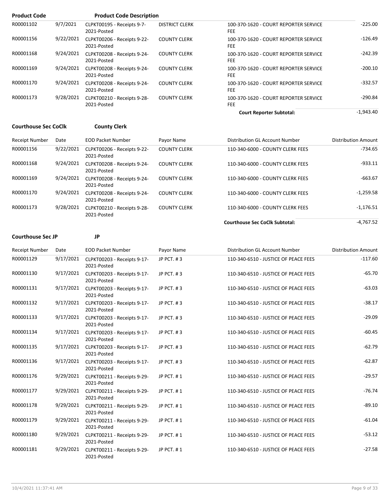| <b>Product Code</b> |           | <b>Product Code Description</b>            |                       |                                                     |             |
|---------------------|-----------|--------------------------------------------|-----------------------|-----------------------------------------------------|-------------|
| R00001102           | 9/7/2021  | CLPKT00195 - Receipts 9-7-<br>2021-Posted  | <b>DISTRICT CLERK</b> | 100-370-1620 - COURT REPORTER SERVICE<br><b>FEE</b> | $-225.00$   |
| R00001156           | 9/22/2021 | CLPKT00206 - Receipts 9-22-<br>2021-Posted | <b>COUNTY CLERK</b>   | 100-370-1620 - COURT REPORTER SERVICE<br><b>FEE</b> | $-126.49$   |
| R00001168           | 9/24/2021 | CLPKT00208 - Receipts 9-24-<br>2021-Posted | <b>COUNTY CLERK</b>   | 100-370-1620 - COURT REPORTER SERVICE<br><b>FEE</b> | $-242.39$   |
| R00001169           | 9/24/2021 | CLPKT00208 - Receipts 9-24-<br>2021-Posted | <b>COUNTY CLERK</b>   | 100-370-1620 - COURT REPORTER SERVICE<br><b>FEE</b> | $-200.10$   |
| R00001170           | 9/24/2021 | CLPKT00208 - Receipts 9-24-<br>2021-Posted | <b>COUNTY CLERK</b>   | 100-370-1620 - COURT REPORTER SERVICE<br><b>FEE</b> | $-332.57$   |
| R00001173           | 9/28/2021 | CLPKT00210 - Receipts 9-28-<br>2021-Posted | <b>COUNTY CLERK</b>   | 100-370-1620 - COURT REPORTER SERVICE<br><b>FEE</b> | $-290.84$   |
|                     |           |                                            |                       | <b>Court Reporter Subtotal:</b>                     | $-1,943.40$ |

### **Courthouse Sec CoClk County Clerk**

| Receipt Number | Date      | <b>EOD Packet Number</b>                   | Payor Name          | Distribution GL Account Number        | <b>Distribution Amount</b> |
|----------------|-----------|--------------------------------------------|---------------------|---------------------------------------|----------------------------|
| R00001156      | 9/22/2021 | CLPKT00206 - Receipts 9-22-<br>2021-Posted | <b>COUNTY CLERK</b> | 110-340-6000 - COUNTY CLERK FEES      | $-734.65$                  |
| R00001168      | 9/24/2021 | CLPKT00208 - Receipts 9-24-<br>2021-Posted | <b>COUNTY CLERK</b> | 110-340-6000 - COUNTY CLERK FEES      | $-933.11$                  |
| R00001169      | 9/24/2021 | CLPKT00208 - Receipts 9-24-<br>2021-Posted | <b>COUNTY CLERK</b> | 110-340-6000 - COUNTY CLERK FEES      | $-663.67$                  |
| R00001170      | 9/24/2021 | CLPKT00208 - Receipts 9-24-<br>2021-Posted | <b>COUNTY CLERK</b> | 110-340-6000 - COUNTY CLERK FEES      | $-1,259.58$                |
| R00001173      | 9/28/2021 | CLPKT00210 - Receipts 9-28-<br>2021-Posted | <b>COUNTY CLERK</b> | 110-340-6000 - COUNTY CLERK FEES      | $-1,176.51$                |
|                |           |                                            |                     | <b>Courthouse Sec CoClk Subtotal:</b> | $-4.767.52$                |

#### **Courthouse Sec JP JP**

| <b>Receipt Number</b> | Date      | <b>EOD Packet Number</b>                   | Payor Name | Distribution GL Account Number       | <b>Distribution Amount</b> |
|-----------------------|-----------|--------------------------------------------|------------|--------------------------------------|----------------------------|
| R00001129             | 9/17/2021 | CLPKT00203 - Receipts 9-17-<br>2021-Posted | JP PCT. #3 | 110-340-6510 - JUSTICE OF PEACE FEES | $-117.60$                  |
| R00001130             | 9/17/2021 | CLPKT00203 - Receipts 9-17-<br>2021-Posted | JP PCT. #3 | 110-340-6510 - JUSTICE OF PEACE FEES | $-65.70$                   |
| R00001131             | 9/17/2021 | CLPKT00203 - Receipts 9-17-<br>2021-Posted | JP PCT, #3 | 110-340-6510 - JUSTICE OF PEACE FEES | $-63.03$                   |
| R00001132             | 9/17/2021 | CLPKT00203 - Receipts 9-17-<br>2021-Posted | JP PCT, #3 | 110-340-6510 - JUSTICE OF PEACE FEES | $-38.17$                   |
| R00001133             | 9/17/2021 | CLPKT00203 - Receipts 9-17-<br>2021-Posted | JP PCT. #3 | 110-340-6510 - JUSTICE OF PEACE FEES | $-29.09$                   |
| R00001134             | 9/17/2021 | CLPKT00203 - Receipts 9-17-<br>2021-Posted | JP PCT. #3 | 110-340-6510 - JUSTICE OF PEACE FEES | $-60.45$                   |
| R00001135             | 9/17/2021 | CLPKT00203 - Receipts 9-17-<br>2021-Posted | JP PCT. #3 | 110-340-6510 - JUSTICE OF PEACE FEES | $-62.79$                   |
| R00001136             | 9/17/2021 | CLPKT00203 - Receipts 9-17-<br>2021-Posted | JP PCT. #3 | 110-340-6510 - JUSTICE OF PEACE FEES | $-62.87$                   |
| R00001176             | 9/29/2021 | CLPKT00211 - Receipts 9-29-<br>2021-Posted | JP PCT. #1 | 110-340-6510 - JUSTICE OF PEACE FEES | $-29.57$                   |
| R00001177             | 9/29/2021 | CLPKT00211 - Receipts 9-29-<br>2021-Posted | JP PCT. #1 | 110-340-6510 - JUSTICE OF PEACE FEES | $-76.74$                   |
| R00001178             | 9/29/2021 | CLPKT00211 - Receipts 9-29-<br>2021-Posted | JP PCT, #1 | 110-340-6510 - JUSTICE OF PEACE FEES | $-89.10$                   |
| R00001179             | 9/29/2021 | CLPKT00211 - Receipts 9-29-<br>2021-Posted | JP PCT. #1 | 110-340-6510 - JUSTICE OF PEACE FEES | $-61.04$                   |
| R00001180             | 9/29/2021 | CLPKT00211 - Receipts 9-29-<br>2021-Posted | JP PCT. #1 | 110-340-6510 - JUSTICE OF PEACE FEES | $-53.12$                   |
| R00001181             | 9/29/2021 | CLPKT00211 - Receipts 9-29-<br>2021-Posted | JP PCT. #1 | 110-340-6510 - JUSTICE OF PEACE FEES | $-27.58$                   |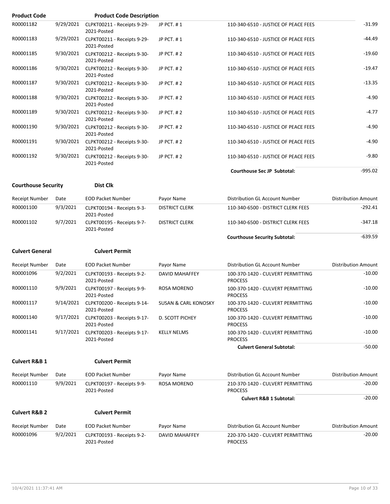| <b>Product Code</b>        |           | <b>Product Code Description</b>            |                                 |                                                     |                            |
|----------------------------|-----------|--------------------------------------------|---------------------------------|-----------------------------------------------------|----------------------------|
| R00001182                  | 9/29/2021 | CLPKT00211 - Receipts 9-29-<br>2021-Posted | JP PCT. #1                      | 110-340-6510 - JUSTICE OF PEACE FEES                | $-31.99$                   |
| R00001183                  | 9/29/2021 | CLPKT00211 - Receipts 9-29-<br>2021-Posted | JP PCT. #1                      | 110-340-6510 - JUSTICE OF PEACE FEES                | $-44.49$                   |
| R00001185                  | 9/30/2021 | CLPKT00212 - Receipts 9-30-<br>2021-Posted | <b>JP PCT. #2</b>               | 110-340-6510 - JUSTICE OF PEACE FEES                | $-19.60$                   |
| R00001186                  | 9/30/2021 | CLPKT00212 - Receipts 9-30-<br>2021-Posted | JP PCT. #2                      | 110-340-6510 - JUSTICE OF PEACE FEES                | $-19.47$                   |
| R00001187                  | 9/30/2021 | CLPKT00212 - Receipts 9-30-<br>2021-Posted | JP PCT. #2                      | 110-340-6510 - JUSTICE OF PEACE FEES                | $-13.35$                   |
| R00001188                  | 9/30/2021 | CLPKT00212 - Receipts 9-30-<br>2021-Posted | JP PCT. #2                      | 110-340-6510 - JUSTICE OF PEACE FEES                | $-4.90$                    |
| R00001189                  | 9/30/2021 | CLPKT00212 - Receipts 9-30-<br>2021-Posted | JP PCT. #2                      | 110-340-6510 - JUSTICE OF PEACE FEES                | $-4.77$                    |
| R00001190                  | 9/30/2021 | CLPKT00212 - Receipts 9-30-<br>2021-Posted | JP PCT. #2                      | 110-340-6510 - JUSTICE OF PEACE FEES                | -4.90                      |
| R00001191                  | 9/30/2021 | CLPKT00212 - Receipts 9-30-<br>2021-Posted | JP PCT. #2                      | 110-340-6510 - JUSTICE OF PEACE FEES                | $-4.90$                    |
| R00001192                  | 9/30/2021 | CLPKT00212 - Receipts 9-30-<br>2021-Posted | JP PCT. #2                      | 110-340-6510 - JUSTICE OF PEACE FEES                | $-9.80$                    |
|                            |           |                                            |                                 | Courthouse Sec JP Subtotal:                         | $-995.02$                  |
| <b>Courthouse Security</b> |           | <b>Dist Clk</b>                            |                                 |                                                     |                            |
| Receipt Number             | Date      | <b>EOD Packet Number</b>                   | Payor Name                      | Distribution GL Account Number                      | <b>Distribution Amount</b> |
| R00001100                  | 9/3/2021  | CLPKT00194 - Receipts 9-3-<br>2021-Posted  | <b>DISTRICT CLERK</b>           | 110-340-6500 - DISTRICT CLERK FEES                  | $-292.41$                  |
| R00001102                  | 9/7/2021  | CLPKT00195 - Receipts 9-7-<br>2021-Posted  | <b>DISTRICT CLERK</b>           | 110-340-6500 - DISTRICT CLERK FEES                  | $-347.18$                  |
|                            |           |                                            |                                 | <b>Courthouse Security Subtotal:</b>                | $-639.59$                  |
|                            |           |                                            |                                 |                                                     |                            |
| <b>Culvert General</b>     |           | <b>Culvert Permit</b>                      |                                 |                                                     |                            |
| Receipt Number             | Date      | <b>EOD Packet Number</b>                   | Payor Name                      | Distribution GL Account Number                      | <b>Distribution Amount</b> |
| R00001096                  | 9/2/2021  | CLPKT00193 - Receipts 9-2-<br>2021-Posted  | <b>DAVID MAHAFFEY</b>           | 100-370-1420 - CULVERT PERMITTING<br><b>PROCESS</b> | $-10.00$                   |
| R00001110                  | 9/9/2021  | CLPKT00197 - Receipts 9-9-<br>2021-Posted  | <b>ROSA MORENO</b>              | 100-370-1420 - CULVERT PERMITTING<br><b>PROCESS</b> | $-10.00$                   |
| R00001117                  | 9/14/2021 | CLPKT00200 - Receipts 9-14-<br>2021-Posted | <b>SUSAN &amp; CARL KONOSKY</b> | 100-370-1420 - CULVERT PERMITTING<br><b>PROCESS</b> | $-10.00$                   |
| R00001140                  | 9/17/2021 | CLPKT00203 - Receipts 9-17-<br>2021-Posted | D. SCOTT PICHEY                 | 100-370-1420 - CULVERT PERMITTING<br><b>PROCESS</b> | $-10.00$                   |
| R00001141                  | 9/17/2021 | CLPKT00203 - Receipts 9-17-<br>2021-Posted | <b>KELLY NELMS</b>              | 100-370-1420 - CULVERT PERMITTING<br><b>PROCESS</b> | $-10.00$                   |
|                            |           |                                            |                                 | <b>Culvert General Subtotal:</b>                    | $-50.00$                   |
| <b>Culvert R&amp;B 1</b>   |           | <b>Culvert Permit</b>                      |                                 |                                                     |                            |
| Receipt Number             | Date      | <b>EOD Packet Number</b>                   | Payor Name                      | Distribution GL Account Number                      | <b>Distribution Amount</b> |
| R00001110                  | 9/9/2021  | CLPKT00197 - Receipts 9-9-<br>2021-Posted  | ROSA MORENO                     | 210-370-1420 - CULVERT PERMITTING<br><b>PROCESS</b> | $-20.00$                   |
|                            |           |                                            |                                 | <b>Culvert R&amp;B 1 Subtotal:</b>                  | $-20.00$                   |
| <b>Culvert R&amp;B 2</b>   |           | <b>Culvert Permit</b>                      |                                 |                                                     |                            |
| Receipt Number             | Date      | <b>EOD Packet Number</b>                   | Payor Name                      | Distribution GL Account Number                      | <b>Distribution Amount</b> |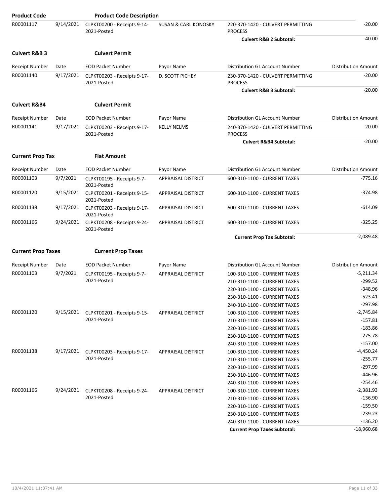| <b>Product Code</b>       |           | <b>Product Code Description</b>            |                                 |                                                     |                            |
|---------------------------|-----------|--------------------------------------------|---------------------------------|-----------------------------------------------------|----------------------------|
| R00001117                 | 9/14/2021 | CLPKT00200 - Receipts 9-14-<br>2021-Posted | <b>SUSAN &amp; CARL KONOSKY</b> | 220-370-1420 - CULVERT PERMITTING<br><b>PROCESS</b> | $-20.00$                   |
|                           |           |                                            |                                 | <b>Culvert R&amp;B 2 Subtotal:</b>                  | $-40.00$                   |
| <b>Culvert R&amp;B 3</b>  |           | <b>Culvert Permit</b>                      |                                 |                                                     |                            |
| <b>Receipt Number</b>     | Date      | <b>EOD Packet Number</b>                   | Payor Name                      | Distribution GL Account Number                      | <b>Distribution Amount</b> |
| R00001140                 | 9/17/2021 | CLPKT00203 - Receipts 9-17-                | D. SCOTT PICHEY                 | 230-370-1420 - CULVERT PERMITTING                   | $-20.00$                   |
|                           |           | 2021-Posted                                |                                 | <b>PROCESS</b>                                      |                            |
|                           |           |                                            |                                 | <b>Culvert R&amp;B 3 Subtotal:</b>                  | $-20.00$                   |
| <b>Culvert R&amp;B4</b>   |           | <b>Culvert Permit</b>                      |                                 |                                                     |                            |
| <b>Receipt Number</b>     | Date      | <b>EOD Packet Number</b>                   | Payor Name                      | Distribution GL Account Number                      | <b>Distribution Amount</b> |
| R00001141                 | 9/17/2021 | CLPKT00203 - Receipts 9-17-<br>2021-Posted | <b>KELLY NELMS</b>              | 240-370-1420 - CULVERT PERMITTING<br><b>PROCESS</b> | $-20.00$                   |
|                           |           |                                            |                                 | <b>Culvert R&amp;B4 Subtotal:</b>                   | $-20.00$                   |
|                           |           |                                            |                                 |                                                     |                            |
| <b>Current Prop Tax</b>   |           | <b>Flat Amount</b>                         |                                 |                                                     |                            |
| <b>Receipt Number</b>     | Date      | <b>EOD Packet Number</b>                   | Payor Name                      | Distribution GL Account Number                      | <b>Distribution Amount</b> |
| R00001103                 | 9/7/2021  | CLPKT00195 - Receipts 9-7-<br>2021-Posted  | APPRAISAL DISTRICT              | 600-310-1100 - CURRENT TAXES                        | $-775.16$                  |
| R00001120                 | 9/15/2021 | CLPKT00201 - Receipts 9-15-<br>2021-Posted | APPRAISAL DISTRICT              | 600-310-1100 - CURRENT TAXES                        | $-374.98$                  |
| R00001138                 | 9/17/2021 | CLPKT00203 - Receipts 9-17-<br>2021-Posted | <b>APPRAISAL DISTRICT</b>       | 600-310-1100 - CURRENT TAXES                        | $-614.09$                  |
| R00001166                 | 9/24/2021 | CLPKT00208 - Receipts 9-24-<br>2021-Posted | APPRAISAL DISTRICT              | 600-310-1100 - CURRENT TAXES                        | $-325.25$                  |
|                           |           |                                            |                                 | <b>Current Prop Tax Subtotal:</b>                   | $-2,089.48$                |
| <b>Current Prop Taxes</b> |           | <b>Current Prop Taxes</b>                  |                                 |                                                     |                            |
|                           |           |                                            |                                 |                                                     |                            |
| <b>Receipt Number</b>     | Date      | <b>EOD Packet Number</b>                   | Payor Name                      | Distribution GL Account Number                      | <b>Distribution Amount</b> |
| R00001103                 | 9/7/2021  | CLPKT00195 - Receipts 9-7-<br>2021-Posted  | APPRAISAL DISTRICT              | 100-310-1100 - CURRENT TAXES                        | $-5,211.34$<br>$-299.52$   |
|                           |           |                                            |                                 | 210-310-1100 - CURRENT TAXES                        | $-348.96$                  |
|                           |           |                                            |                                 | 220-310-1100 - CURRENT TAXES                        | $-523.41$                  |
|                           |           |                                            |                                 | 230-310-1100 - CURRENT TAXES                        |                            |
|                           |           |                                            |                                 | 240-310-1100 - CURRENT TAXES                        | $-297.98$<br>$-2,745.84$   |
| R00001120                 | 9/15/2021 | CLPKT00201 - Receipts 9-15-<br>2021-Posted | APPRAISAL DISTRICT              | 100-310-1100 - CURRENT TAXES                        | $-157.81$                  |
|                           |           |                                            |                                 | 210-310-1100 - CURRENT TAXES                        | $-183.86$                  |
|                           |           |                                            |                                 | 220-310-1100 - CURRENT TAXES                        | $-275.78$                  |
|                           |           |                                            |                                 | 230-310-1100 - CURRENT TAXES                        | $-157.00$                  |
|                           |           |                                            |                                 | 240-310-1100 - CURRENT TAXES                        |                            |
| R00001138                 | 9/17/2021 | CLPKT00203 - Receipts 9-17-<br>2021-Posted | <b>APPRAISAL DISTRICT</b>       | 100-310-1100 - CURRENT TAXES                        | $-4,450.24$<br>$-255.77$   |
|                           |           |                                            |                                 | 210-310-1100 - CURRENT TAXES                        |                            |
|                           |           |                                            |                                 | 220-310-1100 - CURRENT TAXES                        | $-297.99$                  |
|                           |           |                                            |                                 | 230-310-1100 - CURRENT TAXES                        | $-446.96$                  |
|                           |           |                                            |                                 | 240-310-1100 - CURRENT TAXES                        | $-254.46$                  |
| R00001166                 | 9/24/2021 | CLPKT00208 - Receipts 9-24-                | <b>APPRAISAL DISTRICT</b>       | 100-310-1100 - CURRENT TAXES                        | $-2,381.93$                |
|                           |           | 2021-Posted                                |                                 | 210-310-1100 - CURRENT TAXES                        | $-136.90$                  |
|                           |           |                                            |                                 | 220-310-1100 - CURRENT TAXES                        | $-159.50$                  |
|                           |           |                                            |                                 | 230-310-1100 - CURRENT TAXES                        | $-239.23$                  |
|                           |           |                                            |                                 | 240-310-1100 - CURRENT TAXES                        | $-136.20$                  |
|                           |           |                                            |                                 | <b>Current Prop Taxes Subtotal:</b>                 | $-18,960.68$               |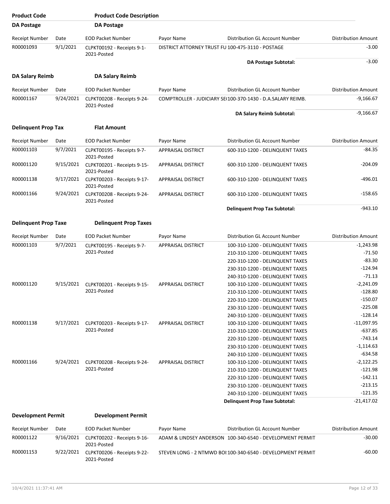| <b>Product Code</b>         |           | <b>Product Code Description</b>            |                                                   |                                                             |                            |
|-----------------------------|-----------|--------------------------------------------|---------------------------------------------------|-------------------------------------------------------------|----------------------------|
| DA Postage                  |           | <b>DA Postage</b>                          |                                                   |                                                             |                            |
| <b>Receipt Number</b>       | Date      | <b>EOD Packet Number</b>                   | Payor Name                                        | Distribution GL Account Number                              | <b>Distribution Amount</b> |
| R00001093                   | 9/1/2021  | CLPKT00192 - Receipts 9-1-<br>2021-Posted  | DISTRICT ATTORNEY TRUST FU 100-475-3110 - POSTAGE |                                                             | $-3.00$                    |
|                             |           |                                            |                                                   | <b>DA Postage Subtotal:</b>                                 | $-3.00$                    |
| <b>DA Salary Reimb</b>      |           | <b>DA Salary Reimb</b>                     |                                                   |                                                             |                            |
| <b>Receipt Number</b>       | Date      | <b>EOD Packet Number</b>                   | Payor Name                                        | Distribution GL Account Number                              | <b>Distribution Amount</b> |
| R00001167                   | 9/24/2021 | CLPKT00208 - Receipts 9-24-<br>2021-Posted |                                                   | COMPTROLLER - JUDICIARY SE(100-370-1430 - D.A.SALARY REIMB. | $-9,166.67$                |
|                             |           |                                            |                                                   | DA Salary Reimb Subtotal:                                   | $-9,166.67$                |
| <b>Delinquent Prop Tax</b>  |           | <b>Flat Amount</b>                         |                                                   |                                                             |                            |
| <b>Receipt Number</b>       | Date      | <b>EOD Packet Number</b>                   | Payor Name                                        | Distribution GL Account Number                              | <b>Distribution Amount</b> |
| R00001103                   | 9/7/2021  | CLPKT00195 - Receipts 9-7-<br>2021-Posted  | APPRAISAL DISTRICT                                | 600-310-1200 - DELINQUENT TAXES                             | $-84.35$                   |
| R00001120                   | 9/15/2021 | CLPKT00201 - Receipts 9-15-<br>2021-Posted | <b>APPRAISAL DISTRICT</b>                         | 600-310-1200 - DELINQUENT TAXES                             | $-204.09$                  |
| R00001138                   | 9/17/2021 | CLPKT00203 - Receipts 9-17-<br>2021-Posted | <b>APPRAISAL DISTRICT</b>                         | 600-310-1200 - DELINQUENT TAXES                             | $-496.01$                  |
| R00001166                   | 9/24/2021 | CLPKT00208 - Receipts 9-24-<br>2021-Posted | <b>APPRAISAL DISTRICT</b>                         | 600-310-1200 - DELINQUENT TAXES                             | $-158.65$                  |
|                             |           |                                            |                                                   | <b>Delinquent Prop Tax Subtotal:</b>                        | $-943.10$                  |
| <b>Delinquent Prop Taxe</b> |           | <b>Delinquent Prop Taxes</b>               |                                                   |                                                             |                            |
| <b>Receipt Number</b>       | Date      | <b>EOD Packet Number</b>                   | Payor Name                                        | Distribution GL Account Number                              | <b>Distribution Amount</b> |
| R00001103                   | 9/7/2021  | CLPKT00195 - Receipts 9-7-                 | <b>APPRAISAL DISTRICT</b>                         | 100-310-1200 - DELINQUENT TAXES                             | $-1,243.98$                |
|                             |           | 2021-Posted                                |                                                   | 210-310-1200 - DELINQUENT TAXES                             | $-71.50$                   |
|                             |           |                                            |                                                   | 220-310-1200 - DELINQUENT TAXES                             | $-83.30$                   |
|                             |           |                                            |                                                   | 230-310-1200 - DELINQUENT TAXES                             | $-124.94$                  |
|                             |           |                                            |                                                   | 240-310-1200 - DELINQUENT TAXES                             | $-71.13$                   |
| R00001120                   | 9/15/2021 | CLPKT00201 - Receipts 9-15-                | <b>APPRAISAL DISTRICT</b>                         | 100-310-1200 - DELINQUENT TAXES                             | $-2,241.09$                |
|                             |           | 2021-Posted                                |                                                   | 210-310-1200 - DELINQUENT TAXES                             | $-128.80$                  |
|                             |           |                                            |                                                   | 220-310-1200 - DELINQUENT TAXES                             | $-150.07$                  |
|                             |           |                                            |                                                   | 230-310-1200 - DELINQUENT TAXES                             | $-225.08$                  |
|                             |           |                                            |                                                   | 240-310-1200 - DELINQUENT TAXES                             | $-128.14$                  |
| R00001138                   | 9/17/2021 | CLPKT00203 - Receipts 9-17-                | <b>APPRAISAL DISTRICT</b>                         | 100-310-1200 - DELINQUENT TAXES                             | $-11,097.95$               |
|                             |           | 2021-Posted                                |                                                   | 210-310-1200 - DELINQUENT TAXES                             | $-637.85$                  |
|                             |           |                                            |                                                   | 220-310-1200 - DELINQUENT TAXES                             | $-743.14$                  |
|                             |           |                                            |                                                   | 230-310-1200 - DELINQUENT TAXES                             | $-1,114.63$                |
|                             |           |                                            |                                                   | 240-310-1200 - DELINQUENT TAXES                             | $-634.58$                  |
| R00001166                   | 9/24/2021 | CLPKT00208 - Receipts 9-24-                | <b>APPRAISAL DISTRICT</b>                         | 100-310-1200 - DELINQUENT TAXES                             | $-2,122.25$                |
|                             |           | 2021-Posted                                |                                                   | 210-310-1200 - DELINQUENT TAXES                             | $-121.98$                  |
|                             |           |                                            |                                                   | 220-310-1200 - DELINQUENT TAXES                             | $-142.11$                  |
|                             |           |                                            |                                                   | 230-310-1200 - DELINQUENT TAXES                             | $-213.15$                  |
|                             |           |                                            |                                                   | 240-310-1200 - DELINQUENT TAXES                             | $-121.35$                  |
|                             |           |                                            |                                                   | <b>Delinquent Prop Taxe Subtotal:</b>                       | $-21,417.02$               |
| <b>Development Permit</b>   |           | <b>Development Permit</b>                  |                                                   |                                                             |                            |
|                             |           |                                            |                                                   |                                                             |                            |
| Receipt Number              | Date      | <b>EOD Packet Number</b>                   | Payor Name                                        | Distribution GL Account Number                              | <b>Distribution Amount</b> |
| R00001122                   | 9/16/2021 | CLPKT00202 - Receipts 9-16-                |                                                   | ADAM & LINDSEY ANDERSON 100-340-6540 - DEVELOPMENT PERMIT   | $-30.00$                   |

| 1100001122 | $\frac{1}{2}$ $\frac{1}{2}$ $\frac{1}{2}$ $\frac{1}{2}$ $\frac{1}{2}$ $\frac{1}{2}$ $\frac{1}{2}$ $\frac{1}{2}$ $\frac{1}{2}$ $\frac{1}{2}$ $\frac{1}{2}$ $\frac{1}{2}$ $\frac{1}{2}$ $\frac{1}{2}$ $\frac{1}{2}$ $\frac{1}{2}$ $\frac{1}{2}$ $\frac{1}{2}$ $\frac{1}{2}$ $\frac{1}{2}$ $\frac{1}{2}$ $\frac{1}{2}$ | ADAMI & LINDSET ANDERSON LUU-340-0340 - DEVELOPIVIENT PERMITT | JU.UU    |
|------------|---------------------------------------------------------------------------------------------------------------------------------------------------------------------------------------------------------------------------------------------------------------------------------------------------------------------|---------------------------------------------------------------|----------|
|            | 2021-Posted                                                                                                                                                                                                                                                                                                         |                                                               |          |
| R00001153  | 9/22/2021    CLPKT00206 - Receipts 9-22-<br>2021-Posted                                                                                                                                                                                                                                                             | STEVEN LONG - 2 NTMWD BOI:100-340-6540 - DEVELOPMENT PERMIT   | $-60.00$ |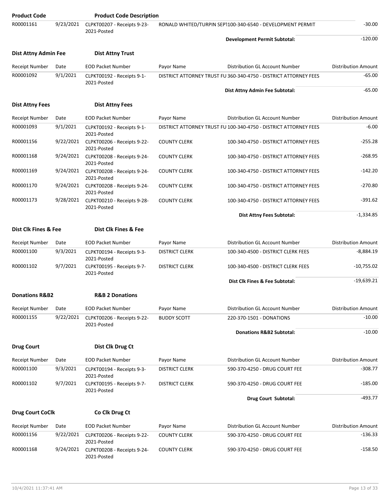| <b>Product Code</b>         |           | <b>Product Code Description</b>                          |                                                              |                                                                  |                            |
|-----------------------------|-----------|----------------------------------------------------------|--------------------------------------------------------------|------------------------------------------------------------------|----------------------------|
| R00001161                   | 9/23/2021 | CLPKT00207 - Receipts 9-23-<br>2021-Posted               | RONALD WHITED/TURPIN SEP1100-340-6540 - DEVELOPMENT PERMIT   |                                                                  | $-30.00$                   |
|                             |           |                                                          |                                                              | <b>Development Permit Subtotal:</b>                              | $-120.00$                  |
| <b>Dist Attny Admin Fee</b> |           | <b>Dist Attny Trust</b>                                  |                                                              |                                                                  |                            |
| Receipt Number              | Date      | <b>EOD Packet Number</b>                                 | Payor Name                                                   | Distribution GL Account Number                                   | <b>Distribution Amount</b> |
| R00001092                   | 9/1/2021  | CLPKT00192 - Receipts 9-1-<br>2021-Posted                |                                                              | DISTRICT ATTORNEY TRUST FUI360-340-4750 - DISTRICT ATTORNEY FEES | $-65.00$                   |
|                             |           |                                                          |                                                              | Dist Attny Admin Fee Subtotal:                                   | $-65.00$                   |
| <b>Dist Attny Fees</b>      |           | <b>Dist Attny Fees</b>                                   |                                                              |                                                                  |                            |
| <b>Receipt Number</b>       | Date      | <b>EOD Packet Number</b>                                 | Payor Name                                                   | Distribution GL Account Number                                   | <b>Distribution Amount</b> |
| R00001093                   | 9/1/2021  | CLPKT00192 - Receipts 9-1-<br>2021-Posted                |                                                              | DISTRICT ATTORNEY TRUST FU 100-340-4750 - DISTRICT ATTORNEY FEES | $-6.00$                    |
| R00001156                   | 9/22/2021 | CLPKT00206 - Receipts 9-22-<br>2021-Posted               | <b>COUNTY CLERK</b>                                          | 100-340-4750 - DISTRICT ATTORNEY FEES                            | $-255.28$                  |
| R00001168                   | 9/24/2021 | CLPKT00208 - Receipts 9-24-<br>2021-Posted               | <b>COUNTY CLERK</b>                                          | 100-340-4750 - DISTRICT ATTORNEY FEES                            | $-268.95$                  |
| R00001169                   | 9/24/2021 | CLPKT00208 - Receipts 9-24-<br>2021-Posted               | <b>COUNTY CLERK</b>                                          | 100-340-4750 - DISTRICT ATTORNEY FEES                            | $-142.20$                  |
| R00001170                   | 9/24/2021 | CLPKT00208 - Receipts 9-24-<br>2021-Posted               | <b>COUNTY CLERK</b><br>100-340-4750 - DISTRICT ATTORNEY FEES |                                                                  | $-270.80$                  |
| R00001173                   | 9/28/2021 | CLPKT00210 - Receipts 9-28-<br>2021-Posted               | <b>COUNTY CLERK</b>                                          | 100-340-4750 - DISTRICT ATTORNEY FEES                            | $-391.62$                  |
|                             |           |                                                          |                                                              | Dist Attny Fees Subtotal:                                        | $-1,334.85$                |
| Dist Clk Fines & Fee        |           | Dist Clk Fines & Fee                                     |                                                              |                                                                  |                            |
| Receipt Number              | Date      | <b>EOD Packet Number</b>                                 | Payor Name                                                   | Distribution GL Account Number                                   | <b>Distribution Amount</b> |
| R00001100                   | 9/3/2021  | CLPKT00194 - Receipts 9-3-<br>2021-Posted                | <b>DISTRICT CLERK</b>                                        | 100-340-4500 - DISTRICT CLERK FEES                               | $-8,884.19$                |
| R00001102                   | 9/7/2021  | CLPKT00195 - Receipts 9-7-<br>2021-Posted                | <b>DISTRICT CLERK</b>                                        | 100-340-4500 - DISTRICT CLERK FEES                               | $-10,755.02$               |
|                             |           |                                                          |                                                              | Dist Clk Fines & Fee Subtotal:                                   | $-19,639.21$               |
| <b>Donations R&amp;B2</b>   |           | <b>R&amp;B 2 Donations</b>                               |                                                              |                                                                  |                            |
| Receipt Number              | Date      | <b>EOD Packet Number</b>                                 | Payor Name                                                   | Distribution GL Account Number                                   | <b>Distribution Amount</b> |
| R00001155                   | 9/22/2021 | CLPKT00206 - Receipts 9-22-                              | <b>BUDDY SCOTT</b>                                           | 220-370-1501 - DONATIONS                                         | $-10.00$                   |
|                             |           | 2021-Posted                                              |                                                              | Donations R&B2 Subtotal:                                         | $-10.00$                   |
| <b>Drug Court</b>           |           | Dist Clk Drug Ct                                         |                                                              |                                                                  |                            |
| Receipt Number              | Date      | <b>EOD Packet Number</b>                                 | Payor Name                                                   | Distribution GL Account Number                                   | <b>Distribution Amount</b> |
| R00001100                   | 9/3/2021  | CLPKT00194 - Receipts 9-3-                               | <b>DISTRICT CLERK</b>                                        | 590-370-4250 - DRUG COURT FEE                                    | $-308.77$                  |
| R00001102                   | 9/7/2021  | 2021-Posted<br>CLPKT00195 - Receipts 9-7-<br>2021-Posted | <b>DISTRICT CLERK</b>                                        | 590-370-4250 - DRUG COURT FEE                                    | $-185.00$                  |
|                             |           |                                                          |                                                              | <b>Drug Court Subtotal:</b>                                      | $-493.77$                  |
| <b>Drug Court CoClk</b>     |           | Co Clk Drug Ct                                           |                                                              |                                                                  |                            |
| <b>Receipt Number</b>       | Date      | <b>EOD Packet Number</b>                                 | Payor Name                                                   | Distribution GL Account Number                                   | <b>Distribution Amount</b> |
| R00001156                   | 9/22/2021 | CLPKT00206 - Receipts 9-22-<br>2021-Posted               | <b>COUNTY CLERK</b>                                          | 590-370-4250 - DRUG COURT FEE                                    | $-136.33$                  |
| R00001168                   | 9/24/2021 | CLPKT00208 - Receipts 9-24-<br>2021-Posted               | <b>COUNTY CLERK</b>                                          | 590-370-4250 - DRUG COURT FEE                                    | $-158.50$                  |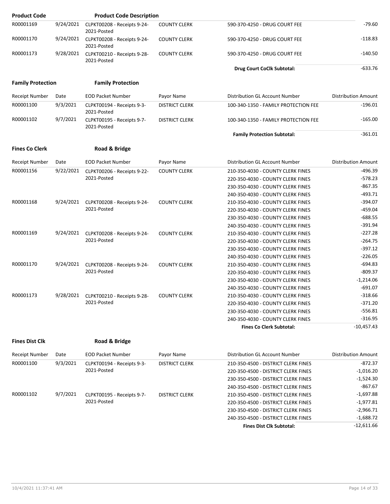| <b>Product Code</b>      |           | <b>Product Code Description</b>            |                       |                                      |                            |
|--------------------------|-----------|--------------------------------------------|-----------------------|--------------------------------------|----------------------------|
| R00001169                | 9/24/2021 | CLPKT00208 - Receipts 9-24-<br>2021-Posted | <b>COUNTY CLERK</b>   | 590-370-4250 - DRUG COURT FEE        | $-79.60$                   |
| R00001170                | 9/24/2021 | CLPKT00208 - Receipts 9-24-<br>2021-Posted | <b>COUNTY CLERK</b>   | 590-370-4250 - DRUG COURT FEE        | $-118.83$                  |
| R00001173                | 9/28/2021 | CLPKT00210 - Receipts 9-28-<br>2021-Posted | <b>COUNTY CLERK</b>   | 590-370-4250 - DRUG COURT FEE        | $-140.50$                  |
|                          |           |                                            |                       | Drug Court CoClk Subtotal:           | $-633.76$                  |
| <b>Family Protection</b> |           | <b>Family Protection</b>                   |                       |                                      |                            |
| <b>Receipt Number</b>    | Date      | <b>EOD Packet Number</b>                   | Payor Name            | Distribution GL Account Number       | <b>Distribution Amount</b> |
| R00001100                | 9/3/2021  | CLPKT00194 - Receipts 9-3-<br>2021-Posted  | <b>DISTRICT CLERK</b> | 100-340-1350 - FAMILY PROTECTION FEE | $-196.01$                  |
| R00001102                | 9/7/2021  | CLPKT00195 - Receipts 9-7-<br>2021-Posted  | <b>DISTRICT CLERK</b> | 100-340-1350 - FAMILY PROTECTION FEE | $-165.00$                  |
|                          |           |                                            |                       | <b>Family Protection Subtotal:</b>   | $-361.01$                  |
| <b>Fines Co Clerk</b>    |           | Road & Bridge                              |                       |                                      |                            |
| <b>Receipt Number</b>    | Date      | <b>EOD Packet Number</b>                   | Payor Name            | Distribution GL Account Number       | <b>Distribution Amount</b> |
| R00001156                | 9/22/2021 | CLPKT00206 - Receipts 9-22-                | <b>COUNTY CLERK</b>   | 210-350-4030 - COUNTY CLERK FINES    | $-496.39$                  |
|                          |           | 2021-Posted                                |                       | 220-350-4030 - COUNTY CLERK FINES    | $-578.23$                  |
|                          |           |                                            |                       | 230-350-4030 - COUNTY CLERK FINES    | $-867.35$                  |
|                          |           |                                            |                       | 240-350-4030 - COUNTY CLERK FINES    | $-493.71$                  |
| R00001168                | 9/24/2021 | CLPKT00208 - Receipts 9-24-                | <b>COUNTY CLERK</b>   | 210-350-4030 - COUNTY CLERK FINES    | $-394.07$                  |
|                          |           | 2021-Posted                                |                       | 220-350-4030 - COUNTY CLERK FINES    | $-459.04$                  |
|                          |           |                                            |                       | 230-350-4030 - COUNTY CLERK FINES    | $-688.55$                  |
|                          |           |                                            |                       | 240-350-4030 - COUNTY CLERK FINES    | $-391.94$                  |
| R00001169                | 9/24/2021 | CLPKT00208 - Receipts 9-24-                | <b>COUNTY CLERK</b>   | 210-350-4030 - COUNTY CLERK FINES    | $-227.28$                  |
|                          |           | 2021-Posted                                |                       | 220-350-4030 - COUNTY CLERK FINES    | $-264.75$                  |
|                          |           |                                            |                       | 230-350-4030 - COUNTY CLERK FINES    | $-397.12$                  |
|                          |           |                                            |                       | 240-350-4030 - COUNTY CLERK FINES    | $-226.05$                  |
| R00001170                | 9/24/2021 | CLPKT00208 - Receipts 9-24-                | <b>COUNTY CLERK</b>   | 210-350-4030 - COUNTY CLERK FINES    | $-694.83$                  |
|                          |           | 2021-Posted                                |                       | 220-350-4030 - COUNTY CLERK FINES    | $-809.37$                  |
|                          |           |                                            |                       | 230-350-4030 - COUNTY CLERK FINES    | $-1,214.06$                |
|                          |           |                                            |                       | 240-350-4030 - COUNTY CLERK FINES    | $-691.07$                  |
| R00001173                |           | 9/28/2021 CLPKT00210 - Receipts 9-28-      | <b>COUNTY CLERK</b>   | 210-350-4030 - COUNTY CLERK FINES    | $-318.66$                  |
|                          |           | 2021-Posted                                |                       | 220-350-4030 - COUNTY CLERK FINES    | $-371.20$                  |
|                          |           |                                            |                       | 230-350-4030 - COUNTY CLERK FINES    | $-556.81$                  |
|                          |           |                                            |                       | 240-350-4030 - COUNTY CLERK FINES    | $-316.95$                  |
|                          |           |                                            |                       | <b>Fines Co Clerk Subtotal:</b>      | $-10,457.43$               |
| <b>Fines Dist Clk</b>    |           | Road & Bridge                              |                       |                                      |                            |
| Receipt Number           | Date      | <b>EOD Packet Number</b>                   | Payor Name            | Distribution GL Account Number       | Distribution Amount        |
| R00001100                | 9/3/2021  | CLPKT00194 - Receipts 9-3-                 | <b>DISTRICT CLERK</b> | 210-350-4500 - DISTRICT CLERK FINES  | $-872.37$                  |
|                          |           | 2021-Posted                                |                       | 220-350-4500 - DISTRICT CLERK FINES  | $-1,016.20$                |
|                          |           |                                            |                       | 230-350-4500 - DISTRICT CLERK EINES  | $-152430$                  |

|           |          |                            |                       | <b>Fines Dist Clk Subtotal:</b>     | $-12,611.66$ |
|-----------|----------|----------------------------|-----------------------|-------------------------------------|--------------|
|           |          |                            |                       | 240-350-4500 - DISTRICT CLERK FINES | $-1,688.72$  |
|           |          |                            |                       | 230-350-4500 - DISTRICT CLERK FINES | $-2,966.71$  |
|           |          | 2021-Posted                |                       | 220-350-4500 - DISTRICT CLERK FINES | $-1,977.81$  |
| R00001102 | 9/7/2021 | CLPKT00195 - Receipts 9-7- | <b>DISTRICT CLERK</b> | 210-350-4500 - DISTRICT CLERK FINES | $-1,697.88$  |
|           |          |                            |                       | 240-350-4500 - DISTRICT CLERK FINES | $-867.67$    |
|           |          |                            |                       | 230-350-4500 - DISTRICT CLERK FINES | $-1,524.30$  |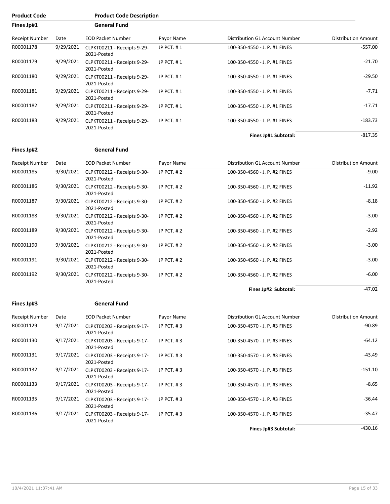| Fines Jp#1            |           | <b>General Fund</b>                        |            |                                |                            |
|-----------------------|-----------|--------------------------------------------|------------|--------------------------------|----------------------------|
| <b>Receipt Number</b> | Date      | <b>EOD Packet Number</b>                   | Payor Name | Distribution GL Account Number | <b>Distribution Amount</b> |
| R00001178             | 9/29/2021 | CLPKT00211 - Receipts 9-29-<br>2021-Posted | JP PCT. #1 | 100-350-4550 - J. P. #1 FINES  | $-557.00$                  |
| R00001179             | 9/29/2021 | CLPKT00211 - Receipts 9-29-<br>2021-Posted | JP PCT, #1 | 100-350-4550 - J. P. #1 FINES  | $-21.70$                   |
| R00001180             | 9/29/2021 | CLPKT00211 - Receipts 9-29-<br>2021-Posted | JP PCT, #1 | 100-350-4550 - J. P. #1 FINES  | $-29.50$                   |
| R00001181             | 9/29/2021 | CLPKT00211 - Receipts 9-29-<br>2021-Posted | JP PCT. #1 | 100-350-4550 - J. P. #1 FINES  | $-7.71$                    |
| R00001182             | 9/29/2021 | CLPKT00211 - Receipts 9-29-<br>2021-Posted | JP PCT, #1 | 100-350-4550 - J. P. #1 FINES  | $-17.71$                   |
| R00001183             | 9/29/2021 | CLPKT00211 - Receipts 9-29-<br>2021-Posted | JP PCT. #1 | 100-350-4550 - J. P. #1 FINES  | $-183.73$                  |
|                       |           |                                            |            | Fines Jp#1 Subtotal:           | $-817.35$                  |

### **Fines Jp#2 General Fund**

**Product Code Product Code Description**

| Receipt Number | Date      | <b>EOD Packet Number</b>                   | Payor Name | Distribution GL Account Number | <b>Distribution Amount</b> |
|----------------|-----------|--------------------------------------------|------------|--------------------------------|----------------------------|
| R00001185      | 9/30/2021 | CLPKT00212 - Receipts 9-30-<br>2021-Posted | JP PCT, #2 | 100-350-4560 - J. P. #2 FINES  | $-9.00$                    |
| R00001186      | 9/30/2021 | CLPKT00212 - Receipts 9-30-<br>2021-Posted | JP PCT, #2 | 100-350-4560 - J. P. #2 FINES  | $-11.92$                   |
| R00001187      | 9/30/2021 | CLPKT00212 - Receipts 9-30-<br>2021-Posted | JP PCT, #2 | 100-350-4560 - J. P. #2 FINES  | $-8.18$                    |
| R00001188      | 9/30/2021 | CLPKT00212 - Receipts 9-30-<br>2021-Posted | JP PCT, #2 | 100-350-4560 - J. P. #2 FINES  | $-3.00$                    |
| R00001189      | 9/30/2021 | CLPKT00212 - Receipts 9-30-<br>2021-Posted | JP PCT, #2 | 100-350-4560 - J. P. #2 FINES  | $-2.92$                    |
| R00001190      | 9/30/2021 | CLPKT00212 - Receipts 9-30-<br>2021-Posted | JP PCT, #2 | 100-350-4560 - J. P. #2 FINES  | $-3.00$                    |
| R00001191      | 9/30/2021 | CLPKT00212 - Receipts 9-30-<br>2021-Posted | JP PCT, #2 | 100-350-4560 - J. P. #2 FINES  | $-3.00$                    |
| R00001192      | 9/30/2021 | CLPKT00212 - Receipts 9-30-<br>2021-Posted | JP PCT, #2 | 100-350-4560 - J. P. #2 FINES  | $-6.00$                    |
|                |           |                                            |            | Fines Jp#2 Subtotal:           | $-47.02$                   |

### **Fines Jp#3 General Fund**

| Receipt Number | Date      | <b>EOD Packet Number</b>                   | Payor Name   | Distribution GL Account Number | <b>Distribution Amount</b> |
|----------------|-----------|--------------------------------------------|--------------|--------------------------------|----------------------------|
| R00001129      | 9/17/2021 | CLPKT00203 - Receipts 9-17-<br>2021-Posted | JP $PCT.$ #3 | 100-350-4570 - J. P. #3 FINES  | $-90.89$                   |
| R00001130      | 9/17/2021 | CLPKT00203 - Receipts 9-17-<br>2021-Posted | JP $PCT.$ #3 | 100-350-4570 - J. P. #3 FINES  | $-64.12$                   |
| R00001131      | 9/17/2021 | CLPKT00203 - Receipts 9-17-<br>2021-Posted | JP PCT, #3   | 100-350-4570 - J. P. #3 FINES  | $-43.49$                   |
| R00001132      | 9/17/2021 | CLPKT00203 - Receipts 9-17-<br>2021-Posted | JP PCT, #3   | 100-350-4570 - J. P. #3 FINES  | $-151.10$                  |
| R00001133      | 9/17/2021 | CLPKT00203 - Receipts 9-17-<br>2021-Posted | JP PCT, $#3$ | 100-350-4570 - J. P. #3 FINES  | $-8.65$                    |
| R00001135      | 9/17/2021 | CLPKT00203 - Receipts 9-17-<br>2021-Posted | JP PCT, #3   | 100-350-4570 - J. P. #3 FINES  | $-36.44$                   |
| R00001136      | 9/17/2021 | CLPKT00203 - Receipts 9-17-<br>2021-Posted | JP PCT, #3   | 100-350-4570 - J. P. #3 FINES  | $-35.47$                   |
|                |           |                                            |              |                                |                            |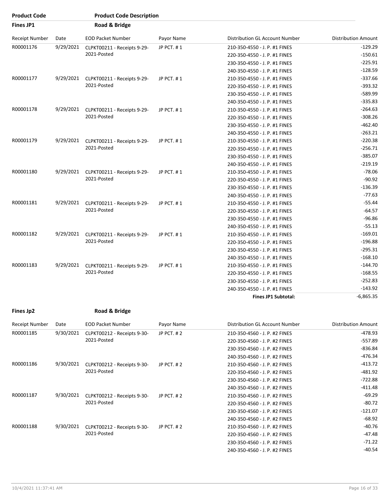| <b>Product Code</b> |           | <b>Product Code Description</b>            |            |                                |                            |
|---------------------|-----------|--------------------------------------------|------------|--------------------------------|----------------------------|
| <b>Fines JP1</b>    |           | Road & Bridge                              |            |                                |                            |
| Receipt Number      | Date      | <b>EOD Packet Number</b>                   | Payor Name | Distribution GL Account Number | <b>Distribution Amount</b> |
| R00001176           | 9/29/2021 | CLPKT00211 - Receipts 9-29-                | JP PCT. #1 | 210-350-4550 - J. P. #1 FINES  | $-129.29$                  |
|                     |           | 2021-Posted                                |            | 220-350-4550 - J. P. #1 FINES  | $-150.61$                  |
|                     |           |                                            |            | 230-350-4550 - J. P. #1 FINES  | $-225.91$                  |
|                     |           |                                            |            | 240-350-4550 - J. P. #1 FINES  | $-128.59$                  |
| R00001177           | 9/29/2021 | CLPKT00211 - Receipts 9-29-                | JP PCT. #1 | 210-350-4550 - J. P. #1 FINES  | $-337.66$                  |
|                     |           | 2021-Posted                                |            | 220-350-4550 - J. P. #1 FINES  | $-393.32$                  |
|                     |           |                                            |            | 230-350-4550 - J. P. #1 FINES  | $-589.99$                  |
|                     |           |                                            |            | 240-350-4550 - J. P. #1 FINES  | $-335.83$                  |
| R00001178           | 9/29/2021 | CLPKT00211 - Receipts 9-29-                | JP PCT. #1 | 210-350-4550 - J. P. #1 FINES  | $-264.63$                  |
|                     |           | 2021-Posted                                |            | 220-350-4550 - J. P. #1 FINES  | $-308.26$                  |
|                     |           |                                            |            | 230-350-4550 - J. P. #1 FINES  | $-462.40$                  |
|                     |           |                                            |            | 240-350-4550 - J. P. #1 FINES  | $-263.21$                  |
| R00001179           | 9/29/2021 | CLPKT00211 - Receipts 9-29-<br>2021-Posted | JP PCT. #1 | 210-350-4550 - J. P. #1 FINES  | $-220.38$                  |
|                     |           |                                            |            | 220-350-4550 - J. P. #1 FINES  | $-256.71$                  |
|                     |           |                                            |            | 230-350-4550 - J. P. #1 FINES  | $-385.07$                  |
|                     |           |                                            |            | 240-350-4550 - J. P. #1 FINES  | $-219.19$                  |
| R00001180           | 9/29/2021 | CLPKT00211 - Receipts 9-29-<br>2021-Posted | JP PCT. #1 | 210-350-4550 - J. P. #1 FINES  | $-78.06$                   |
|                     |           |                                            |            | 220-350-4550 - J. P. #1 FINES  | $-90.92$                   |
|                     |           |                                            |            | 230-350-4550 - J. P. #1 FINES  | $-136.39$                  |
|                     |           |                                            |            | 240-350-4550 - J. P. #1 FINES  | $-77.63$                   |
| R00001181           | 9/29/2021 | CLPKT00211 - Receipts 9-29-                | JP PCT. #1 | 210-350-4550 - J. P. #1 FINES  | $-55.44$                   |
|                     |           | 2021-Posted                                |            | 220-350-4550 - J. P. #1 FINES  | $-64.57$                   |
|                     |           |                                            |            | 230-350-4550 - J. P. #1 FINES  | $-96.86$                   |
|                     |           |                                            |            | 240-350-4550 - J. P. #1 FINES  | $-55.13$                   |
| R00001182           | 9/29/2021 | CLPKT00211 - Receipts 9-29-                | JP PCT. #1 | 210-350-4550 - J. P. #1 FINES  | $-169.01$                  |
|                     |           | 2021-Posted                                |            | 220-350-4550 - J. P. #1 FINES  | $-196.88$                  |
|                     |           |                                            |            | 230-350-4550 - J. P. #1 FINES  | $-295.31$                  |
|                     |           |                                            |            | 240-350-4550 - J. P. #1 FINES  | $-168.10$                  |
| R00001183           | 9/29/2021 | CLPKT00211 - Receipts 9-29-                | JP PCT. #1 | 210-350-4550 - J. P. #1 FINES  | $-144.70$                  |
|                     |           | 2021-Posted                                |            | 220-350-4550 - J. P. #1 FINES  | $-168.55$                  |
|                     |           |                                            |            | 230-350-4550 - J. P. #1 FINES  | $-252.83$                  |
|                     |           |                                            |            | 240-350-4550 - J. P. #1 FINES  | $-143.92$                  |
|                     |           |                                            |            | <b>Fines JP1 Subtotal:</b>     | $-6,865.35$                |

| Receipt Number | Date      | <b>EOD Packet Number</b>                   | Payor Name | Distribution GL Account Number | <b>Distribution Amount</b> |
|----------------|-----------|--------------------------------------------|------------|--------------------------------|----------------------------|
| R00001185      | 9/30/2021 | CLPKT00212 - Receipts 9-30-                | JP PCT, #2 | 210-350-4560 - J. P. #2 FINES  | $-478.93$                  |
|                |           | 2021-Posted                                |            | 220-350-4560 - J. P. #2 FINES  | $-557.89$                  |
|                |           |                                            |            | 230-350-4560 - J. P. #2 FINES  | $-836.84$                  |
|                |           |                                            |            | 240-350-4560 - J. P. #2 FINES  | $-476.34$                  |
| R00001186      | 9/30/2021 | CLPKT00212 - Receipts 9-30-                | JP PCT, #2 | 210-350-4560 - J. P. #2 FINES  | $-413.72$                  |
|                |           | 2021-Posted                                |            | 220-350-4560 - J. P. #2 FINES  | $-481.92$                  |
|                |           |                                            |            | 230-350-4560 - J. P. #2 FINES  | $-722.88$                  |
|                |           |                                            |            | 240-350-4560 - J. P. #2 FINES  | $-411.48$                  |
| R00001187      | 9/30/2021 | CLPKT00212 - Receipts 9-30-<br>2021-Posted | JP PCT, #2 | 210-350-4560 - J. P. #2 FINES  | $-69.29$                   |
|                |           |                                            |            | 220-350-4560 - J. P. #2 FINES  | $-80.72$                   |
|                |           |                                            |            | 230-350-4560 - J. P. #2 FINES  | $-121.07$                  |
|                |           |                                            |            | 240-350-4560 - J. P. #2 FINES  | $-68.92$                   |
| R00001188      | 9/30/2021 | CLPKT00212 - Receipts 9-30-                | JP PCT, #2 | 210-350-4560 - J. P. #2 FINES  | $-40.76$                   |
|                |           | 2021-Posted                                |            | 220-350-4560 - J. P. #2 FINES  | $-47.48$                   |
|                |           |                                            |            | 230-350-4560 - J. P. #2 FINES  | $-71.22$                   |
|                |           |                                            |            | 240-350-4560 - J. P. #2 FINES  | $-40.54$                   |
|                |           |                                            |            |                                |                            |

**Fines Jp2 Road & Bridge**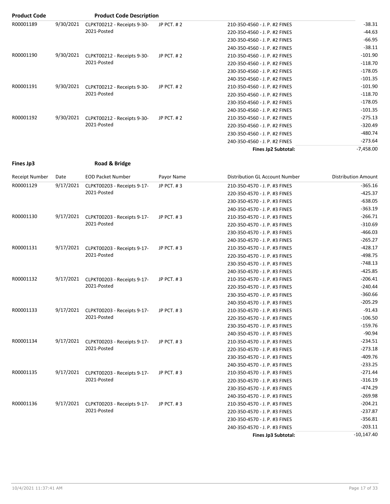| <b>Product Code</b> |           | <b>Product Code Description</b>            |               |                               |             |
|---------------------|-----------|--------------------------------------------|---------------|-------------------------------|-------------|
| R00001189           | 9/30/2021 | CLPKT00212 - Receipts 9-30-                | JP PCT, $#2$  | 210-350-4560 - J. P. #2 FINES | $-38.31$    |
|                     |           | 2021-Posted                                |               | 220-350-4560 - J. P. #2 FINES | $-44.63$    |
|                     |           |                                            |               | 230-350-4560 - J. P. #2 FINES | $-66.95$    |
|                     |           |                                            |               | 240-350-4560 - J. P. #2 FINES | $-38.11$    |
| R00001190           | 9/30/2021 | CLPKT00212 - Receipts 9-30-                | JP PCT. #2    | 210-350-4560 - J. P. #2 FINES | $-101.90$   |
|                     |           | 2021-Posted                                |               | 220-350-4560 - J. P. #2 FINES | $-118.70$   |
|                     |           |                                            |               | 230-350-4560 - J. P. #2 FINES | $-178.05$   |
|                     |           |                                            |               | 240-350-4560 - J. P. #2 FINES | $-101.35$   |
| R00001191           | 9/30/2021 | CLPKT00212 - Receipts 9-30-<br>2021-Posted | JP PCT, $#2$  | 210-350-4560 - J. P. #2 FINES | $-101.90$   |
|                     |           |                                            |               | 220-350-4560 - J. P. #2 FINES | $-118.70$   |
|                     |           |                                            |               | 230-350-4560 - J. P. #2 FINES | $-178.05$   |
|                     |           |                                            |               | 240-350-4560 - J. P. #2 FINES | $-101.35$   |
| R00001192           | 9/30/2021 | CLPKT00212 - Receipts 9-30-                | JP PCT. $# 2$ | 210-350-4560 - J. P. #2 FINES | $-275.13$   |
|                     |           | 2021-Posted                                |               | 220-350-4560 - J. P. #2 FINES | $-320.49$   |
|                     |           |                                            |               | 230-350-4560 - J. P. #2 FINES | -480.74     |
|                     |           |                                            |               | 240-350-4560 - J. P. #2 FINES | $-273.64$   |
|                     |           |                                            |               | Fines Jp2 Subtotal:           | $-7,458.00$ |

| Fines Jp3 | Road & Bridge |
|-----------|---------------|
|           |               |

| Road & Brid |  |
|-------------|--|
|             |  |

| Receipt Number | Date      | <b>EOD Packet Number</b>                   | Payor Name | Distribution GL Account Number | <b>Distribution Amount</b> |
|----------------|-----------|--------------------------------------------|------------|--------------------------------|----------------------------|
| R00001129      | 9/17/2021 | CLPKT00203 - Receipts 9-17-                | JP PCT. #3 | 210-350-4570 - J. P. #3 FINES  | $-365.16$                  |
|                |           | 2021-Posted                                |            | 220-350-4570 - J. P. #3 FINES  | $-425.37$                  |
|                |           |                                            |            | 230-350-4570 - J. P. #3 FINES  | $-638.05$                  |
|                |           |                                            |            | 240-350-4570 - J. P. #3 FINES  | $-363.19$                  |
| R00001130      | 9/17/2021 | CLPKT00203 - Receipts 9-17-                | JP PCT. #3 | 210-350-4570 - J. P. #3 FINES  | $-266.71$                  |
|                |           | 2021-Posted                                |            | 220-350-4570 - J. P. #3 FINES  | $-310.69$                  |
|                |           |                                            |            | 230-350-4570 - J. P. #3 FINES  | $-466.03$                  |
|                |           |                                            |            | 240-350-4570 - J. P. #3 FINES  | $-265.27$                  |
| R00001131      | 9/17/2021 | CLPKT00203 - Receipts 9-17-                | JP PCT. #3 | 210-350-4570 - J. P. #3 FINES  | $-428.17$                  |
|                |           | 2021-Posted                                |            | 220-350-4570 - J. P. #3 FINES  | $-498.75$                  |
|                |           |                                            |            | 230-350-4570 - J. P. #3 FINES  | $-748.13$                  |
|                |           |                                            |            | 240-350-4570 - J. P. #3 FINES  | $-425.85$                  |
| R00001132      | 9/17/2021 | CLPKT00203 - Receipts 9-17-                | JP PCT, #3 | 210-350-4570 - J. P. #3 FINES  | $-206.41$                  |
|                |           | 2021-Posted                                |            | 220-350-4570 - J. P. #3 FINES  | $-240.44$                  |
|                |           |                                            |            | 230-350-4570 - J. P. #3 FINES  | $-360.66$                  |
|                |           |                                            |            | 240-350-4570 - J. P. #3 FINES  | $-205.29$                  |
| R00001133      | 9/17/2021 | CLPKT00203 - Receipts 9-17-<br>2021-Posted | JP PCT. #3 | 210-350-4570 - J. P. #3 FINES  | $-91.43$                   |
|                |           |                                            |            | 220-350-4570 - J. P. #3 FINES  | $-106.50$                  |
|                |           |                                            |            | 230-350-4570 - J. P. #3 FINES  | $-159.76$                  |
|                |           |                                            |            | 240-350-4570 - J. P. #3 FINES  | $-90.94$                   |
| R00001134      | 9/17/2021 | CLPKT00203 - Receipts 9-17-                | JP PCT, #3 | 210-350-4570 - J. P. #3 FINES  | $-234.51$                  |
|                |           | 2021-Posted                                |            | 220-350-4570 - J. P. #3 FINES  | $-273.18$                  |
|                |           |                                            |            | 230-350-4570 - J. P. #3 FINES  | $-409.76$                  |
|                |           |                                            |            | 240-350-4570 - J. P. #3 FINES  | $-233.25$                  |
| R00001135      | 9/17/2021 | CLPKT00203 - Receipts 9-17-                | JP PCT, #3 | 210-350-4570 - J. P. #3 FINES  | $-271.44$                  |
|                |           | 2021-Posted                                |            | 220-350-4570 - J. P. #3 FINES  | $-316.19$                  |
|                |           |                                            |            | 230-350-4570 - J. P. #3 FINES  | $-474.29$                  |
|                |           |                                            |            | 240-350-4570 - J. P. #3 FINES  | $-269.98$                  |
| R00001136      | 9/17/2021 | CLPKT00203 - Receipts 9-17-                | JP PCT. #3 | 210-350-4570 - J. P. #3 FINES  | $-204.21$                  |
|                |           | 2021-Posted                                |            | 220-350-4570 - J. P. #3 FINES  | $-237.87$                  |
|                |           |                                            |            | 230-350-4570 - J. P. #3 FINES  | $-356.81$                  |
|                |           |                                            |            | 240-350-4570 - J. P. #3 FINES  | $-203.11$                  |
|                |           |                                            |            | Fines Jp3 Subtotal:            | $-10,147.40$               |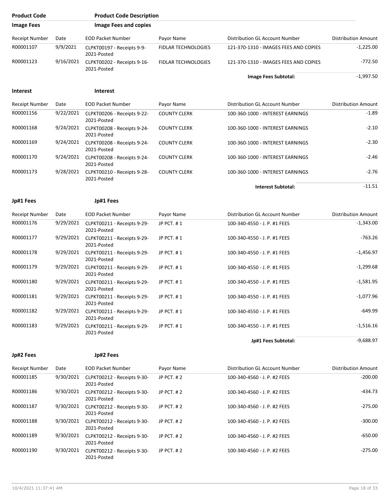| <b>Product Code</b>   |           | <b>Product Code Description</b>                      |                            |                                       |                            |
|-----------------------|-----------|------------------------------------------------------|----------------------------|---------------------------------------|----------------------------|
| <b>Image Fees</b>     |           | <b>Image Fees and copies</b>                         |                            |                                       |                            |
| Receipt Number        | Date      | <b>EOD Packet Number</b>                             | Payor Name                 | Distribution GL Account Number        | <b>Distribution Amount</b> |
| R00001107             | 9/9/2021  | CLPKT00197 - Receipts 9-9-<br>2021-Posted            | <b>FIDLAR TECHNOLOGIES</b> | 121-370-1310 - IMAGES FEES AND COPIES | $-1,225.00$                |
| R00001123             | 9/16/2021 | CLPKT00202 - Receipts 9-16-<br>2021-Posted           | <b>FIDLAR TECHNOLOGIES</b> | 121-370-1310 - IMAGES FEES AND COPIES | $-772.50$                  |
|                       |           |                                                      |                            | Image Fees Subtotal:                  | $-1,997.50$                |
| <b>Interest</b>       |           | <b>Interest</b>                                      |                            |                                       |                            |
| Receipt Number        | Date      | <b>EOD Packet Number</b>                             | Payor Name                 | Distribution GL Account Number        | <b>Distribution Amount</b> |
| R00001156             | 9/22/2021 | CLPKT00206 - Receipts 9-22-<br>2021-Posted           | <b>COUNTY CLERK</b>        | 100-360-1000 - INTEREST EARNINGS      | $-1.89$                    |
| R00001168             | 9/24/2021 | CLPKT00208 - Receipts 9-24-<br>2021-Posted           | <b>COUNTY CLERK</b>        | 100-360-1000 - INTEREST EARNINGS      | $-2.10$                    |
| R00001169             | 9/24/2021 | CLPKT00208 - Receipts 9-24-<br>2021-Posted           | <b>COUNTY CLERK</b>        | 100-360-1000 - INTEREST EARNINGS      | $-2.30$                    |
| R00001170             | 9/24/2021 | CLPKT00208 - Receipts 9-24-<br>2021-Posted           | <b>COUNTY CLERK</b>        | 100-360-1000 - INTEREST EARNINGS      | $-2.46$                    |
| R00001173             | 9/28/2021 | CLPKT00210 - Receipts 9-28-<br>2021-Posted           | <b>COUNTY CLERK</b>        | 100-360-1000 - INTEREST EARNINGS      | $-2.76$                    |
|                       |           |                                                      |                            | <b>Interest Subtotal:</b>             | $-11.51$                   |
| Jp#1 Fees             |           | Jp#1 Fees                                            |                            |                                       |                            |
| Receipt Number        | Date      | <b>EOD Packet Number</b>                             | Payor Name                 | Distribution GL Account Number        | <b>Distribution Amount</b> |
| R00001176             | 9/29/2021 | CLPKT00211 - Receipts 9-29-<br>2021-Posted           | JP PCT. #1                 | 100-340-4550 - J. P. #1 FEES          | $-1,343.00$                |
| R00001177             | 9/29/2021 | CLPKT00211 - Receipts 9-29-<br>2021-Posted           | JP PCT. #1                 | 100-340-4550 - J. P. #1 FEES          | $-763.26$                  |
| R00001178             | 9/29/2021 | CLPKT00211 - Receipts 9-29-<br>2021-Posted           | JP PCT. #1                 | 100-340-4550 - J. P. #1 FEES          | -1,456.97                  |
| R00001179             | 9/29/2021 | CLPKT00211 - Receipts 9-29-<br>2021-Posted           | JP PCT. #1                 | 100-340-4550 - J. P. #1 FEES          | $-1,299.68$                |
| R00001180             | 9/29/2021 | CLPKT00211 - Receipts 9-29-<br>2021-Posted           | JP PCT. #1                 | 100-340-4550 - J. P. #1 FEES          | $-1,581.95$                |
| R00001181             | 9/29/2021 | CLPKT00211 - Receipts 9-29-<br>2021-Posted           | JP PCT. #1                 | 100-340-4550 - J. P. #1 FEES          | $-1,077.96$                |
| R00001182             |           | 9/29/2021 CLPKT00211 - Receipts 9-29-<br>2021-Posted | JP PCT. #1                 | 100-340-4550 - J. P. #1 FEES          | -649.99                    |
| R00001183             |           | 9/29/2021 CLPKT00211 - Receipts 9-29-<br>2021-Posted | JP PCT. #1                 | 100-340-4550 - J. P. #1 FEES          | $-1,516.16$                |
|                       |           |                                                      |                            | Jp#1 Fees Subtotal:                   | $-9,688.97$                |
| Jp#2 Fees             |           | Jp#2 Fees                                            |                            |                                       |                            |
| <b>Receipt Number</b> | Date      | <b>EOD Packet Number</b>                             | Payor Name                 | Distribution GL Account Number        | <b>Distribution Amount</b> |
| R00001185             | 9/30/2021 | CLPKT00212 - Receipts 9-30-<br>2021-Posted           | JP PCT. #2                 | 100-340-4560 - J. P. #2 FEES          | $-200.00$                  |
| R00001186             | 9/30/2021 | CLPKT00212 - Receipts 9-30-<br>2021-Posted           | JP PCT. #2                 | 100-340-4560 - J. P. #2 FEES          | -434.73                    |
| R00001187             |           | 9/30/2021 CLPKT00212 - Receipts 9-30-<br>2021-Posted | JP PCT. #2                 | 100-340-4560 - J. P. #2 FEES          | $-275.00$                  |
| R00001188             | 9/30/2021 | CLPKT00212 - Receipts 9-30-<br>2021-Posted           | JP PCT. #2                 | 100-340-4560 - J. P. #2 FEES          | $-300.00$                  |
| R00001189             |           | 9/30/2021 CLPKT00212 - Receipts 9-30-<br>2021-Posted | JP PCT. #2                 | 100-340-4560 - J. P. #2 FEES          | $-650.00$                  |
| R00001190             | 9/30/2021 | CLPKT00212 - Receipts 9-30-<br>2021-Posted           | JP PCT. #2                 | 100-340-4560 - J. P. #2 FEES          | $-275.00$                  |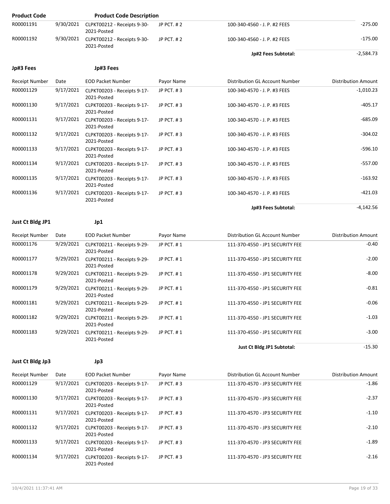| <b>Product Code</b>   |           | <b>Product Code Description</b>            |                   |                                |                            |
|-----------------------|-----------|--------------------------------------------|-------------------|--------------------------------|----------------------------|
| R00001191             | 9/30/2021 | CLPKT00212 - Receipts 9-30-<br>2021-Posted | <b>JP PCT. #2</b> | 100-340-4560 - J. P. #2 FEES   | $-275.00$                  |
| R00001192             | 9/30/2021 | CLPKT00212 - Receipts 9-30-<br>2021-Posted | <b>JP PCT. #2</b> | 100-340-4560 - J. P. #2 FEES   | $-175.00$                  |
|                       |           |                                            |                   | <b>Jp#2 Fees Subtotal:</b>     | $-2,584.73$                |
| Jp#3 Fees             |           | Jp#3 Fees                                  |                   |                                |                            |
| <b>Receipt Number</b> | Date      | <b>EOD Packet Number</b>                   | Payor Name        | Distribution GL Account Number | <b>Distribution Amount</b> |
| R00001129             | 9/17/2021 | CLPKT00203 - Receipts 9-17-<br>2021-Posted | JP PCT, #3        | 100-340-4570 - J. P. #3 FEES   | $-1,010.23$                |
| R00001130             | 9/17/2021 | CLPKT00203 - Receipts 9-17-<br>2021-Posted | JP PCT, #3        | 100-340-4570 - J. P. #3 FEES   | $-405.17$                  |
| R00001131             | 9/17/2021 | CLPKT00203 - Receipts 9-17-<br>2021-Posted | JP PCT, #3        | 100-340-4570 - J. P. #3 FEES   | $-685.09$                  |
| R00001132             | 9/17/2021 | CLPKT00203 - Receipts 9-17-<br>2021-Posted | JP PCT, #3        | 100-340-4570 - J. P. #3 FEES   | $-304.02$                  |
| R00001133             | 9/17/2021 | CLPKT00203 - Receipts 9-17-<br>2021-Posted | JP PCT, #3        | 100-340-4570 - J. P. #3 FEES   | $-596.10$                  |
| R00001134             | 9/17/2021 | CLPKT00203 - Receipts 9-17-<br>2021-Posted | JP PCT, #3        | 100-340-4570 - J. P. #3 FEES   | $-557.00$                  |
| R00001135             | 9/17/2021 | CLPKT00203 - Receipts 9-17-<br>2021-Posted | JP PCT, #3        | 100-340-4570 - J. P. #3 FEES   | $-163.92$                  |
| R00001136             | 9/17/2021 | CLPKT00203 - Receipts 9-17-<br>2021-Posted | JP PCT, #3        | 100-340-4570 - J. P. #3 FEES   | $-421.03$                  |
|                       |           |                                            |                   | Jo#3 Fees Subtotal:            | $-4.142.56$                |

### **Just Ct Bldg JP1 Jp1**

| <b>Receipt Number</b> | Date      | <b>EOD Packet Number</b>                   | Payor Name | Distribution GL Account Number  | <b>Distribution Amount</b> |
|-----------------------|-----------|--------------------------------------------|------------|---------------------------------|----------------------------|
| R00001176             | 9/29/2021 | CLPKT00211 - Receipts 9-29-<br>2021-Posted | JP PCT. #1 | 111-370-4550 - JP1 SECURITY FEE | $-0.40$                    |
| R00001177             | 9/29/2021 | CLPKT00211 - Receipts 9-29-<br>2021-Posted | JP PCT. #1 | 111-370-4550 - JP1 SECURITY FEE | $-2.00$                    |
| R00001178             | 9/29/2021 | CLPKT00211 - Receipts 9-29-<br>2021-Posted | JP PCT. #1 | 111-370-4550 - JP1 SECURITY FEE | $-8.00$                    |
| R00001179             | 9/29/2021 | CLPKT00211 - Receipts 9-29-<br>2021-Posted | JP PCT. #1 | 111-370-4550 - JP1 SECURITY FEE | $-0.81$                    |
| R00001181             | 9/29/2021 | CLPKT00211 - Receipts 9-29-<br>2021-Posted | JP PCT. #1 | 111-370-4550 - JP1 SECURITY FEE | $-0.06$                    |
| R00001182             | 9/29/2021 | CLPKT00211 - Receipts 9-29-<br>2021-Posted | JP PCT, #1 | 111-370-4550 - JP1 SECURITY FEE | $-1.03$                    |
| R00001183             | 9/29/2021 | CLPKT00211 - Receipts 9-29-<br>2021-Posted | JP PCT. #1 | 111-370-4550 - JP1 SECURITY FEE | $-3.00$                    |
|                       |           |                                            |            | Just Ct Bldg JP1 Subtotal:      | $-15.30$                   |

**Just Ct Bldg Jp3 Jp3**

| Receipt Number | Date      | <b>EOD Packet Number</b>                   | Payor Name     | Distribution GL Account Number  | <b>Distribution Amount</b> |
|----------------|-----------|--------------------------------------------|----------------|---------------------------------|----------------------------|
| R00001129      | 9/17/2021 | CLPKT00203 - Receipts 9-17-<br>2021-Posted | $JP$ PCT, $#3$ | 111-370-4570 - JP3 SECURITY FEE | $-1.86$                    |
| R00001130      | 9/17/2021 | CLPKT00203 - Receipts 9-17-<br>2021-Posted | JP PCT, #3     | 111-370-4570 - JP3 SECURITY FEE | $-2.37$                    |
| R00001131      | 9/17/2021 | CLPKT00203 - Receipts 9-17-<br>2021-Posted | JP PCT, #3     | 111-370-4570 - JP3 SECURITY FEE | $-1.10$                    |
| R00001132      | 9/17/2021 | CLPKT00203 - Receipts 9-17-<br>2021-Posted | JP $PCT.$ #3   | 111-370-4570 - JP3 SECURITY FEE | $-2.10$                    |
| R00001133      | 9/17/2021 | CLPKT00203 - Receipts 9-17-<br>2021-Posted | $JP$ PCT, $#3$ | 111-370-4570 - JP3 SECURITY FEE | $-1.89$                    |
| R00001134      | 9/17/2021 | CLPKT00203 - Receipts 9-17-<br>2021-Posted | JP PCT, #3     | 111-370-4570 - JP3 SECURITY FEE | $-2.16$                    |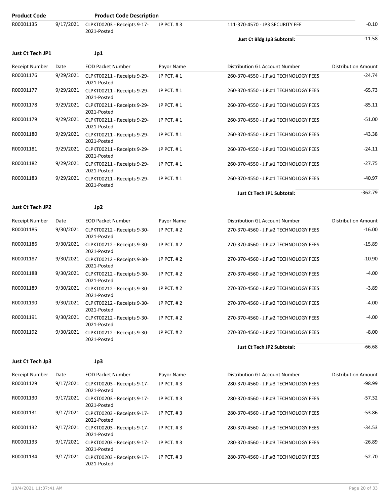| <b>Product Code</b>     |           | <b>Product Code Description</b>                      |            |                                       |                            |
|-------------------------|-----------|------------------------------------------------------|------------|---------------------------------------|----------------------------|
| R00001135               | 9/17/2021 | CLPKT00203 - Receipts 9-17-<br>2021-Posted           | JP PCT. #3 | 111-370-4570 - JP3 SECURITY FEE       | $-0.10$                    |
|                         |           |                                                      |            | Just Ct Bldg Jp3 Subtotal:            | $-11.58$                   |
| <b>Just Ct Tech JP1</b> |           | Jp1                                                  |            |                                       |                            |
| Receipt Number          | Date      | <b>EOD Packet Number</b>                             | Payor Name | Distribution GL Account Number        | <b>Distribution Amount</b> |
| R00001176               |           | 9/29/2021 CLPKT00211 - Receipts 9-29-<br>2021-Posted | JP PCT, #1 | 260-370-4550 - J.P.#1 TECHNOLOGY FEES | $-24.74$                   |
| R00001177               |           | 9/29/2021 CLPKT00211 - Receipts 9-29-<br>2021-Posted | JP PCT. #1 | 260-370-4550 - J.P.#1 TECHNOLOGY FEES | $-65.73$                   |
| R00001178               |           | 9/29/2021 CLPKT00211 - Receipts 9-29-<br>2021-Posted | JP PCT. #1 | 260-370-4550 - J.P.#1 TECHNOLOGY FEES | $-85.11$                   |
| R00001179               |           | 9/29/2021 CLPKT00211 - Receipts 9-29-<br>2021-Posted | JP PCT. #1 | 260-370-4550 - J.P.#1 TECHNOLOGY FEES | $-51.00$                   |
| R00001180               |           | 9/29/2021 CLPKT00211 - Receipts 9-29-<br>2021-Posted | JP PCT. #1 | 260-370-4550 - J.P.#1 TECHNOLOGY FEES | $-43.38$                   |
| R00001181               |           | 9/29/2021 CLPKT00211 - Receipts 9-29-<br>2021-Posted | JP PCT. #1 | 260-370-4550 - J.P.#1 TECHNOLOGY FEES | $-24.11$                   |
| R00001182               |           | 9/29/2021 CLPKT00211 - Receipts 9-29-<br>2021-Posted | JP PCT. #1 | 260-370-4550 - J.P.#1 TECHNOLOGY FEES | $-27.75$                   |
| R00001183               |           | 9/29/2021 CLPKT00211 - Receipts 9-29-<br>2021-Posted | JP PCT. #1 | 260-370-4550 - J.P.#1 TECHNOLOGY FEES | $-40.97$                   |
|                         |           |                                                      |            | <b>Just Ct Tech JP1 Subtotal:</b>     | $-362.79$                  |
| <b>Just Ct Tech JP2</b> |           | Jp2                                                  |            |                                       |                            |
| <b>Receipt Number</b>   | Date      | <b>EOD Packet Number</b>                             | Payor Name | Distribution GL Account Number        | <b>Distribution Amount</b> |
| R00001185               |           | 9/30/2021 CLPKT00212 - Receipts 9-30-<br>2021-Posted | JP PCT. #2 | 270-370-4560 - J.P.#2 TECHNOLOGY FEES | $-16.00$                   |
| R00001186               |           | 9/30/2021 CLPKT00212 - Receipts 9-30-<br>2021-Posted | JP PCT. #2 | 270-370-4560 - J.P.#2 TECHNOLOGY FEES | $-15.89$                   |
| R00001187               |           | 9/30/2021 CLPKT00212 - Receipts 9-30-<br>2021-Posted | JP PCT. #2 | 270-370-4560 - J.P.#2 TECHNOLOGY FEES | $-10.90$                   |
| R00001188               |           | 9/30/2021 CLPKT00212 - Receipts 9-30-<br>2021-Posted | JP PCT. #2 | 270-370-4560 - J.P.#2 TECHNOLOGY FEES | $-4.00$                    |
| R00001189               |           | 9/30/2021 CLPKT00212 - Receipts 9-30-<br>2021-Posted | JP PCT. #2 | 270-370-4560 - J.P.#2 TECHNOLOGY FEES | $-3.89$                    |
| R00001190               |           | 9/30/2021 CLPKT00212 - Receipts 9-30-<br>2021-Posted | JP PCT. #2 | 270-370-4560 - J.P.#2 TECHNOLOGY FEES | $-4.00$                    |
| R00001191               |           | 9/30/2021 CLPKT00212 - Receipts 9-30-                | JP PCT. #2 | 270-370-4560 - J.P.#2 TECHNOLOGY FEES | $-4.00$                    |

**Just Ct Tech Jp3 Jp3**

2021-Posted

2021-Posted

R00001192 9/30/2021 CLPKT00212 - Receipts 9-30-

Receipt Number Date EOD Packet Number Payor Name Distribution GL Account Number Distribution Amount R00001129 9/17/2021 CLPKT00203 - Receipts 9-17- 2021-Posted JP PCT. #3 280-370-4560 - J.P.#3 TECHNOLOGY FEES -98.99 R00001130 9/17/2021 CLPKT00203 - Receipts 9-17- 2021-Posted JP PCT. #3 280-370-4560 - J.P.#3 TECHNOLOGY FEES -57.32 R00001131 9/17/2021 CLPKT00203 - Receipts 9-17- 2021-Posted JP PCT. # 3 280-370-4560 - J.P.#3 TECHNOLOGY FEES -53.86 R00001132 9/17/2021 CLPKT00203 - Receipts 9-17- 2021-Posted JP PCT. # 3 280-370-4560 - J.P.#3 TECHNOLOGY FEES R00001133 9/17/2021 CLPKT00203 - Receipts 9-17- 2021-Posted JP PCT. # 3 280-370-4560 - J.P.#3 TECHNOLOGY FEES -26.89 R00001134 9/17/2021 CLPKT00203 - Receipts 9-17- 2021-Posted JP PCT. # 3 280-370-4560 - J.P.#3 TECHNOLOGY FEES -52.70

JP PCT. # 2 270-370-4560 - J.P.#2 TECHNOLOGY FEES -8.00

Just Ct Tech JP2 Subtotal: **All Accords** -66.68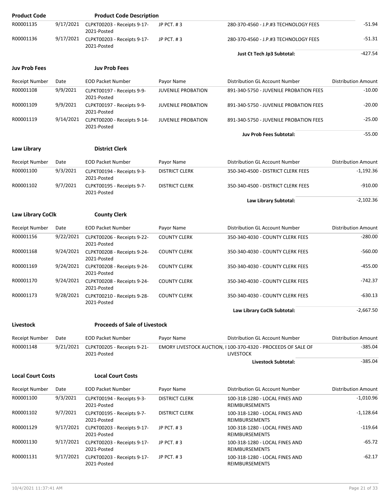| <b>Product Code</b>      |           | <b>Product Code Description</b>                      |                           |                                                                                   |                            |
|--------------------------|-----------|------------------------------------------------------|---------------------------|-----------------------------------------------------------------------------------|----------------------------|
| R00001135                | 9/17/2021 | CLPKT00203 - Receipts 9-17-<br>2021-Posted           | JP PCT. #3                | 280-370-4560 - J.P.#3 TECHNOLOGY FEES                                             | $-51.94$                   |
| R00001136                | 9/17/2021 | CLPKT00203 - Receipts 9-17-<br>2021-Posted           | JP PCT. #3                | 280-370-4560 - J.P.#3 TECHNOLOGY FEES                                             | $-51.31$                   |
|                          |           |                                                      |                           | Just Ct Tech Jp3 Subtotal:                                                        | $-427.54$                  |
| <b>Juv Prob Fees</b>     |           | <b>Juv Prob Fees</b>                                 |                           |                                                                                   |                            |
| Receipt Number           | Date      | <b>EOD Packet Number</b>                             | Payor Name                | Distribution GL Account Number                                                    | <b>Distribution Amount</b> |
| R00001108                | 9/9/2021  | CLPKT00197 - Receipts 9-9-<br>2021-Posted            | <b>JUVENILE PROBATION</b> | 891-340-5750 - JUVENILE PROBATION FEES                                            | $-10.00$                   |
| R00001109                | 9/9/2021  | CLPKT00197 - Receipts 9-9-<br>2021-Posted            | <b>JUVENILE PROBATION</b> | 891-340-5750 - JUVENILE PROBATION FEES                                            | $-20.00$                   |
| R00001119                | 9/14/2021 | CLPKT00200 - Receipts 9-14-<br>2021-Posted           | <b>JUVENILE PROBATION</b> | 891-340-5750 - JUVENILE PROBATION FEES                                            | $-25.00$                   |
|                          |           |                                                      |                           | <b>Juv Prob Fees Subtotal:</b>                                                    | $-55.00$                   |
| Law Library              |           | <b>District Clerk</b>                                |                           |                                                                                   |                            |
| Receipt Number           | Date      | <b>EOD Packet Number</b>                             | Payor Name                | Distribution GL Account Number                                                    | <b>Distribution Amount</b> |
| R00001100                | 9/3/2021  | CLPKT00194 - Receipts 9-3-<br>2021-Posted            | <b>DISTRICT CLERK</b>     | 350-340-4500 - DISTRICT CLERK FEES                                                | $-1,192.36$                |
| R00001102                | 9/7/2021  | CLPKT00195 - Receipts 9-7-<br>2021-Posted            | <b>DISTRICT CLERK</b>     | 350-340-4500 - DISTRICT CLERK FEES                                                | -910.00                    |
|                          |           |                                                      |                           | Law Library Subtotal:                                                             | $-2,102.36$                |
| Law Library CoClk        |           | <b>County Clerk</b>                                  |                           |                                                                                   |                            |
| Receipt Number           | Date      | <b>EOD Packet Number</b>                             | Payor Name                | Distribution GL Account Number                                                    | Distribution Amount        |
| R00001156                | 9/22/2021 | CLPKT00206 - Receipts 9-22-<br>2021-Posted           | <b>COUNTY CLERK</b>       | 350-340-4030 - COUNTY CLERK FEES                                                  | $-280.00$                  |
| R00001168                | 9/24/2021 | CLPKT00208 - Receipts 9-24-<br>2021-Posted           | <b>COUNTY CLERK</b>       | 350-340-4030 - COUNTY CLERK FEES                                                  | $-560.00$                  |
| R00001169                | 9/24/2021 | CLPKT00208 - Receipts 9-24-<br>2021-Posted           | <b>COUNTY CLERK</b>       | 350-340-4030 - COUNTY CLERK FEES                                                  | $-455.00$                  |
| R00001170                | 9/24/2021 | CLPKT00208 - Receipts 9-24-<br>2021-Posted           | <b>COUNTY CLERK</b>       | 350-340-4030 - COUNTY CLERK FEES                                                  | $-742.37$                  |
| R00001173                | 9/28/2021 | CLPKT00210 - Receipts 9-28-<br>2021-Posted           | <b>COUNTY CLERK</b>       | 350-340-4030 - COUNTY CLERK FEES                                                  | $-630.13$                  |
|                          |           |                                                      |                           | Law Library CoClk Subtotal:                                                       | $-2,667.50$                |
| Livestock                |           | <b>Proceeds of Sale of Livestock</b>                 |                           |                                                                                   |                            |
| <b>Receipt Number</b>    | Date      | <b>EOD Packet Number</b>                             | Payor Name                | Distribution GL Account Number                                                    | <b>Distribution Amount</b> |
| R00001148                | 9/21/2021 | CLPKT00205 - Receipts 9-21-<br>2021-Posted           |                           | EMORY LIVESTOCK AUCTION, II100-370-4320 - PROCEEDS OF SALE OF<br><b>LIVESTOCK</b> | $-385.04$                  |
|                          |           |                                                      |                           | Livestock Subtotal:                                                               | $-385.04$                  |
| <b>Local Court Costs</b> |           | <b>Local Court Costs</b>                             |                           |                                                                                   |                            |
| Receipt Number           | Date      | <b>EOD Packet Number</b>                             | Payor Name                | Distribution GL Account Number                                                    | <b>Distribution Amount</b> |
| R00001100                | 9/3/2021  | CLPKT00194 - Receipts 9-3-<br>2021-Posted            | <b>DISTRICT CLERK</b>     | 100-318-1280 - LOCAL FINES AND<br>REIMBURSEMENTS                                  | $-1,010.96$                |
| R00001102                | 9/7/2021  | CLPKT00195 - Receipts 9-7-<br>2021-Posted            | <b>DISTRICT CLERK</b>     | 100-318-1280 - LOCAL FINES AND<br>REIMBURSEMENTS                                  | $-1,128.64$                |
| R00001129                | 9/17/2021 | CLPKT00203 - Receipts 9-17-<br>2021-Posted           | JP PCT. #3                | 100-318-1280 - LOCAL FINES AND<br>REIMBURSEMENTS                                  | -119.64                    |
| R00001130                | 9/17/2021 | CLPKT00203 - Receipts 9-17-<br>2021-Posted           | JP PCT. #3                | 100-318-1280 - LOCAL FINES AND<br>REIMBURSEMENTS                                  | $-65.72$                   |
| R00001131                |           | 9/17/2021 CLPKT00203 - Receipts 9-17-<br>2021-Posted | JP PCT. #3                | 100-318-1280 - LOCAL FINES AND<br>REIMBURSEMENTS                                  | -62.17                     |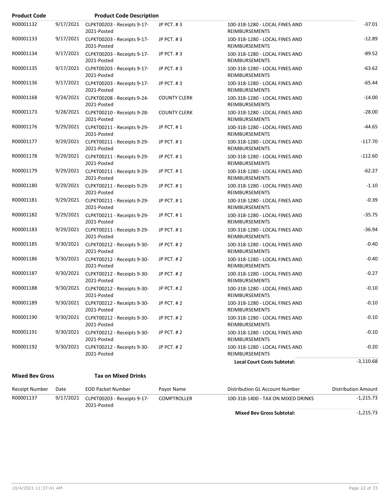| <b>Product Code</b> |           | <b>Product Code Description</b>                      |                     |                                                         |             |
|---------------------|-----------|------------------------------------------------------|---------------------|---------------------------------------------------------|-------------|
| R00001132           | 9/17/2021 | CLPKT00203 - Receipts 9-17-<br>2021-Posted           | JP PCT. #3          | 100-318-1280 - LOCAL FINES AND<br>REIMBURSEMENTS        | $-37.01$    |
| R00001133           |           | 9/17/2021 CLPKT00203 - Receipts 9-17-<br>2021-Posted | JP PCT. #3          | 100-318-1280 - LOCAL FINES AND<br>REIMBURSEMENTS        | $-12.89$    |
| R00001134           |           | 9/17/2021 CLPKT00203 - Receipts 9-17-<br>2021-Posted | JP PCT, #3          | 100-318-1280 - LOCAL FINES AND<br>REIMBURSEMENTS        | $-89.52$    |
| R00001135           |           | 9/17/2021 CLPKT00203 - Receipts 9-17-<br>2021-Posted | JP PCT. #3          | 100-318-1280 - LOCAL FINES AND<br><b>REIMBURSEMENTS</b> | $-63.62$    |
| R00001136           |           | 9/17/2021 CLPKT00203 - Receipts 9-17-<br>2021-Posted | JP PCT. #3          | 100-318-1280 - LOCAL FINES AND<br><b>REIMBURSEMENTS</b> | $-65.44$    |
| R00001168           |           | 9/24/2021 CLPKT00208 - Receipts 9-24-<br>2021-Posted | <b>COUNTY CLERK</b> | 100-318-1280 - LOCAL FINES AND<br><b>REIMBURSEMENTS</b> | $-14.00$    |
| R00001173           |           | 9/28/2021 CLPKT00210 - Receipts 9-28-<br>2021-Posted | <b>COUNTY CLERK</b> | 100-318-1280 - LOCAL FINES AND<br>REIMBURSEMENTS        | $-28.00$    |
| R00001176           |           | 9/29/2021 CLPKT00211 - Receipts 9-29-<br>2021-Posted | JP PCT. #1          | 100-318-1280 - LOCAL FINES AND<br><b>REIMBURSEMENTS</b> | $-44.65$    |
| R00001177           |           | 9/29/2021 CLPKT00211 - Receipts 9-29-<br>2021-Posted | JP PCT. #1          | 100-318-1280 - LOCAL FINES AND<br>REIMBURSEMENTS        | $-117.70$   |
| R00001178           |           | 9/29/2021 CLPKT00211 - Receipts 9-29-<br>2021-Posted | JP PCT. #1          | 100-318-1280 - LOCAL FINES AND<br>REIMBURSEMENTS        | $-112.60$   |
| R00001179           |           | 9/29/2021 CLPKT00211 - Receipts 9-29-<br>2021-Posted | JP PCT. #1          | 100-318-1280 - LOCAL FINES AND<br><b>REIMBURSEMENTS</b> | $-62.27$    |
| R00001180           |           | 9/29/2021 CLPKT00211 - Receipts 9-29-<br>2021-Posted | JP PCT. #1          | 100-318-1280 - LOCAL FINES AND<br>REIMBURSEMENTS        | $-1.10$     |
| R00001181           |           | 9/29/2021 CLPKT00211 - Receipts 9-29-<br>2021-Posted | JP PCT. #1          | 100-318-1280 - LOCAL FINES AND<br>REIMBURSEMENTS        | $-0.39$     |
| R00001182           |           | 9/29/2021 CLPKT00211 - Receipts 9-29-<br>2021-Posted | JP PCT. #1          | 100-318-1280 - LOCAL FINES AND<br>REIMBURSEMENTS        | $-35.75$    |
| R00001183           |           | 9/29/2021 CLPKT00211 - Receipts 9-29-<br>2021-Posted | JP PCT. #1          | 100-318-1280 - LOCAL FINES AND<br>REIMBURSEMENTS        | $-36.94$    |
| R00001185           |           | 9/30/2021 CLPKT00212 - Receipts 9-30-<br>2021-Posted | JP PCT. #2          | 100-318-1280 - LOCAL FINES AND<br><b>REIMBURSEMENTS</b> | $-0.40$     |
| R00001186           |           | 9/30/2021 CLPKT00212 - Receipts 9-30-<br>2021-Posted | JP PCT. #2          | 100-318-1280 - LOCAL FINES AND<br>REIMBURSEMENTS        | $-0.40$     |
| R00001187           |           | 9/30/2021 CLPKT00212 - Receipts 9-30-<br>2021-Posted | JP PCT. #2          | 100-318-1280 - LOCAL FINES AND<br>REIMBURSEMENTS        | $-0.27$     |
| R00001188           |           | 9/30/2021 CLPKT00212 - Receipts 9-30-<br>2021-Posted | JP PCT. #2          | 100-318-1280 - LOCAL FINES AND<br>REIMBURSEMENTS        | $-0.10$     |
| R00001189           | 9/30/2021 | CLPKT00212 - Receipts 9-30-<br>2021-Posted           | JP PCT. #2          | 100-318-1280 - LOCAL FINES AND<br>REIMBURSEMENTS        | $-0.10$     |
| R00001190           | 9/30/2021 | CLPKT00212 - Receipts 9-30-<br>2021-Posted           | JP PCT. #2          | 100-318-1280 - LOCAL FINES AND<br>REIMBURSEMENTS        | $-0.10$     |
| R00001191           | 9/30/2021 | CLPKT00212 - Receipts 9-30-<br>2021-Posted           | JP PCT. #2          | 100-318-1280 - LOCAL FINES AND<br>REIMBURSEMENTS        | $-0.10$     |
| R00001192           | 9/30/2021 | CLPKT00212 - Receipts 9-30-<br>2021-Posted           | JP PCT. #2          | 100-318-1280 - LOCAL FINES AND<br>REIMBURSEMENTS        | $-0.20$     |
|                     |           |                                                      |                     | <b>Local Court Costs Subtotal:</b>                      | $-3,110.68$ |

**Mixed Bev Gross Tax on Mixed Drinks**

| Receipt Number | Date      | EOD Packet Number                          | Pavor Name  | Distribution GL Account Number     | <b>Distribution Amount</b> |
|----------------|-----------|--------------------------------------------|-------------|------------------------------------|----------------------------|
| R00001137      | 9/17/2021 | CLPKT00203 - Receipts 9-17-<br>2021-Posted | COMPTROLLER | 100-318-1400 - TAX ON MIXED DRINKS | $-1.215.73$                |
|                |           |                                            |             | <b>Mixed Bev Gross Subtotal:</b>   | $-1,215.73$                |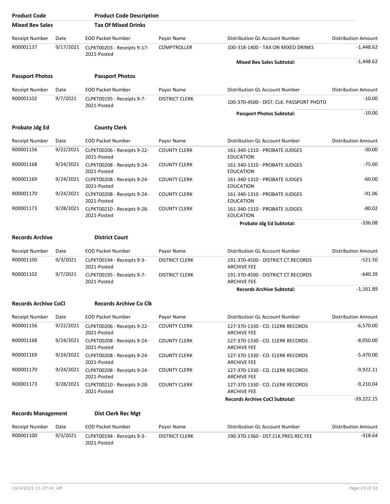| <b>Product Code</b>         |           | <b>Product Code Description</b>            |                       |                                                          |                            |
|-----------------------------|-----------|--------------------------------------------|-----------------------|----------------------------------------------------------|----------------------------|
| <b>Mixed Bev Sales</b>      |           | <b>Tax Of Mixed Drinks</b>                 |                       |                                                          |                            |
| Receipt Number              | Date      | <b>EOD Packet Number</b>                   | Payor Name            | Distribution GL Account Number                           | <b>Distribution Amount</b> |
| R00001137                   | 9/17/2021 | CLPKT00203 - Receipts 9-17-<br>2021-Posted | <b>COMPTROLLER</b>    | 100-318-1400 - TAX ON MIXED DRINKS                       | $-1,448.62$                |
|                             |           |                                            |                       | <b>Mixed Bev Sales Subtotal:</b>                         | $-1,448.62$                |
| <b>Passport Photos</b>      |           | <b>Passport Photos</b>                     |                       |                                                          |                            |
| Receipt Number              | Date      | <b>EOD Packet Number</b>                   | Payor Name            | Distribution GL Account Number                           | <b>Distribution Amount</b> |
| R00001102                   | 9/7/2021  | CLPKT00195 - Receipts 9-7-<br>2021-Posted  | <b>DISTRICT CLERK</b> | 100-370-4500 - DIST. CLK. PASSPORT PHOTO                 | $-10.00$                   |
|                             |           |                                            |                       | <b>Passport Photos Subtotal:</b>                         | $-10.00$                   |
| Probate Jdg Ed              |           | <b>County Clerk</b>                        |                       |                                                          |                            |
| <b>Receipt Number</b>       | Date      | <b>EOD Packet Number</b>                   | Payor Name            | Distribution GL Account Number                           | <b>Distribution Amount</b> |
| R00001156                   | 9/22/2021 | CLPKT00206 - Receipts 9-22-<br>2021-Posted | <b>COUNTY CLERK</b>   | 161-340-1310 - PROBATE JUDGES<br><b>EDUCATION</b>        | $-30.00$                   |
| R00001168                   | 9/24/2021 | CLPKT00208 - Receipts 9-24-<br>2021-Posted | <b>COUNTY CLERK</b>   | 161-340-1310 - PROBATE JUDGES<br><b>EDUCATION</b>        | $-75.00$                   |
| R00001169                   | 9/24/2021 | CLPKT00208 - Receipts 9-24-<br>2021-Posted | <b>COUNTY CLERK</b>   | 161-340-1310 - PROBATE JUDGES<br><b>EDUCATION</b>        | $-60.00$                   |
| R00001170                   | 9/24/2021 | CLPKT00208 - Receipts 9-24-<br>2021-Posted | <b>COUNTY CLERK</b>   | 161-340-1310 - PROBATE JUDGES<br><b>EDUCATION</b>        | $-91.06$                   |
| R00001173                   | 9/28/2021 | CLPKT00210 - Receipts 9-28-<br>2021-Posted | <b>COUNTY CLERK</b>   | 161-340-1310 - PROBATE JUDGES<br><b>EDUCATION</b>        | $-80.02$                   |
|                             |           |                                            |                       | Probate Jdg Ed Subtotal:                                 | $-336.08$                  |
| <b>Records Archive</b>      |           | <b>District Court</b>                      |                       |                                                          |                            |
| <b>Receipt Number</b>       | Date      | <b>EOD Packet Number</b>                   | Payor Name            | Distribution GL Account Number                           | <b>Distribution Amount</b> |
| R00001100                   | 9/3/2021  | CLPKT00194 - Receipts 9-3-<br>2021-Posted  | <b>DISTRICT CLERK</b> | 191-370-4500 - DISTRICT CT.RECORDS<br><b>ARCHIVE FEE</b> | $-521.50$                  |
| R00001102                   | 9/7/2021  | CLPKT00195 - Receipts 9-7-<br>2021-Posted  | <b>DISTRICT CLERK</b> | 191-370-4500 - DISTRICT CT.RECORDS<br><b>ARCHIVE FEE</b> | $-640.39$                  |
|                             |           |                                            |                       | <b>Records Archive Subtotal:</b>                         | $-1,161.89$                |
| <b>Records Archive CoCl</b> |           | <b>Records Archive Co Clk</b>              |                       |                                                          |                            |
| Receipt Number              | Date      | <b>EOD Packet Number</b>                   | Payor Name            | Distribution GL Account Number                           | <b>Distribution Amount</b> |
| R00001156                   | 9/22/2021 | CLPKT00206 - Receipts 9-22-<br>2021-Posted | <b>COUNTY CLERK</b>   | 127-370-1330 - CO. CLERK RECORDS<br><b>ARCHIVE FEE</b>   | $-6,570.00$                |
| R00001168                   | 9/24/2021 | CLPKT00208 - Receipts 9-24-<br>2021-Posted | <b>COUNTY CLERK</b>   | 127-370-1330 - CO. CLERK RECORDS<br><b>ARCHIVE FEE</b>   | $-8,050.00$                |
| R00001169                   | 9/24/2021 | CLPKT00208 - Receipts 9-24-<br>2021-Posted | <b>COUNTY CLERK</b>   | 127-370-1330 - CO. CLERK RECORDS<br><b>ARCHIVE FEE</b>   | $-5,470.00$                |
| R00001170                   | 9/24/2021 | CLPKT00208 - Receipts 9-24-<br>2021-Posted | <b>COUNTY CLERK</b>   | 127-370-1330 - CO. CLERK RECORDS<br><b>ARCHIVE FEE</b>   | $-9,922.11$                |
| R00001173                   | 9/28/2021 | CLPKT00210 - Receipts 9-28-<br>2021-Posted | <b>COUNTY CLERK</b>   | 127-370-1330 - CO. CLERK RECORDS<br><b>ARCHIVE FEE</b>   | $-9,210.04$                |
|                             |           |                                            |                       | <b>Records Archive CoCl Subtotal:</b>                    | $-39,222.15$               |
| <b>Records Management</b>   |           | <b>Dist Clerk Rec Mgt</b>                  |                       |                                                          |                            |
| Receipt Number              | Date      | <b>EOD Packet Number</b>                   | Payor Name            | Distribution GL Account Number                           | <b>Distribution Amount</b> |
| R00001100                   | 9/3/2021  | CLPKT00194 - Receipts 9-3-<br>2021-Posted  | <b>DISTRICT CLERK</b> | 190-370-1360 - DST.CLK.PRES.REC.FEE                      | $-318.64$                  |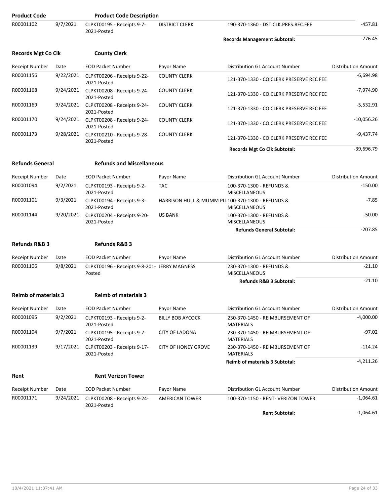| <b>Product Code</b>         |           | <b>Product Code Description</b>                        |                                                  |                                                     |                            |
|-----------------------------|-----------|--------------------------------------------------------|--------------------------------------------------|-----------------------------------------------------|----------------------------|
| R00001102                   | 9/7/2021  | CLPKT00195 - Receipts 9-7-<br>2021-Posted              | <b>DISTRICT CLERK</b>                            | 190-370-1360 - DST.CLK.PRES.REC.FEE                 | $-457.81$                  |
|                             |           |                                                        |                                                  | <b>Records Management Subtotal:</b>                 | $-776.45$                  |
| <b>Records Mgt Co Clk</b>   |           | <b>County Clerk</b>                                    |                                                  |                                                     |                            |
| <b>Receipt Number</b>       | Date      | <b>EOD Packet Number</b>                               | Payor Name                                       | Distribution GL Account Number                      | <b>Distribution Amount</b> |
| R00001156                   | 9/22/2021 | CLPKT00206 - Receipts 9-22-<br>2021-Posted             | <b>COUNTY CLERK</b>                              | 121-370-1330 - CO.CLERK PRESERVE REC FEE            | $-6,694.98$                |
| R00001168                   | 9/24/2021 | CLPKT00208 - Receipts 9-24-<br>2021-Posted             | <b>COUNTY CLERK</b>                              | 121-370-1330 - CO.CLERK PRESERVE REC FEE            | $-7,974.90$                |
| R00001169                   | 9/24/2021 | CLPKT00208 - Receipts 9-24-<br>2021-Posted             | <b>COUNTY CLERK</b>                              | 121-370-1330 - CO.CLERK PRESERVE REC FEE            | $-5,532.91$                |
| R00001170                   | 9/24/2021 | CLPKT00208 - Receipts 9-24-<br>2021-Posted             | <b>COUNTY CLERK</b>                              | 121-370-1330 - CO.CLERK PRESERVE REC FEE            | $-10,056.26$               |
| R00001173                   | 9/28/2021 | CLPKT00210 - Receipts 9-28-<br>2021-Posted             | <b>COUNTY CLERK</b>                              | 121-370-1330 - CO.CLERK PRESERVE REC FEE            | $-9,437.74$                |
|                             |           |                                                        |                                                  | Records Mgt Co Clk Subtotal:                        | $-39,696.79$               |
| <b>Refunds General</b>      |           | <b>Refunds and Miscellaneous</b>                       |                                                  |                                                     |                            |
| <b>Receipt Number</b>       | Date      | <b>EOD Packet Number</b>                               | Payor Name                                       | <b>Distribution GL Account Number</b>               | <b>Distribution Amount</b> |
| R00001094                   | 9/2/2021  | CLPKT00193 - Receipts 9-2-<br>2021-Posted              | <b>TAC</b>                                       | 100-370-1300 - REFUNDS &<br><b>MISCELLANEOUS</b>    | $-150.00$                  |
| R00001101                   | 9/3/2021  | CLPKT00194 - Receipts 9-3-<br>2021-Posted              | HARRISON HULL & MUMM PLL100-370-1300 - REFUNDS & | <b>MISCELLANEOUS</b>                                | $-7.85$                    |
| R00001144                   | 9/20/2021 | CLPKT00204 - Receipts 9-20-<br>2021-Posted             | <b>US BANK</b>                                   | 100-370-1300 - REFUNDS &<br>MISCELLANEOUS           | $-50.00$                   |
|                             |           |                                                        |                                                  | <b>Refunds General Subtotal:</b>                    | $-207.85$                  |
| <b>Refunds R&amp;B 3</b>    |           | <b>Refunds R&amp;B 3</b>                               |                                                  |                                                     |                            |
| <b>Receipt Number</b>       | Date      | <b>EOD Packet Number</b>                               | Payor Name                                       | Distribution GL Account Number                      | <b>Distribution Amount</b> |
| R00001106                   | 9/8/2021  | CLPKT00196 - Receipts 9-8-201- JERRY MAGNESS<br>Posted |                                                  | 230-370-1300 - REFUNDS &<br><b>MISCELLANEOUS</b>    | $-21.10$                   |
|                             |           |                                                        |                                                  | <b>Refunds R&amp;B 3 Subtotal:</b>                  | -21.10                     |
| <b>Reimb of materials 3</b> |           | <b>Reimb of materials 3</b>                            |                                                  |                                                     |                            |
| Receipt Number              | Date      | <b>EOD Packet Number</b>                               | Payor Name                                       | Distribution GL Account Number                      | <b>Distribution Amount</b> |
| R00001095                   | 9/2/2021  | CLPKT00193 - Receipts 9-2-<br>2021-Posted              | <b>BILLY BOB AYCOCK</b>                          | 230-370-1450 - REIMBURSEMENT OF<br><b>MATERIALS</b> | $-4,000.00$                |
| R00001104                   | 9/7/2021  | CLPKT00195 - Receipts 9-7-<br>2021-Posted              | <b>CITY OF LADONA</b>                            | 230-370-1450 - REIMBURSEMENT OF<br><b>MATERIALS</b> | $-97.02$                   |
| R00001139                   | 9/17/2021 | CLPKT00203 - Receipts 9-17-<br>2021-Posted             | <b>CITY OF HONEY GROVE</b>                       | 230-370-1450 - REIMBURSEMENT OF<br><b>MATERIALS</b> | -114.24                    |
|                             |           |                                                        |                                                  | <b>Reimb of materials 3 Subtotal:</b>               | -4,211.26                  |
| Rent                        |           | <b>Rent Verizon Tower</b>                              |                                                  |                                                     |                            |
| <b>Receipt Number</b>       | Date      | EOD Packet Number                                      | Payor Name                                       | Distribution GL Account Number                      | <b>Distribution Amount</b> |
| R00001171                   | 9/24/2021 | CLPKT00208 - Receipts 9-24-<br>2021-Posted             | <b>AMERICAN TOWER</b>                            | 100-370-1150 - RENT- VERIZON TOWER                  | $-1,064.61$                |
|                             |           |                                                        |                                                  | <b>Rent Subtotal:</b>                               | $-1,064.61$                |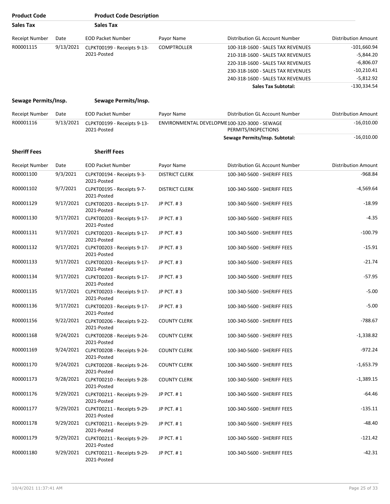| <b>Product Code</b>   |           | <b>Product Code Description</b>                      |                       |                                              |                            |
|-----------------------|-----------|------------------------------------------------------|-----------------------|----------------------------------------------|----------------------------|
| <b>Sales Tax</b>      |           | <b>Sales Tax</b>                                     |                       |                                              |                            |
| Receipt Number        | Date      | <b>EOD Packet Number</b>                             | Payor Name            | Distribution GL Account Number               | <b>Distribution Amount</b> |
| R00001115             | 9/13/2021 | CLPKT00199 - Receipts 9-13-                          | <b>COMPTROLLER</b>    | 100-318-1600 - SALES TAX REVENUES            | $-101,660.94$              |
|                       |           | 2021-Posted                                          |                       | 210-318-1600 - SALES TAX REVENUES            | $-5,844.20$                |
|                       |           |                                                      |                       | 220-318-1600 - SALES TAX REVENUES            | $-6,806.07$                |
|                       |           |                                                      |                       | 230-318-1600 - SALES TAX REVENUES            | $-10,210.41$               |
|                       |           |                                                      |                       | 240-318-1600 - SALES TAX REVENUES            | $-5,812.92$                |
|                       |           |                                                      |                       | <b>Sales Tax Subtotal:</b>                   | $-130,334.54$              |
| Sewage Permits/Insp.  |           | Sewage Permits/Insp.                                 |                       |                                              |                            |
| Receipt Number        | Date      | <b>EOD Packet Number</b>                             | Payor Name            | Distribution GL Account Number               | <b>Distribution Amount</b> |
| R00001116             | 9/13/2021 | CLPKT00199 - Receipts 9-13-                          |                       | ENVIRONMENTAL DEVELOPME100-320-3000 - SEWAGE | $-16,010.00$               |
|                       |           | 2021-Posted                                          |                       | PERMITS/INSPECTIONS                          |                            |
|                       |           |                                                      |                       | Sewage Permits/Insp. Subtotal:               | $-16,010.00$               |
| <b>Sheriff Fees</b>   |           | <b>Sheriff Fees</b>                                  |                       |                                              |                            |
| <b>Receipt Number</b> | Date      | <b>EOD Packet Number</b>                             | Payor Name            | Distribution GL Account Number               | <b>Distribution Amount</b> |
| R00001100             | 9/3/2021  | CLPKT00194 - Receipts 9-3-<br>2021-Posted            | <b>DISTRICT CLERK</b> | 100-340-5600 - SHERIFF FEES                  | -968.84                    |
| R00001102             | 9/7/2021  | CLPKT00195 - Receipts 9-7-<br>2021-Posted            | <b>DISTRICT CLERK</b> | 100-340-5600 - SHERIFF FEES                  | $-4,569.64$                |
| R00001129             | 9/17/2021 | CLPKT00203 - Receipts 9-17-<br>2021-Posted           | JP PCT. #3            | 100-340-5600 - SHERIFF FEES                  | $-18.99$                   |
| R00001130             | 9/17/2021 | CLPKT00203 - Receipts 9-17-<br>2021-Posted           | JP PCT. #3            | 100-340-5600 - SHERIFF FEES                  | $-4.35$                    |
| R00001131             | 9/17/2021 | CLPKT00203 - Receipts 9-17-<br>2021-Posted           | JP PCT. #3            | 100-340-5600 - SHERIFF FEES                  | $-100.79$                  |
| R00001132             | 9/17/2021 | CLPKT00203 - Receipts 9-17-<br>2021-Posted           | JP PCT. #3            | 100-340-5600 - SHERIFF FEES                  | $-15.91$                   |
| R00001133             | 9/17/2021 | CLPKT00203 - Receipts 9-17-<br>2021-Posted           | JP PCT. #3            | 100-340-5600 - SHERIFF FEES                  | $-21.74$                   |
| R00001134             | 9/17/2021 | CLPKT00203 - Receipts 9-17-<br>2021-Posted           | JP PCT. #3            | 100-340-5600 - SHERIFF FEES                  | $-57.95$                   |
| R00001135             | 9/17/2021 | CLPKT00203 - Receipts 9-17-<br>2021-Posted           | JP PCT. #3            | 100-340-5600 - SHERIFF FEES                  | $-5.00$                    |
| R00001136             |           | 9/17/2021 CLPKT00203 - Receipts 9-17-<br>2021-Posted | JP PCT. $#3$          | 100-340-5600 - SHERIFF FEES                  | $-5.00$                    |
| R00001156             |           | 9/22/2021 CLPKT00206 - Receipts 9-22-<br>2021-Posted | <b>COUNTY CLERK</b>   | 100-340-5600 - SHERIFF FEES                  | $-788.67$                  |
| R00001168             | 9/24/2021 | CLPKT00208 - Receipts 9-24-<br>2021-Posted           | <b>COUNTY CLERK</b>   | 100-340-5600 - SHERIFF FEES                  | $-1,338.82$                |
| R00001169             |           | 9/24/2021 CLPKT00208 - Receipts 9-24-<br>2021-Posted | <b>COUNTY CLERK</b>   | 100-340-5600 - SHERIFF FEES                  | $-972.24$                  |
| R00001170             |           | 9/24/2021 CLPKT00208 - Receipts 9-24-<br>2021-Posted | <b>COUNTY CLERK</b>   | 100-340-5600 - SHERIFF FEES                  | $-1,653.79$                |
| R00001173             |           | 9/28/2021 CLPKT00210 - Receipts 9-28-<br>2021-Posted | <b>COUNTY CLERK</b>   | 100-340-5600 - SHERIFF FEES                  | $-1,389.15$                |
| R00001176             |           | 9/29/2021 CLPKT00211 - Receipts 9-29-<br>2021-Posted | JP PCT. #1            | 100-340-5600 - SHERIFF FEES                  | $-64.46$                   |
| R00001177             |           | 9/29/2021 CLPKT00211 - Receipts 9-29-<br>2021-Posted | JP PCT. #1            | 100-340-5600 - SHERIFF FEES                  | -135.11                    |
| R00001178             |           | 9/29/2021 CLPKT00211 - Receipts 9-29-<br>2021-Posted | JP PCT. #1            | 100-340-5600 - SHERIFF FEES                  | $-48.40$                   |
| R00001179             | 9/29/2021 | CLPKT00211 - Receipts 9-29-<br>2021-Posted           | JP PCT. #1            | 100-340-5600 - SHERIFF FEES                  | -121.42                    |
| R00001180             |           | 9/29/2021 CLPKT00211 - Receipts 9-29-<br>2021-Posted | JP PCT. #1            | 100-340-5600 - SHERIFF FEES                  | $-42.31$                   |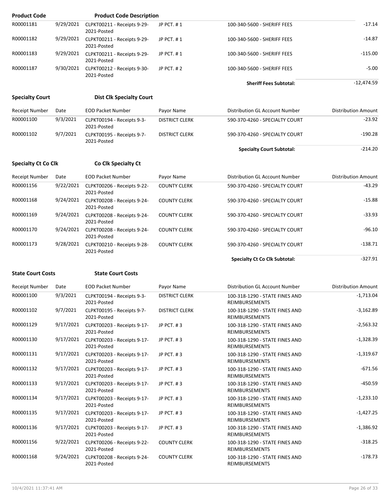| <b>Product Code</b>        |           | <b>Product Code Description</b>                      |                       |                                                         |                            |
|----------------------------|-----------|------------------------------------------------------|-----------------------|---------------------------------------------------------|----------------------------|
| R00001181                  | 9/29/2021 | CLPKT00211 - Receipts 9-29-<br>2021-Posted           | JP PCT. #1            | 100-340-5600 - SHERIFF FEES                             | $-17.14$                   |
| R00001182                  | 9/29/2021 | CLPKT00211 - Receipts 9-29-<br>2021-Posted           | JP PCT. #1            | 100-340-5600 - SHERIFF FEES                             | -14.87                     |
| R00001183                  | 9/29/2021 | CLPKT00211 - Receipts 9-29-<br>2021-Posted           | JP PCT. #1            | 100-340-5600 - SHERIFF FEES                             | $-115.00$                  |
| R00001187                  | 9/30/2021 | CLPKT00212 - Receipts 9-30-<br>2021-Posted           | JP PCT. #2            | 100-340-5600 - SHERIFF FEES                             | $-5.00$                    |
|                            |           |                                                      |                       | <b>Sheriff Fees Subtotal:</b>                           | $-12,474.59$               |
| <b>Specialty Court</b>     |           | <b>Dist Clk Specialty Court</b>                      |                       |                                                         |                            |
| <b>Receipt Number</b>      | Date      | <b>EOD Packet Number</b>                             | Payor Name            | Distribution GL Account Number                          | <b>Distribution Amount</b> |
| R00001100                  | 9/3/2021  | CLPKT00194 - Receipts 9-3-<br>2021-Posted            | <b>DISTRICT CLERK</b> | 590-370-4260 - SPECIALTY COURT                          | $-23.92$                   |
| R00001102                  | 9/7/2021  | CLPKT00195 - Receipts 9-7-<br>2021-Posted            | <b>DISTRICT CLERK</b> | 590-370-4260 - SPECIALTY COURT                          | $-190.28$                  |
|                            |           |                                                      |                       | <b>Specialty Court Subtotal:</b>                        | $-214.20$                  |
| <b>Specialty Ct Co Clk</b> |           | Co Clk Specialty Ct                                  |                       |                                                         |                            |
| <b>Receipt Number</b>      | Date      | <b>EOD Packet Number</b>                             | Payor Name            | Distribution GL Account Number                          | <b>Distribution Amount</b> |
| R00001156                  | 9/22/2021 | CLPKT00206 - Receipts 9-22-<br>2021-Posted           | <b>COUNTY CLERK</b>   | 590-370-4260 - SPECIALTY COURT                          | $-43.29$                   |
| R00001168                  | 9/24/2021 | CLPKT00208 - Receipts 9-24-<br>2021-Posted           | <b>COUNTY CLERK</b>   | 590-370-4260 - SPECIALTY COURT                          | $-15.88$                   |
| R00001169                  | 9/24/2021 | CLPKT00208 - Receipts 9-24-<br>2021-Posted           | <b>COUNTY CLERK</b>   | 590-370-4260 - SPECIALTY COURT                          | -33.93                     |
| R00001170                  | 9/24/2021 | CLPKT00208 - Receipts 9-24-<br>2021-Posted           | <b>COUNTY CLERK</b>   | 590-370-4260 - SPECIALTY COURT                          | $-96.10$                   |
| R00001173                  | 9/28/2021 | CLPKT00210 - Receipts 9-28-<br>2021-Posted           | <b>COUNTY CLERK</b>   | 590-370-4260 - SPECIALTY COURT                          | $-138.71$                  |
|                            |           |                                                      |                       | <b>Specialty Ct Co Clk Subtotal:</b>                    | $-327.91$                  |
| <b>State Court Costs</b>   |           | <b>State Court Costs</b>                             |                       |                                                         |                            |
| <b>Receipt Number</b>      | Date      | <b>EOD Packet Number</b>                             | Payor Name            | Distribution GL Account Number                          | <b>Distribution Amount</b> |
| R00001100                  | 9/3/2021  | CLPKT00194 - Receipts 9-3-<br>2021-Posted            | <b>DISTRICT CLERK</b> | 100-318-1290 - STATE FINES AND<br><b>REIMBURSEMENTS</b> | -1,713.04                  |
| R00001102                  | 9/7/2021  | CLPKT00195 - Receipts 9-7-<br>2021-Posted            | <b>DISTRICT CLERK</b> | 100-318-1290 - STATE FINES AND<br>REIMBURSEMENTS        | $-3,162.89$                |
| R00001129                  |           | 9/17/2021 CLPKT00203 - Receipts 9-17-<br>2021-Posted | JP PCT. #3            | 100-318-1290 - STATE FINES AND<br>REIMBURSEMENTS        | $-2,563.32$                |
| R00001130                  |           | 9/17/2021 CLPKT00203 - Receipts 9-17-<br>2021-Posted | JP PCT. #3            | 100-318-1290 - STATE FINES AND<br><b>REIMBURSEMENTS</b> | $-1,328.39$                |
| R00001131                  |           | 9/17/2021 CLPKT00203 - Receipts 9-17-<br>2021-Posted | JP PCT. #3            | 100-318-1290 - STATE FINES AND<br>REIMBURSEMENTS        | $-1,319.67$                |
| R00001132                  |           | 9/17/2021 CLPKT00203 - Receipts 9-17-<br>2021-Posted | JP PCT. #3            | 100-318-1290 - STATE FINES AND<br><b>REIMBURSEMENTS</b> | $-671.56$                  |
| R00001133                  |           | 9/17/2021 CLPKT00203 - Receipts 9-17-<br>2021-Posted | JP PCT. #3            | 100-318-1290 - STATE FINES AND<br>REIMBURSEMENTS        | $-450.59$                  |
| R00001134                  | 9/17/2021 | CLPKT00203 - Receipts 9-17-<br>2021-Posted           | JP PCT. #3            | 100-318-1290 - STATE FINES AND<br>REIMBURSEMENTS        | $-1,233.10$                |
| R00001135                  | 9/17/2021 | CLPKT00203 - Receipts 9-17-<br>2021-Posted           | JP PCT. #3            | 100-318-1290 - STATE FINES AND<br>REIMBURSEMENTS        | $-1,427.25$                |
| R00001136                  |           | 9/17/2021 CLPKT00203 - Receipts 9-17-<br>2021-Posted | JP PCT. #3            | 100-318-1290 - STATE FINES AND<br>REIMBURSEMENTS        | $-1,386.92$                |
| R00001156                  |           | 9/22/2021 CLPKT00206 - Receipts 9-22-<br>2021-Posted | <b>COUNTY CLERK</b>   | 100-318-1290 - STATE FINES AND<br>REIMBURSEMENTS        | $-318.25$                  |
| R00001168                  |           | 9/24/2021 CLPKT00208 - Receipts 9-24-<br>2021-Posted | <b>COUNTY CLERK</b>   | 100-318-1290 - STATE FINES AND<br>REIMBURSEMENTS        | $-178.73$                  |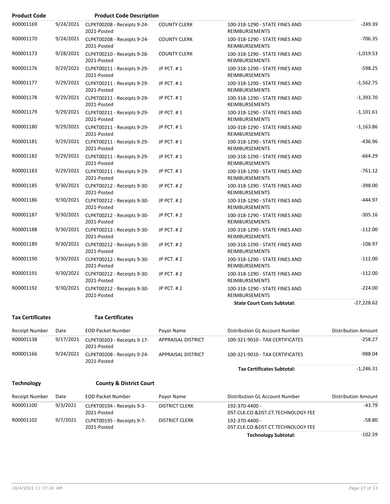| <b>Product Code</b> |           | <b>Product Code Description</b>                      |                     |                                                         |              |
|---------------------|-----------|------------------------------------------------------|---------------------|---------------------------------------------------------|--------------|
| R00001169           | 9/24/2021 | CLPKT00208 - Receipts 9-24-<br>2021-Posted           | <b>COUNTY CLERK</b> | 100-318-1290 - STATE FINES AND<br><b>REIMBURSEMENTS</b> | $-249.39$    |
| R00001170           |           | 9/24/2021 CLPKT00208 - Receipts 9-24-<br>2021-Posted | <b>COUNTY CLERK</b> | 100-318-1290 - STATE FINES AND<br><b>REIMBURSEMENTS</b> | $-706.35$    |
| R00001173           | 9/28/2021 | CLPKT00210 - Receipts 9-28-<br>2021-Posted           | <b>COUNTY CLERK</b> | 100-318-1290 - STATE FINES AND<br><b>REIMBURSEMENTS</b> | $-1,019.53$  |
| R00001176           |           | 9/29/2021 CLPKT00211 - Receipts 9-29-<br>2021-Posted | JP PCT. #1          | 100-318-1290 - STATE FINES AND<br>REIMBURSEMENTS        | $-598.25$    |
| R00001177           | 9/29/2021 | CLPKT00211 - Receipts 9-29-<br>2021-Posted           | JP PCT. #1          | 100-318-1290 - STATE FINES AND<br>REIMBURSEMENTS        | $-1,562.75$  |
| R00001178           |           | 9/29/2021 CLPKT00211 - Receipts 9-29-<br>2021-Posted | JP PCT. #1          | 100-318-1290 - STATE FINES AND<br><b>REIMBURSEMENTS</b> | $-1,393.70$  |
| R00001179           | 9/29/2021 | CLPKT00211 - Receipts 9-29-<br>2021-Posted           | JP PCT. #1          | 100-318-1290 - STATE FINES AND<br>REIMBURSEMENTS        | $-1,101.61$  |
| R00001180           |           | 9/29/2021 CLPKT00211 - Receipts 9-29-<br>2021-Posted | JP PCT. #1          | 100-318-1290 - STATE FINES AND<br><b>REIMBURSEMENTS</b> | $-1,163.86$  |
| R00001181           |           | 9/29/2021 CLPKT00211 - Receipts 9-29-<br>2021-Posted | JP PCT. #1          | 100-318-1290 - STATE FINES AND<br><b>REIMBURSEMENTS</b> | $-436.96$    |
| R00001182           |           | 9/29/2021 CLPKT00211 - Receipts 9-29-<br>2021-Posted | JP PCT. #1          | 100-318-1290 - STATE FINES AND<br>REIMBURSEMENTS        | $-664.29$    |
| R00001183           |           | 9/29/2021 CLPKT00211 - Receipts 9-29-<br>2021-Posted | JP PCT. #1          | 100-318-1290 - STATE FINES AND<br>REIMBURSEMENTS        | $-761.12$    |
| R00001185           |           | 9/30/2021 CLPKT00212 - Receipts 9-30-<br>2021-Posted | JP PCT. #2          | 100-318-1290 - STATE FINES AND<br>REIMBURSEMENTS        | $-398.00$    |
| R00001186           |           | 9/30/2021 CLPKT00212 - Receipts 9-30-<br>2021-Posted | JP PCT. #2          | 100-318-1290 - STATE FINES AND<br><b>REIMBURSEMENTS</b> | $-444.97$    |
| R00001187           |           | 9/30/2021 CLPKT00212 - Receipts 9-30-<br>2021-Posted | JP PCT. #2          | 100-318-1290 - STATE FINES AND<br><b>REIMBURSEMENTS</b> | $-305.16$    |
| R00001188           |           | 9/30/2021 CLPKT00212 - Receipts 9-30-<br>2021-Posted | JP PCT. #2          | 100-318-1290 - STATE FINES AND<br><b>REIMBURSEMENTS</b> | $-112.00$    |
| R00001189           |           | 9/30/2021 CLPKT00212 - Receipts 9-30-<br>2021-Posted | JP PCT. #2          | 100-318-1290 - STATE FINES AND<br>REIMBURSEMENTS        | $-108.97$    |
| R00001190           |           | 9/30/2021 CLPKT00212 - Receipts 9-30-<br>2021-Posted | JP PCT. #2          | 100-318-1290 - STATE FINES AND<br><b>REIMBURSEMENTS</b> | $-112.00$    |
| R00001191           |           | 9/30/2021 CLPKT00212 - Receipts 9-30-<br>2021-Posted | JP PCT. #2          | 100-318-1290 - STATE FINES AND<br>REIMBURSEMENTS        | $-112.00$    |
| R00001192           | 9/30/2021 | CLPKT00212 - Receipts 9-30-<br>2021-Posted           | JP PCT. #2          | 100-318-1290 - STATE FINES AND<br><b>REIMBURSEMENTS</b> | $-224.00$    |
|                     |           |                                                      |                     | <b>State Court Costs Subtotal:</b>                      | $-27,228.62$ |

#### **Tax Certificates Tax Certificates**

| Receipt Number | Date      | <b>EOD Packet Number</b>                   | Payor Name         | Distribution GL Account Number    | <b>Distribution Amount</b> |
|----------------|-----------|--------------------------------------------|--------------------|-----------------------------------|----------------------------|
| R00001138      | 9/17/2021 | CLPKT00203 - Receipts 9-17-<br>2021-Posted | APPRAISAL DISTRICT | 100-321-9010 - TAX CERTIFICATES   | $-258.27$                  |
| R00001166      | 9/24/2021 | CLPKT00208 - Receipts 9-24-<br>2021-Posted | APPRAISAL DISTRICT | 100-321-9010 - TAX CERTIFICATES   | -988.04                    |
|                |           |                                            |                    | <b>Tax Certificates Subtotal:</b> | $-1,246.31$                |

### **Technology County & District Court**

| Receipt Number | Date     | <b>EOD Packet Number</b>                  | Payor Name            | Distribution GL Account Number                      | Distribution Amount |
|----------------|----------|-------------------------------------------|-----------------------|-----------------------------------------------------|---------------------|
| R00001100      | 9/3/2021 | CLPKT00194 - Receipts 9-3-<br>2021-Posted | DISTRICT CLERK        | 192-370-4400 -<br>DST.CLK.CO.&DST.CT.TECHNOLOGY FEE | -43.79              |
| R00001102      | 9/7/2021 | CLPKT00195 - Receipts 9-7-<br>2021-Posted | <b>DISTRICT CLERK</b> | 192-370-4400 -<br>DST.CLK.CO.&DST.CT.TECHNOLOGY FEE | -58.80              |
|                |          |                                           |                       | <b>Technology Subtotal:</b>                         | -102.59             |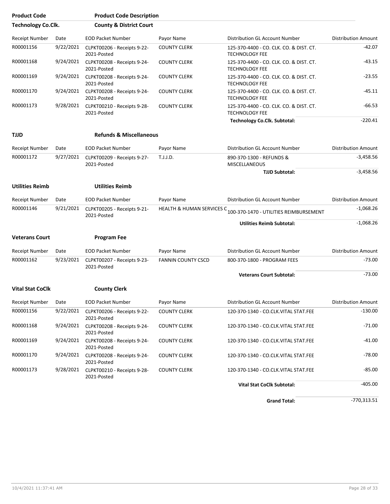| <b>Product Code</b>       |           | <b>Product Code Description</b>            |                                      |                                                                  |                            |
|---------------------------|-----------|--------------------------------------------|--------------------------------------|------------------------------------------------------------------|----------------------------|
| <b>Technology Co.Clk.</b> |           | <b>County &amp; District Court</b>         |                                      |                                                                  |                            |
| Receipt Number            | Date      | <b>EOD Packet Number</b>                   | Payor Name                           | Distribution GL Account Number                                   | <b>Distribution Amount</b> |
| R00001156                 | 9/22/2021 | CLPKT00206 - Receipts 9-22-<br>2021-Posted | <b>COUNTY CLERK</b>                  | 125-370-4400 - CO. CLK. CO. & DIST. CT.<br><b>TECHNOLOGY FEE</b> | $-42.07$                   |
| R00001168                 | 9/24/2021 | CLPKT00208 - Receipts 9-24-<br>2021-Posted | <b>COUNTY CLERK</b>                  | 125-370-4400 - CO. CLK. CO. & DIST. CT.<br><b>TECHNOLOGY FEE</b> | -43.15                     |
| R00001169                 | 9/24/2021 | CLPKT00208 - Receipts 9-24-<br>2021-Posted | <b>COUNTY CLERK</b>                  | 125-370-4400 - CO. CLK. CO. & DIST. CT.<br><b>TECHNOLOGY FEE</b> | $-23.55$                   |
| R00001170                 | 9/24/2021 | CLPKT00208 - Receipts 9-24-<br>2021-Posted | <b>COUNTY CLERK</b>                  | 125-370-4400 - CO. CLK. CO. & DIST. CT.<br><b>TECHNOLOGY FEE</b> | $-45.11$                   |
| R00001173                 | 9/28/2021 | CLPKT00210 - Receipts 9-28-<br>2021-Posted | <b>COUNTY CLERK</b>                  | 125-370-4400 - CO. CLK. CO. & DIST. CT.<br><b>TECHNOLOGY FEE</b> | $-66.53$                   |
|                           |           |                                            |                                      | <b>Technology Co.Clk. Subtotal:</b>                              | $-220.41$                  |
| TJJD                      |           | <b>Refunds &amp; Miscellaneous</b>         |                                      |                                                                  |                            |
| <b>Receipt Number</b>     | Date      | <b>EOD Packet Number</b>                   | Payor Name                           | Distribution GL Account Number                                   | <b>Distribution Amount</b> |
| R00001172                 | 9/27/2021 | CLPKT00209 - Receipts 9-27-<br>2021-Posted | T.J.J.D.                             | 890-370-1300 - REFUNDS &<br><b>MISCELLANEOUS</b>                 | $-3,458.56$                |
|                           |           |                                            |                                      | <b>TJJD Subtotal:</b>                                            | $-3,458.56$                |
| <b>Utilities Reimb</b>    |           | <b>Utilities Reimb</b>                     |                                      |                                                                  |                            |
| Receipt Number            | Date      | <b>EOD Packet Number</b>                   | Payor Name                           | Distribution GL Account Number                                   | <b>Distribution Amount</b> |
| R00001146                 | 9/21/2021 | CLPKT00205 - Receipts 9-21-<br>2021-Posted | <b>HEALTH &amp; HUMAN SERVICES C</b> | 100-370-1470 - UTILITIES REIMBURSEMENT                           | $-1,068.26$                |
|                           |           |                                            |                                      | <b>Utilities Reimb Subtotal:</b>                                 | $-1,068.26$                |
| <b>Veterans Court</b>     |           | <b>Program Fee</b>                         |                                      |                                                                  |                            |
| Receipt Number            | Date      | <b>EOD Packet Number</b>                   | Payor Name                           | Distribution GL Account Number                                   | <b>Distribution Amount</b> |
| R00001162                 | 9/23/2021 | CLPKT00207 - Receipts 9-23-<br>2021-Posted | <b>FANNIN COUNTY CSCD</b>            | 800-370-1800 - PROGRAM FEES                                      | $-73.00$                   |
|                           |           |                                            |                                      | <b>Veterans Court Subtotal:</b>                                  | $-73.00$                   |
| <b>Vital Stat CoClk</b>   |           | <b>County Clerk</b>                        |                                      |                                                                  |                            |
|                           |           |                                            |                                      |                                                                  |                            |
| Receipt Number            | Date      | <b>EOD Packet Number</b>                   | Payor Name                           | Distribution GL Account Number                                   | <b>Distribution Amount</b> |
| R00001156                 | 9/22/2021 | CLPKT00206 - Receipts 9-22-<br>2021-Posted | <b>COUNTY CLERK</b>                  | 120-370-1340 - CO.CLK.VITAL STAT.FEE                             | $-130.00$                  |
| R00001168                 | 9/24/2021 | CLPKT00208 - Receipts 9-24-<br>2021-Posted | <b>COUNTY CLERK</b>                  | 120-370-1340 - CO.CLK.VITAL STAT.FEE                             | $-71.00$                   |
| R00001169                 | 9/24/2021 | CLPKT00208 - Receipts 9-24-<br>2021-Posted | <b>COUNTY CLERK</b>                  | 120-370-1340 - CO.CLK.VITAL STAT.FEE                             | -41.00                     |
| R00001170                 | 9/24/2021 | CLPKT00208 - Receipts 9-24-<br>2021-Posted | <b>COUNTY CLERK</b>                  | 120-370-1340 - CO.CLK.VITAL STAT.FEE                             | $-78.00$                   |
| R00001173                 | 9/28/2021 | CLPKT00210 - Receipts 9-28-<br>2021-Posted | <b>COUNTY CLERK</b>                  | 120-370-1340 - CO.CLK.VITAL STAT.FEE                             | $-85.00$                   |
|                           |           |                                            |                                      | <b>Vital Stat CoClk Subtotal:</b>                                | $-405.00$                  |

Grand Total: **Calcular 1999** -770,313.51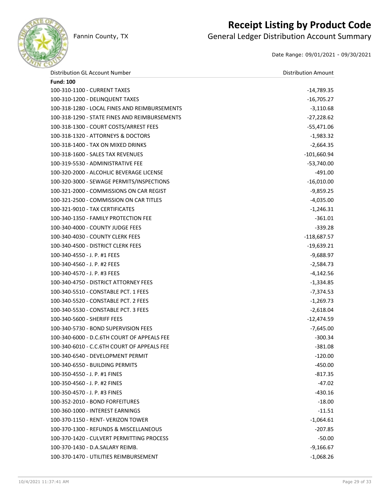

## **Receipt Listing by Product Code**

Fannin County, TX **General Ledger Distribution Account Summary** 

Date Range: 09/01/2021 - 09/30/2021

| Distribution GL Account Number                | <b>Distribution Amount</b> |
|-----------------------------------------------|----------------------------|
| <b>Fund: 100</b>                              |                            |
| 100-310-1100 - CURRENT TAXES                  | $-14,789.35$               |
| 100-310-1200 - DELINQUENT TAXES               | $-16,705.27$               |
| 100-318-1280 - LOCAL FINES AND REIMBURSEMENTS | $-3,110.68$                |
| 100-318-1290 - STATE FINES AND REIMBURSEMENTS | $-27,228.62$               |
| 100-318-1300 - COURT COSTS/ARREST FEES        | -55,471.06                 |
| 100-318-1320 - ATTORNEYS & DOCTORS            | $-1,983.32$                |
| 100-318-1400 - TAX ON MIXED DRINKS            | $-2,664.35$                |
| 100-318-1600 - SALES TAX REVENUES             | $-101,660.94$              |
| 100-319-5530 - ADMINISTRATIVE FEE             | $-53,740.00$               |
| 100-320-2000 - ALCOHLIC BEVERAGE LICENSE      | -491.00                    |
| 100-320-3000 - SEWAGE PERMITS/INSPECTIONS     | $-16,010.00$               |
| 100-321-2000 - COMMISSIONS ON CAR REGIST      | $-9,859.25$                |
| 100-321-2500 - COMMISSION ON CAR TITLES       | $-4,035.00$                |
| 100-321-9010 - TAX CERTIFICATES               | $-1,246.31$                |
| 100-340-1350 - FAMILY PROTECTION FEE          | $-361.01$                  |
| 100-340-4000 - COUNTY JUDGE FEES              | $-339.28$                  |
| 100-340-4030 - COUNTY CLERK FEES              | $-118,687.57$              |
| 100-340-4500 - DISTRICT CLERK FEES            | $-19,639.21$               |
| 100-340-4550 - J. P. #1 FEES                  | $-9,688.97$                |
| 100-340-4560 - J. P. #2 FEES                  | $-2,584.73$                |
| 100-340-4570 - J. P. #3 FEES                  | $-4,142.56$                |
| 100-340-4750 - DISTRICT ATTORNEY FEES         | $-1,334.85$                |
| 100-340-5510 - CONSTABLE PCT. 1 FEES          | $-7,374.53$                |
| 100-340-5520 - CONSTABLE PCT. 2 FEES          | $-1,269.73$                |
| 100-340-5530 - CONSTABLE PCT. 3 FEES          | $-2,618.04$                |
| 100-340-5600 - SHERIFF FEES                   | $-12,474.59$               |
| 100-340-5730 - BOND SUPERVISION FEES          | $-7,645.00$                |
| 100-340-6000 - D.C.6TH COURT OF APPEALS FEE   | $-300.34$                  |
| 100-340-6010 - C.C.6TH COURT OF APPEALS FEE   | $-381.08$                  |
| 100-340-6540 - DEVELOPMENT PERMIT             | $-120.00$                  |
| 100-340-6550 - BUILDING PERMITS               | $-450.00$                  |
| 100-350-4550 - J. P. #1 FINES                 | -817.35                    |
| 100-350-4560 - J. P. #2 FINES                 | $-47.02$                   |
| 100-350-4570 - J. P. #3 FINES                 | $-430.16$                  |
| 100-352-2010 - BOND FORFEITURES               | $-18.00$                   |
| 100-360-1000 - INTEREST EARNINGS              | -11.51                     |
| 100-370-1150 - RENT- VERIZON TOWER            | $-1,064.61$                |
| 100-370-1300 - REFUNDS & MISCELLANEOUS        | -207.85                    |
| 100-370-1420 - CULVERT PERMITTING PROCESS     | $-50.00$                   |
| 100-370-1430 - D.A.SALARY REIMB.              | $-9,166.67$                |
| 100-370-1470 - UTILITIES REIMBURSEMENT        | $-1,068.26$                |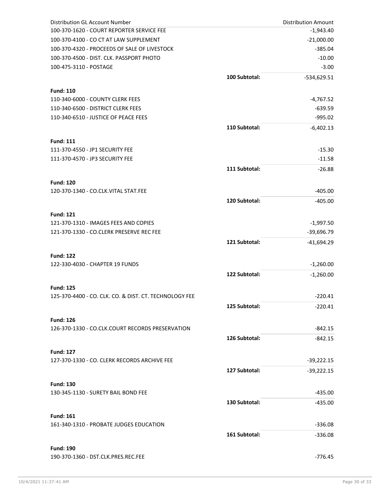| <b>Distribution GL Account Number</b>                            |               | <b>Distribution Amount</b> |
|------------------------------------------------------------------|---------------|----------------------------|
| 100-370-1620 - COURT REPORTER SERVICE FEE                        |               | $-1,943.40$                |
| 100-370-4100 - CO CT AT LAW SUPPLEMENT                           |               | $-21,000.00$               |
| 100-370-4320 - PROCEEDS OF SALE OF LIVESTOCK                     |               | $-385.04$                  |
| 100-370-4500 - DIST. CLK. PASSPORT PHOTO                         |               | $-10.00$                   |
| 100-475-3110 - POSTAGE                                           |               | $-3.00$                    |
|                                                                  | 100 Subtotal: | -534,629.51                |
| <b>Fund: 110</b>                                                 |               |                            |
| 110-340-6000 - COUNTY CLERK FEES                                 |               | $-4,767.52$                |
| 110-340-6500 - DISTRICT CLERK FEES                               |               | $-639.59$                  |
| 110-340-6510 - JUSTICE OF PEACE FEES                             |               | $-995.02$                  |
|                                                                  | 110 Subtotal: | $-6,402.13$                |
|                                                                  |               |                            |
| <b>Fund: 111</b>                                                 |               |                            |
| 111-370-4550 - JP1 SECURITY FEE                                  |               | $-15.30$                   |
| 111-370-4570 - JP3 SECURITY FEE                                  |               | $-11.58$                   |
|                                                                  | 111 Subtotal: | $-26.88$                   |
| <b>Fund: 120</b>                                                 |               |                            |
| 120-370-1340 - CO.CLK.VITAL STAT.FEE                             |               | $-405.00$                  |
|                                                                  | 120 Subtotal: | $-405.00$                  |
|                                                                  |               |                            |
| <b>Fund: 121</b>                                                 |               |                            |
| 121-370-1310 - IMAGES FEES AND COPIES                            |               | $-1,997.50$                |
| 121-370-1330 - CO.CLERK PRESERVE REC FEE                         |               | $-39,696.79$               |
|                                                                  | 121 Subtotal: | $-41,694.29$               |
| <b>Fund: 122</b>                                                 |               |                            |
| 122-330-4030 - CHAPTER 19 FUNDS                                  |               | $-1,260.00$                |
|                                                                  | 122 Subtotal: | $-1,260.00$                |
|                                                                  |               |                            |
| <b>Fund: 125</b>                                                 |               |                            |
| 125-370-4400 - CO. CLK. CO. & DIST. CT. TECHNOLOGY FEE           |               | $-220.41$                  |
|                                                                  | 125 Subtotal: | -220.41                    |
| <b>Fund: 126</b>                                                 |               |                            |
| 126-370-1330 - CO.CLK.COURT RECORDS PRESERVATION                 |               | -842.15                    |
|                                                                  | 126 Subtotal: | -842.15                    |
|                                                                  |               |                            |
| <b>Fund: 127</b><br>127-370-1330 - CO. CLERK RECORDS ARCHIVE FEE |               | $-39,222.15$               |
|                                                                  |               |                            |
|                                                                  | 127 Subtotal: | $-39,222.15$               |
| <b>Fund: 130</b>                                                 |               |                            |
| 130-345-1130 - SURETY BAIL BOND FEE                              |               | $-435.00$                  |
|                                                                  | 130 Subtotal: | $-435.00$                  |
| <b>Fund: 161</b>                                                 |               |                            |
| 161-340-1310 - PROBATE JUDGES EDUCATION                          |               | $-336.08$                  |
|                                                                  | 161 Subtotal: | $-336.08$                  |
|                                                                  |               |                            |
| <b>Fund: 190</b>                                                 |               |                            |
| 190-370-1360 - DST.CLK.PRES.REC.FEE                              |               | $-776.45$                  |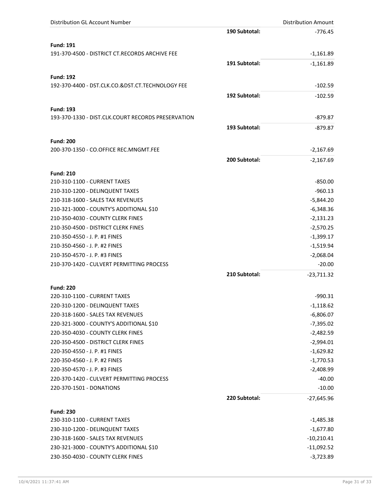| Distribution GL Account Number                     |               | <b>Distribution Amount</b> |
|----------------------------------------------------|---------------|----------------------------|
|                                                    | 190 Subtotal: | $-776.45$                  |
| <b>Fund: 191</b>                                   |               |                            |
| 191-370-4500 - DISTRICT CT.RECORDS ARCHIVE FEE     |               | $-1,161.89$                |
|                                                    | 191 Subtotal: | $-1,161.89$                |
|                                                    |               |                            |
| <b>Fund: 192</b>                                   |               |                            |
| 192-370-4400 - DST.CLK.CO.&DST.CT.TECHNOLOGY FEE   |               | $-102.59$                  |
|                                                    | 192 Subtotal: | $-102.59$                  |
| <b>Fund: 193</b>                                   |               |                            |
| 193-370-1330 - DIST.CLK.COURT RECORDS PRESERVATION |               | $-879.87$                  |
|                                                    | 193 Subtotal: | $-879.87$                  |
|                                                    |               |                            |
| <b>Fund: 200</b>                                   |               |                            |
| 200-370-1350 - CO.OFFICE REC.MNGMT.FEE             |               | $-2,167.69$                |
|                                                    | 200 Subtotal: | $-2,167.69$                |
| <b>Fund: 210</b>                                   |               |                            |
| 210-310-1100 - CURRENT TAXES                       |               | $-850.00$                  |
| 210-310-1200 - DELINQUENT TAXES                    |               | $-960.13$                  |
| 210-318-1600 - SALES TAX REVENUES                  |               | $-5,844.20$                |
| 210-321-3000 - COUNTY'S ADDITIONAL \$10            |               | $-6,348.36$                |
| 210-350-4030 - COUNTY CLERK FINES                  |               | $-2,131.23$                |
| 210-350-4500 - DISTRICT CLERK FINES                |               | $-2,570.25$                |
| 210-350-4550 - J. P. #1 FINES                      |               | $-1,399.17$                |
| 210-350-4560 - J. P. #2 FINES                      |               | $-1,519.94$                |
| 210-350-4570 - J. P. #3 FINES                      |               | $-2,068.04$                |
| 210-370-1420 - CULVERT PERMITTING PROCESS          |               | $-20.00$                   |
|                                                    | 210 Subtotal: | $-23,711.32$               |
|                                                    |               |                            |
| <b>Fund: 220</b>                                   |               |                            |
| 220-310-1100 - CURRENT TAXES                       |               | $-990.31$                  |
| 220-310-1200 - DELINQUENT TAXES                    |               | $-1,118.62$                |
| 220-318-1600 - SALES TAX REVENUES                  |               | $-6,806.07$                |
| 220-321-3000 - COUNTY'S ADDITIONAL \$10            |               | $-7,395.02$                |
| 220-350-4030 - COUNTY CLERK FINES                  |               | $-2,482.59$                |
| 220-350-4500 - DISTRICT CLERK FINES                |               | $-2,994.01$                |
| 220-350-4550 - J. P. #1 FINES                      |               | $-1,629.82$                |
| 220-350-4560 - J. P. #2 FINES                      |               | $-1,770.53$                |
| 220-350-4570 - J. P. #3 FINES                      |               | $-2,408.99$                |
| 220-370-1420 - CULVERT PERMITTING PROCESS          |               | $-40.00$                   |
| 220-370-1501 - DONATIONS                           |               | $-10.00$                   |
|                                                    | 220 Subtotal: | $-27,645.96$               |
| <b>Fund: 230</b>                                   |               |                            |
| 230-310-1100 - CURRENT TAXES                       |               | $-1,485.38$                |
| 230-310-1200 - DELINQUENT TAXES                    |               | $-1,677.80$                |
| 230-318-1600 - SALES TAX REVENUES                  |               | $-10,210.41$               |
| 230-321-3000 - COUNTY'S ADDITIONAL \$10            |               | $-11,092.52$               |
| 230-350-4030 - COUNTY CLERK FINES                  |               | $-3,723.89$                |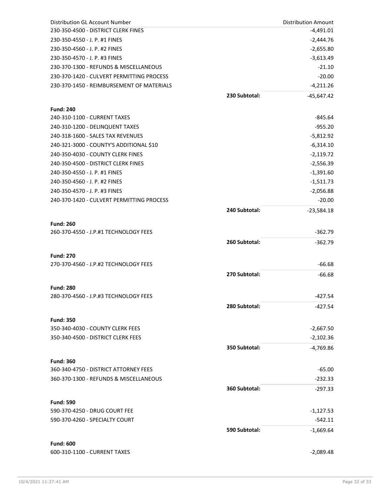| Distribution GL Account Number                            |               | <b>Distribution Amount</b> |
|-----------------------------------------------------------|---------------|----------------------------|
| 230-350-4500 - DISTRICT CLERK FINES                       |               | $-4,491.01$                |
| 230-350-4550 - J. P. #1 FINES                             |               | $-2,444.76$                |
| 230-350-4560 - J. P. #2 FINES                             |               | $-2,655.80$                |
| 230-350-4570 - J. P. #3 FINES                             |               | $-3,613.49$                |
| 230-370-1300 - REFUNDS & MISCELLANEOUS                    |               | $-21.10$                   |
| 230-370-1420 - CULVERT PERMITTING PROCESS                 |               | $-20.00$                   |
| 230-370-1450 - REIMBURSEMENT OF MATERIALS                 |               | $-4,211.26$                |
|                                                           | 230 Subtotal: | $-45,647.42$               |
|                                                           |               |                            |
| <b>Fund: 240</b>                                          |               |                            |
| 240-310-1100 - CURRENT TAXES                              |               | $-845.64$                  |
| 240-310-1200 - DELINQUENT TAXES                           |               | $-955.20$                  |
| 240-318-1600 - SALES TAX REVENUES                         |               | $-5,812.92$                |
| 240-321-3000 - COUNTY'S ADDITIONAL \$10                   |               | $-6,314.10$                |
| 240-350-4030 - COUNTY CLERK FINES                         |               | $-2,119.72$                |
| 240-350-4500 - DISTRICT CLERK FINES                       |               | $-2,556.39$                |
| 240-350-4550 - J. P. #1 FINES                             |               | $-1,391.60$                |
| 240-350-4560 - J. P. #2 FINES                             |               | $-1,511.73$                |
| 240-350-4570 - J. P. #3 FINES                             |               | $-2,056.88$                |
| 240-370-1420 - CULVERT PERMITTING PROCESS                 |               | $-20.00$                   |
|                                                           | 240 Subtotal: | $-23,584.18$               |
| <b>Fund: 260</b>                                          |               |                            |
| 260-370-4550 - J.P.#1 TECHNOLOGY FEES                     |               | $-362.79$                  |
|                                                           |               |                            |
|                                                           | 260 Subtotal: | $-362.79$                  |
| <b>Fund: 270</b>                                          |               |                            |
| 270-370-4560 - J.P.#2 TECHNOLOGY FEES                     |               | $-66.68$                   |
|                                                           | 270 Subtotal: | $-66.68$                   |
|                                                           |               |                            |
| <b>Fund: 280</b><br>280-370-4560 - J.P.#3 TECHNOLOGY FEES |               | $-427.54$                  |
|                                                           |               |                            |
|                                                           | 280 Subtotal: | -427.54                    |
| <b>Fund: 350</b>                                          |               |                            |
| 350-340-4030 - COUNTY CLERK FEES                          |               | $-2,667.50$                |
| 350-340-4500 - DISTRICT CLERK FEES                        |               | $-2,102.36$                |
|                                                           | 350 Subtotal: | $-4,769.86$                |
|                                                           |               |                            |
| <b>Fund: 360</b>                                          |               |                            |
| 360-340-4750 - DISTRICT ATTORNEY FEES                     |               | $-65.00$                   |
| 360-370-1300 - REFUNDS & MISCELLANEOUS                    |               | $-232.33$                  |
|                                                           | 360 Subtotal: | $-297.33$                  |
| <b>Fund: 590</b>                                          |               |                            |
| 590-370-4250 - DRUG COURT FEE                             |               | $-1,127.53$                |
| 590-370-4260 - SPECIALTY COURT                            |               | -542.11                    |
|                                                           | 590 Subtotal: | $-1,669.64$                |
|                                                           |               |                            |
| <b>Fund: 600</b>                                          |               |                            |
| 600-310-1100 - CURRENT TAXES                              |               | $-2,089.48$                |